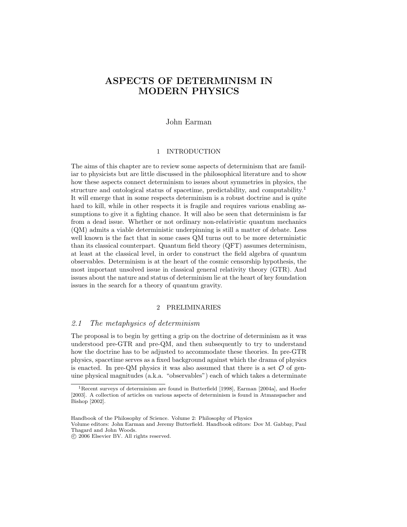# **ASPECTS OF DETERMINISM IN MODERN PHYSICS**

# John Earman

#### 1 INTRODUCTION

The aims of this chapter are to review some aspects of determinism that are familiar to physicists but are little discussed in the philosophical literature and to show how these aspects connect determinism to issues about symmetries in physics, the structure and ontological status of spacetime, predictability, and computability.<sup>1</sup> It will emerge that in some respects determinism is a robust doctrine and is quite hard to kill, while in other respects it is fragile and requires various enabling assumptions to give it a fighting chance. It will also be seen that determinism is far from a dead issue. Whether or not ordinary non-relativistic quantum mechanics (QM) admits a viable deterministic underpinning is still a matter of debate. Less well known is the fact that in some cases QM turns out to be more deterministic than its classical counterpart. Quantum field theory (QFT) assumes determinism, at least at the classical level, in order to construct the field algebra of quantum observables. Determinism is at the heart of the cosmic censorship hypothesis, the most important unsolved issue in classical general relativity theory (GTR). And issues about the nature and status of determinism lie at the heart of key foundation issues in the search for a theory of quantum gravity.

## 2 PRELIMINARIES

#### *2.1 The metaphysics of determinism*

The proposal is to begin by getting a grip on the doctrine of determinism as it was understood pre-GTR and pre-QM, and then subsequently to try to understand how the doctrine has to be adjusted to accommodate these theories. In pre-GTR physics, spacetime serves as a fixed background against which the drama of physics is enacted. In pre-QM physics it was also assumed that there is a set  $\mathcal O$  of genuine physical magnitudes (a.k.a. "observables") each of which takes a determinate

<sup>&</sup>lt;sup>1</sup>Recent surveys of determinism are found in Butterfield [1998], Earman [2004a], and Hoefer [2003]. A collection of articles on various aspects of determinism is found in Atmanspacher and Bishop [2002].

Handbook of the Philosophy of Science. Volume 2: Philosophy of Physics

Volume editors: John Earman and Jeremy Butterfield. Handbook editors: Dov M. Gabbay, Paul Thagard and John Woods.

c 2006 Elsevier BV. All rights reserved.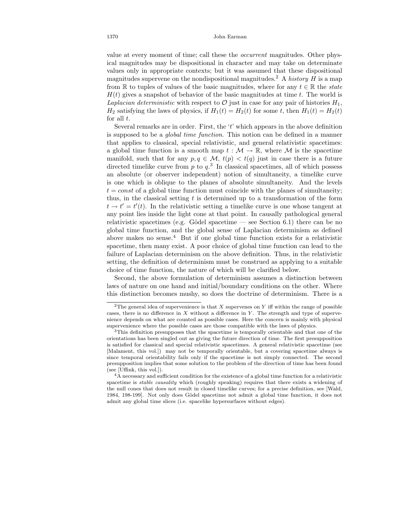value at every moment of time; call these the *occurrent* magnitudes. Other physical magnitudes may be dispositional in character and may take on determinate values only in appropriate contexts; but it was assumed that these dispositional magnitudes supervene on the nondispositional magnitudes.<sup>2</sup> A *history*  $H$  is a map from  $\mathbb R$  to tuples of values of the basic magnitudes, where for any  $t \in \mathbb R$  the *state*  $H(t)$  gives a snapshot of behavior of the basic magnitudes at time t. The world is *Laplacian deterministic* with respect to  $\mathcal{O}$  just in case for any pair of histories  $H_1$ ,  $H_2$  satisfying the laws of physics, if  $H_1(t) = H_2(t)$  for some t, then  $H_1(t) = H_2(t)$ for all  $t$ .

Several remarks are in order. First, the  $t$  which appears in the above definition is supposed to be a *global time function*. This notion can be defined in a manner that applies to classical, special relativistic, and general relativistic spacetimes: a global time function is a smooth map  $t : \mathcal{M} \to \mathbb{R}$ , where  $\mathcal M$  is the spacetime manifold, such that for any  $p, q \in \mathcal{M}$ ,  $t(p) < t(q)$  just in case there is a future directed timelike curve from  $p$  to  $q$ <sup>3</sup>. In classical spacetimes, all of which possess an absolute (or observer independent) notion of simultaneity, a timelike curve is one which is oblique to the planes of absolute simultaneity. And the levels  $t = const$  of a global time function must coincide with the planes of simultaneity; thus, in the classical setting  $t$  is determined up to a transformation of the form  $t \to t' = t'(t)$ . In the relativistic setting a timelike curve is one whose tangent at any point lies inside the light cone at that point. In causally pathological general relativistic spacetimes (e.g. Gödel spacetime — see Section 6.1) there can be no global time function, and the global sense of Laplacian determinism as defined above makes no sense. $4$  But if one global time function exists for a relativistic spacetime, then many exist. A poor choice of global time function can lead to the failure of Laplacian determinism on the above definition. Thus, in the relativistic setting, the definition of determinism must be construed as applying to a suitable choice of time function, the nature of which will be clarified below.

Second, the above formulation of determinism assumes a distinction between laws of nature on one hand and initial/boundary conditions on the other. Where this distinction becomes mushy, so does the doctrine of determinism. There is a

<sup>&</sup>lt;sup>2</sup>The general idea of supervenience is that  $X$  supervenes on  $Y$  iff within the range of possible cases, there is no difference in  $X$  without a difference in  $Y$ . The strength and type of supervenience depends on what are counted as possible cases. Here the concern is mainly with physical supervenience where the possible cases are those compatible with the laws of physics.

<sup>3</sup>This definition presupposes that the spacetime is temporally orientable and that one of the orientations has been singled out as giving the future direction of time. The first presupposition is satisfied for classical and special relativistic spacetimes. A general relativistic spacetime (see [Malament, this vol.]) may not be temporally orientable, but a covering spacetime always is since temporal orientability fails only if the spacetime is not simply connected. The second presupposition implies that some solution to the problem of the direction of time has been found (see [Uffink, this vol.]).

 $4\textup{\AA}$  necessary and sufficient condition for the existence of a global time function for a relativistic spacetime is *stable causality* which (roughly speaking) requires that there exists a widening of the null cones that does not result in closed timelike curves; for a precise definition, see [Wald, 1984, 198-199. Not only does Gödel spacetime not admit a global time function, it does not admit any global time slices (i.e. spacelike hypersurfaces without edges).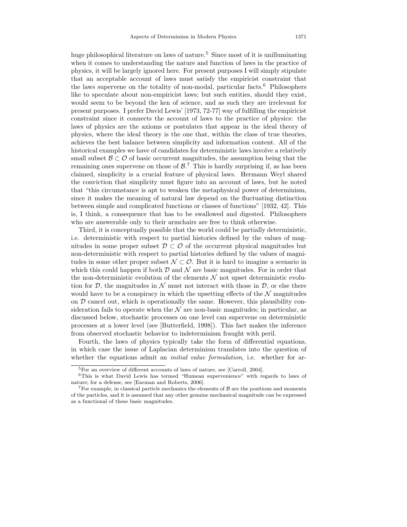huge philosophical literature on laws of nature.<sup>5</sup> Since most of it is unilluminating when it comes to understanding the nature and function of laws in the practice of physics, it will be largely ignored here. For present purposes I will simply stipulate that an acceptable account of laws must satisfy the empiricist constraint that the laws supervene on the totality of non-modal, particular facts.<sup>6</sup> Philosophers like to speculate about non-empiricist laws; but such entities, should they exist, would seem to be beyond the ken of science, and as such they are irrelevant for present purposes. I prefer David Lewis' [1973, 72-77] way of fulfilling the empiricist constraint since it connects the account of laws to the practice of physics: the laws of physics are the axioms or postulates that appear in the ideal theory of physics, where the ideal theory is the one that, within the class of true theories, achieves the best balance between simplicity and information content. All of the historical examples we have of candidates for deterministic laws involve a relatively small subset  $\mathcal{B} \subset \mathcal{O}$  of basic occurrent magnitudes, the assumption being that the remaining ones supervene on those of  $\mathcal{B}$ .<sup>7</sup> This is hardly surprising if, as has been claimed, simplicity is a crucial feature of physical laws. Hermann Weyl shared the conviction that simplicity must figure into an account of laws, but he noted that "this circumstance is apt to weaken the metaphysical power of determinism, since it makes the meaning of natural law depend on the fluctuating distinction between simple and complicated functions or classes of functions" [1932, 42]. This is, I think, a consequence that has to be swallowed and digested. Philosophers who are answerable only to their armchairs are free to think otherwise.

Third, it is conceptually possible that the world could be partially deterministic, i.e. deterministic with respect to partial histories defined by the values of magnitudes in some proper subset  $\mathcal{D}\subset\mathcal{O}$  of the occurrent physical magnitudes but non-deterministic with respect to partial histories defined by the values of magnitudes in some other proper subset  $\mathcal{N} \subset \mathcal{O}$ . But it is hard to imagine a scenario in which this could happen if both  $\mathcal D$  and  $\mathcal N$  are basic magnitudes. For in order that the non-deterministic evolution of the elements  $\mathcal N$  not upset deterministic evolution for  $D$ , the magnitudes in  $N$  must not interact with those in  $D$ , or else there would have to be a conspiracy in which the upsetting effects of the  $\mathcal N$  magnitudes on  $\mathcal D$  cancel out, which is operationally the same. However, this plausibility consideration fails to operate when the  $\mathcal N$  are non-basic magnitudes; in particular, as discussed below, stochastic processes on one level can supervene on deterministic processes at a lower level (see [Butterfield, 1998]). This fact makes the inference from observed stochastic behavior to indeterminism fraught with peril.

Fourth, the laws of physics typically take the form of differential equations, in which case the issue of Laplacian determinism translates into the question of whether the equations admit an *initial value formulation*, i.e. whether for ar-

<sup>5</sup>For an overview of different accounts of laws of nature, see [Carroll, 2004].

<sup>6</sup>This is what David Lewis has termed "Humean supervenience" with regards to laws of nature; for a defense, see [Earman and Roberts, 2006].

 $7$ For example, in classical particle mechanics the elements of  $\beta$  are the positions and momenta of the particles, and it is assumed that any other genuine mechanical magnitude can be expressed as a functional of these basic magnitudes.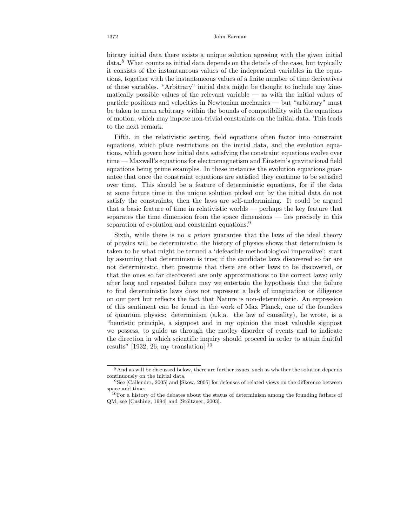bitrary initial data there exists a unique solution agreeing with the given initial data.<sup>8</sup> What counts as initial data depends on the details of the case, but typically it consists of the instantaneous values of the independent variables in the equations, together with the instantaneous values of a finite number of time derivatives of these variables. "Arbitrary" initial data might be thought to include any kinematically possible values of the relevant variable  $-$  as with the initial values of particle positions and velocities in Newtonian mechanics — but "arbitrary" must be taken to mean arbitrary within the bounds of compatibility with the equations of motion, which may impose non-trivial constraints on the initial data. This leads to the next remark.

Fifth, in the relativistic setting, field equations often factor into constraint equations, which place restrictions on the initial data, and the evolution equations, which govern how initial data satisfying the constraint equations evolve over time — Maxwell's equations for electromagnetism and Einstein's gravitational field equations being prime examples. In these instances the evolution equations guarantee that once the constraint equations are satisfied they continue to be satisfied over time. This should be a feature of deterministic equations, for if the data at some future time in the unique solution picked out by the initial data do not satisfy the constraints, then the laws are self-undermining. It could be argued that a basic feature of time in relativistic worlds — perhaps the key feature that separates the time dimension from the space dimensions — lies precisely in this separation of evolution and constraint equations.<sup>9</sup>

Sixth, while there is no *a priori* guarantee that the laws of the ideal theory of physics will be deterministic, the history of physics shows that determinism is taken to be what might be termed a 'defeasible methodological imperative': start by assuming that determinism is true; if the candidate laws discovered so far are not deterministic, then presume that there are other laws to be discovered, or that the ones so far discovered are only approximations to the correct laws; only after long and repeated failure may we entertain the hypothesis that the failure to find deterministic laws does not represent a lack of imagination or diligence on our part but reflects the fact that Nature is non-deterministic. An expression of this sentiment can be found in the work of Max Planck, one of the founders of quantum physics: determinism (a.k.a. the law of causality), he wrote, is a "heuristic principle, a signpost and in my opinion the most valuable signpost we possess, to guide us through the motley disorder of events and to indicate the direction in which scientific inquiry should proceed in order to attain fruitful results" [1932, 26; my translation].<sup>10</sup>

<sup>8</sup>And as will be discussed below, there are further issues, such as whether the solution depends continuously on the initial data.

<sup>9</sup>See [Callender, 2005] and [Skow, 2005] for defenses of related views on the difference between space and time.

 $10$  For a history of the debates about the status of determinism among the founding fathers of QM, see [Cushing, 1994] and [Stöltzner, 2003].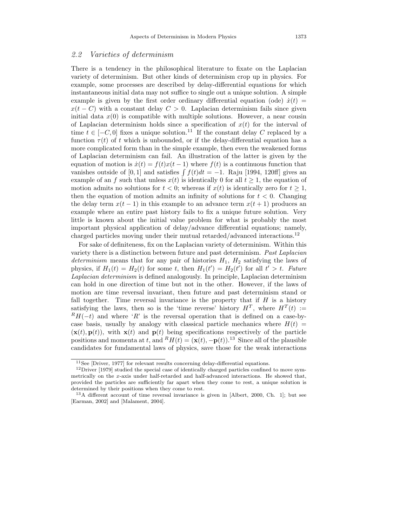#### *2.2 Varieties of determinism*

There is a tendency in the philosophical literature to fixate on the Laplacian variety of determinism. But other kinds of determinism crop up in physics. For example, some processes are described by delay-differential equations for which instantaneous initial data may not suffice to single out a unique solution. A simple example is given by the first order ordinary differential equation (ode)  $\dot{x}(t)$  =  $x(t - C)$  with a constant delay  $C > 0$ . Laplacian determinism fails since given initial data  $x(0)$  is compatible with multiple solutions. However, a near cousin of Laplacian determinism holds since a specification of  $x(t)$  for the interval of time  $t \in [-C, 0]$  fixes a unique solution.<sup>11</sup> If the constant delay C replaced by a function  $\tau(t)$  of t which is unbounded, or if the delay-differential equation has a more complicated form than in the simple example, then even the weakened forms of Laplacian determinism can fail. An illustration of the latter is given by the equation of motion is  $\dot{x}(t) = f(t)x(t-1)$  where  $f(t)$  is a continuous function that vanishes outside of [0,1] and satisfies  $\int f(t)dt = -1$ . Raju [1994, 120ff] gives an example of an f such that unless  $x(t)$  is identically 0 for all  $t \geq 1$ , the equation of motion admits no solutions for  $t < 0$ ; whereas if  $x(t)$  is identically zero for  $t \geq 1$ , then the equation of motion admits an infinity of solutions for  $t < 0$ . Changing the delay term  $x(t-1)$  in this example to an advance term  $x(t+1)$  produces an example where an entire past history fails to fix a unique future solution. Very little is known about the initial value problem for what is probably the most important physical application of delay/advance differential equations; namely, charged particles moving under their mutual retarded/advanced interactions.<sup>12</sup>

For sake of definiteness, fix on the Laplacian variety of determinism. Within this variety there is a distinction between future and past determinism. *Past Laplacian determinism* means that for any pair of histories  $H_1$ ,  $H_2$  satisfying the laws of physics, if  $H_1(t) = H_2(t)$  for some t, then  $H_1(t') = H_2(t')$  for all  $t' > t$ . Future *Laplacian determinism* is defined analogously. In principle, Laplacian determinism can hold in one direction of time but not in the other. However, if the laws of motion are time reversal invariant, then future and past determinism stand or fall together. Time reversal invariance is the property that if  $H$  is a history satisfying the laws, then so is the 'time reverse' history  $H^T$ , where  $H^T(t) :=$  $R_H(-t)$  and where 'R' is the reversal operation that is defined on a case-bycase basis, usually by analogy with classical particle mechanics where  $H(t)$  =  $(\mathbf{x}(t), \mathbf{p}(t))$ , with  $\mathbf{x}(t)$  and  $\mathbf{p}(t)$  being specifications respectively of the particle positions and momenta at t, and  $^{R}H(t)=(\mathbf{x}(t), -\mathbf{p}(t))$ .<sup>13</sup> Since all of the plausible candidates for fundamental laws of physics, save those for the weak interactions

<sup>11</sup>See [Driver, 1977] for relevant results concerning delay-differential equations.

<sup>&</sup>lt;sup>12</sup>Driver [1979] studied the special case of identically charged particles confined to move symmetrically on the x-axis under half-retarded and half-advanced interactions. He showed that, provided the particles are sufficiently far apart when they come to rest, a unique solution is determined by their positions when they come to rest.

<sup>13</sup>A different account of time reversal invariance is given in [Albert, 2000, Ch. 1]; but see [Earman, 2002] and [Malament, 2004].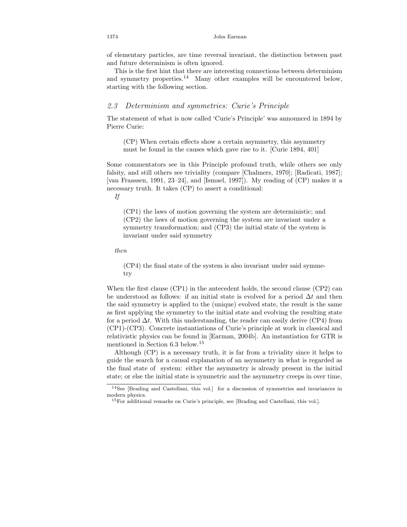of elementary particles, are time reversal invariant, the distinction between past and future determinism is often ignored.

This is the first hint that there are interesting connections between determinism and symmetry properties. $14$  Many other examples will be encountered below. starting with the following section.

# *2.3 Determinism and symmetries: Curie's Principle*

The statement of what is now called 'Curie's Principle' was announced in 1894 by Pierre Curie:

(CP) When certain effects show a certain asymmetry, this asymmetry must be found in the causes which gave rise to it. [Curie 1894, 401]

Some commentators see in this Principle profound truth, while others see only falsity, and still others see triviality (compare [Chalmers, 1970]; [Radicati, 1987]; [van Fraassen, 1991, 23–24], and [Ismael, 1997]). My reading of (CP) makes it a necessary truth. It takes (CP) to assert a conditional:

*If*

(CP1) the laws of motion governing the system are deterministic; and (CP2) the laws of motion governing the system are invariant under a symmetry transformation; and (CP3) the initial state of the system is invariant under said symmetry

*then*

(CP4) the final state of the system is also invariant under said symmetry

When the first clause (CP1) in the antecedent holds, the second clause (CP2) can be understood as follows: if an initial state is evolved for a period  $\Delta t$  and then the said symmetry is applied to the (unique) evolved state, the result is the same as first applying the symmetry to the initial state and evolving the resulting state for a period  $\Delta t$ . With this understanding, the reader can easily derive (CP4) from (CP1)-(CP3). Concrete instantiations of Curie's principle at work in classical and relativistic physics can be found in [Earman, 2004b]. An instantiation for GTR is mentioned in Section 6.3 below.<sup>15</sup>

Although (CP) is a necessary truth, it is far from a triviality since it helps to guide the search for a causal explanation of an asymmetry in what is regarded as the final state of system: either the asymmetry is already present in the initial state; or else the initial state is symmetric and the asymmetry creeps in over time,

<sup>14</sup>See [Brading and Castellani, this vol.] for a discussion of symmetries and invariances in modern physics.

<sup>15</sup>For additional remarks on Curie's principle, see [Brading and Castellani, this vol.].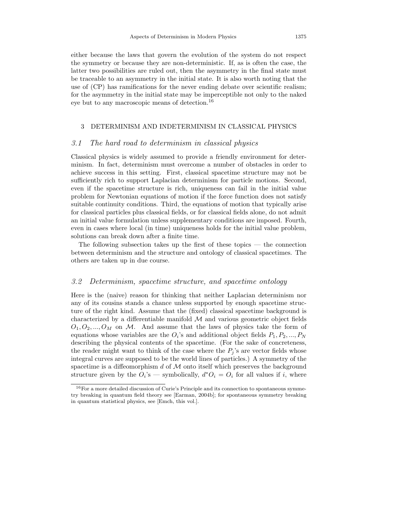either because the laws that govern the evolution of the system do not respect the symmetry or because they are non-deterministic. If, as is often the case, the latter two possibilities are ruled out, then the asymmetry in the final state must be traceable to an asymmetry in the initial state. It is also worth noting that the use of (CP) has ramifications for the never ending debate over scientific realism; for the asymmetry in the initial state may be imperceptible not only to the naked eye but to any macroscopic means of detection.<sup>16</sup>

#### 3 DETERMINISM AND INDETERMINISM IN CLASSICAL PHYSICS

#### *3.1 The hard road to determinism in classical physics*

Classical physics is widely assumed to provide a friendly environment for determinism. In fact, determinism must overcome a number of obstacles in order to achieve success in this setting. First, classical spacetime structure may not be sufficiently rich to support Laplacian determinism for particle motions. Second, even if the spacetime structure is rich, uniqueness can fail in the initial value problem for Newtonian equations of motion if the force function does not satisfy suitable continuity conditions. Third, the equations of motion that typically arise for classical particles plus classical fields, or for classical fields alone, do not admit an initial value formulation unless supplementary conditions are imposed. Fourth, even in cases where local (in time) uniqueness holds for the initial value problem, solutions can break down after a finite time.

The following subsection takes up the first of these topics — the connection between determinism and the structure and ontology of classical spacetimes. The others are taken up in due course.

# *3.2 Determinism, spacetime structure, and spacetime ontology*

Here is the (naive) reason for thinking that neither Laplacian determinism nor any of its cousins stands a chance unless supported by enough spacetime structure of the right kind. Assume that the (fixed) classical spacetime background is characterized by a differentiable manifold  $\mathcal M$  and various geometric object fields  $O_1, O_2, ..., O_M$  on M. And assume that the laws of physics take the form of equations whose variables are the  $O_i$ 's and additional object fields  $P_1, P_2, ..., P_N$ describing the physical contents of the spacetime. (For the sake of concreteness, the reader might want to think of the case where the  $P_i$ 's are vector fields whose integral curves are supposed to be the world lines of particles.) A symmetry of the spacetime is a diffeomorphism d of  $\cal{M}$  onto itself which preserves the background structure given by the  $O_i$ 's — symbolically,  $d^*O_i = O_i$  for all values if i, where

 $^{16}\rm{For}$  a more detailed discussion of Curie's Principle and its connection to spontaneous symmetry breaking in quantum field theory see [Earman, 2004b]; for spontaneous symmetry breaking in quantum statistical physics, see [Emch, this vol.].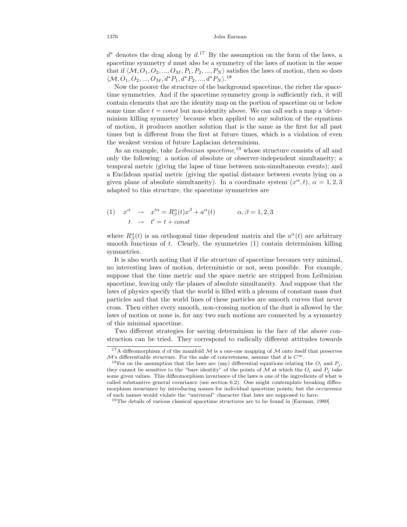$d^*$  denotes the drag along by  $d^{17}$ . By the assumption on the form of the laws, a spacetime symmetry d must also be a symmetry of the laws of motion in the sense that if  $\langle M, O_1, O_2, ..., O_M, P_1, P_2, ..., P_N \rangle$  satisfies the laws of motion, then so does  $\langle M, O_1, O_2, ..., O_M, d^*P_1, d^*P_2, ..., d^*P_N \rangle$ .<sup>18</sup><br>Now the poems the structure of the hack

Now the poorer the structure of the background spacetime, the richer the spacetime symmetries. And if the spacetime symmetry group is sufficiently rich, it will contain elements that are the identity map on the portion of spacetime on or below some time slice  $t = const$  but non-identity above. We can call such a map a 'determinism killing symmetry' because when applied to any solution of the equations of motion, it produces another solution that is the same as the first for all past times but is different from the first at future times, which is a violation of even the weakest version of future Laplacian determinism.

As an example, take *Leibnizian spacetime*, <sup>19</sup> whose structure consists of all and only the following: a notion of absolute or observer-independent simultaneity; a temporal metric (giving the lapse of time between non-simultaneous events); and a Euclidean spatial metric (giving the spatial distance between events lying on a given plane of absolute simultaneity). In a coordinate system  $(x^{\alpha}, t)$ ,  $\alpha = 1, 2, 3$ adapted to this structure, the spacetime symmetries are

(1) 
$$
x^{\alpha} \rightarrow x'^{\alpha} = R^{\alpha}_{\beta}(t)x^{\beta} + a^{\alpha}(t) \qquad \alpha, \beta = 1, 2, 3
$$
  
\n $t \rightarrow t' = t + const$ 

where  $R_{\beta}^{\alpha}(t)$  is an orthogonal time dependent matrix and the  $a^{\alpha}(t)$  are arbitrary<br>smooth functions of t. Clearly, the symmetries (1) contain determinism killing smooth functions of  $t$ . Clearly, the symmetries  $(1)$  contain determinism killing symmetries.

It is also worth noting that if the structure of spacetime becomes very minimal, no interesting laws of motion, deterministic or not, seem possible. For example, suppose that the time metric and the space metric are stripped from Leibnizian spacetime, leaving only the planes of absolute simultaneity. And suppose that the laws of physics specify that the world is filled with a plenum of constant mass dust particles and that the world lines of these particles are smooth curves that never cross. Then either every smooth, non-crossing motion of the dust is allowed by the laws of motion or none is, for any two such motions are connected by a symmetry of this minimal spacetime.

Two different strategies for saving determinism in the face of the above construction can be tried. They correspond to radically different attitudes towards

<sup>&</sup>lt;sup>17</sup>A diffeomorphism d of the manifold  $M$  is a one-one mapping of  $M$  onto itself that preserves M's differentiable structure. For the sake of concreteness, assume that d is  $C^{\infty}$ .

<sup>&</sup>lt;sup>18</sup>For on the assumption that the laws are (say) differential equations relating the  $O_i$  and  $P_j$ , they cannot be sensitive to the "bare identity" of the points of  $M$  at which the  $O_i$  and  $P_j$  take some given values. This diffeomorphism invariance of the laws is one of the ingredients of what is called substantive general covariance (see section 6.2). One might contemplate breaking diffeomorphism invariance by introducing names for individual spacetime points; but the occurrence of such names would violate the "universal" character that laws are supposed to have.

<sup>&</sup>lt;sup>19</sup>The details of various classical spacetime structures are to be found in [Earman, 1989].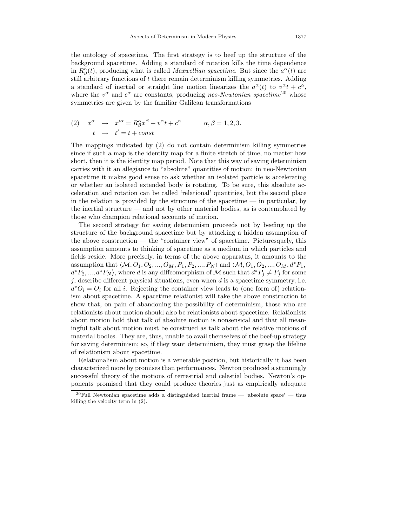the ontology of spacetime. The first strategy is to beef up the structure of the background spacetime. Adding a standard of rotation kills the time dependence in  $R^{\alpha}_{\beta}(t)$ , producing what is called *Maxwellian spacetime*. But since the  $a^{\alpha}(t)$  are<br>still arbitrary functions of t there remain determinism killing symmetries. Adding still arbitrary functions of t there remain determinism killing symmetries. Adding a standard of inertial or straight line motion linearizes the  $a^{\alpha}(t)$  to  $v^{\alpha}t + c^{\alpha}$ , where the  $v^{\alpha}$  and  $c^{\alpha}$  are constants, producing *neo-Newtonian spacetime*<sup>20</sup> whose symmetries are given by the familiar Galilean transformations

(2) 
$$
x^{\alpha} \rightarrow x'^{\alpha} = R^{\alpha}_{\beta} x^{\beta} + v^{\alpha} t + c^{\alpha}
$$
  $\alpha, \beta = 1, 2, 3.$   
\n $t \rightarrow t' = t + const$   $\alpha, \beta = 1, 2, 3.$ 

The mappings indicated by (2) do not contain determinism killing symmetries since if such a map is the identity map for a finite stretch of time, no matter how short, then it is the identity map period. Note that this way of saving determinism carries with it an allegiance to "absolute" quantities of motion: in neo-Newtonian spacetime it makes good sense to ask whether an isolated particle is accelerating or whether an isolated extended body is rotating. To be sure, this absolute acceleration and rotation can be called 'relational' quantities, but the second place in the relation is provided by the structure of the spacetime — in particular, by the inertial structure — and not by other material bodies, as is contemplated by those who champion relational accounts of motion.

The second strategy for saving determinism proceeds not by beefing up the structure of the background spacetime but by attacking a hidden assumption of the above construction — the "container view" of spacetime. Picturesquely, this assumption amounts to thinking of spacetime as a medium in which particles and fields reside. More precisely, in terms of the above apparatus, it amounts to the assumption that  $(M, O_1, O_2, ..., O_M, P_1, P_2, ..., P_N)$  and  $(M, O_1, O_2, ..., O_M, d^*P_1,$  $d^*P_2, ..., d^*P_N$ , where d is any diffeomorphism of M such that  $d^*P_i \neq P_j$  for some j, describe different physical situations, even when  $d$  is a spacetime symmetry, i.e.  $d^*O_i = O_i$  for all i. Rejecting the container view leads to (one form of) relationism about spacetime. A spacetime relationist will take the above construction to show that, on pain of abandoning the possibility of determinism, those who are relationists about motion should also be relationists about spacetime. Relationists about motion hold that talk of absolute motion is nonsensical and that all meaningful talk about motion must be construed as talk about the relative motions of material bodies. They are, thus, unable to avail themselves of the beef-up strategy for saving determinism; so, if they want determinism, they must grasp the lifeline of relationism about spacetime.

Relationalism about motion is a venerable position, but historically it has been characterized more by promises than performances. Newton produced a stunningly successful theory of the motions of terrestrial and celestial bodies. Newton's opponents promised that they could produce theories just as empirically adequate

 $20$ Full Newtonian spacetime adds a distinguished inertial frame — 'absolute space' — thus killing the velocity term in (2).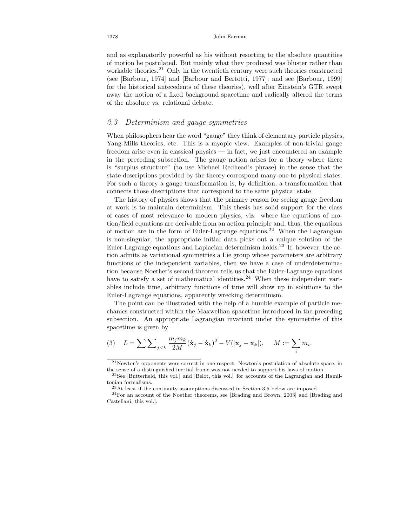and as explanatorily powerful as his without resorting to the absolute quantities of motion he postulated. But mainly what they produced was bluster rather than workable theories.<sup>21</sup> Only in the twentieth century were such theories constructed (see [Barbour, 1974] and [Barbour and Bertotti, 1977]; and see [Barbour, 1999] for the historical antecedents of these theories), well after Einstein's GTR swept away the notion of a fixed background spacetime and radically altered the terms of the absolute vs. relational debate.

# *3.3 Determinism and gauge symmetries*

When philosophers hear the word "gauge" they think of elementary particle physics, Yang-Mills theories, etc. This is a myopic view. Examples of non-trivial gauge freedom arise even in classical physics — in fact, we just encountered an example in the preceding subsection. The gauge notion arises for a theory where there is "surplus structure" (to use Michael Redhead's phrase) in the sense that the state descriptions provided by the theory correspond many-one to physical states. For such a theory a gauge transformation is, by definition, a transformation that connects those descriptions that correspond to the same physical state.

The history of physics shows that the primary reason for seeing gauge freedom at work is to maintain determinism. This thesis has solid support for the class of cases of most relevance to modern physics, viz. where the equations of motion/field equations are derivable from an action principle and, thus, the equations of motion are in the form of Euler-Lagrange equations.<sup>22</sup> When the Lagrangian is non-singular, the appropriate initial data picks out a unique solution of the Euler-Lagrange equations and Laplacian determinism holds.<sup>23</sup> If, however, the action admits as variational symmetries a Lie group whose parameters are arbitrary functions of the independent variables, then we have a case of underdetermination because Noether's second theorem tells us that the Euler-Lagrange equations have to satisfy a set of mathematical identities.<sup>24</sup> When these independent variables include time, arbitrary functions of time will show up in solutions to the Euler-Lagrange equations, apparently wrecking determinism.

The point can be illustrated with the help of a humble example of particle mechanics constructed within the Maxwellian spacetime introduced in the preceding subsection. An appropriate Lagrangian invariant under the symmetries of this spacetime is given by

(3) 
$$
L = \sum \sum_{j < k} \frac{m_j m_k}{2M} (\dot{\mathbf{x}}_j - \dot{\mathbf{x}}_k)^2 - V(|\mathbf{x}_j - \mathbf{x}_k|), \quad M := \sum_i m_i.
$$

 $21$ Newton's opponents were correct in one respect: Newton's postulation of absolute space, in the sense of a distinguished inertial frame was not needed to support his laws of motion.

 $^{22}$ See [Butterfield, this vol.] and [Belot, this vol.] for accounts of the Lagrangian and Hamiltonian formalisms.

<sup>23</sup>At least if the continuity assumptions discussed in Section 3.5 below are imposed.

<sup>24</sup>For an account of the Noether theorems, see [Brading and Brown, 2003] and [Brading and Castellani, this vol.].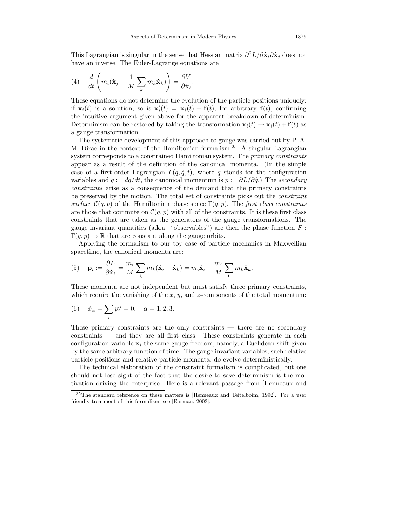This Lagrangian is singular in the sense that Hessian matrix  $\partial^2 L/\partial \dot{x}_i \partial \dot{x}_j$  does not have an inverse. The Euler-Lagrange equations are

(4) 
$$
\frac{d}{dt}\left(m_i(\dot{\mathbf{x}}_j-\frac{1}{M}\sum_k m_k \dot{\mathbf{x}}_k)\right)=\frac{\partial V}{\partial \dot{\mathbf{x}}_i}.
$$

These equations do not determine the evolution of the particle positions uniquely: if  $\mathbf{x}_i(t)$  is a solution, so is  $\mathbf{x}'_i(t) = \mathbf{x}_i(t) + \mathbf{f}(t)$ , for arbitrary  $\mathbf{f}(t)$ , confirming<br>the intuitive argument given above for the apparent broakdown of determinism the intuitive argument given above for the apparent breakdown of determinism. Determinism can be restored by taking the transformation  $\mathbf{x}_i(t) \to \mathbf{x}_i(t) + \mathbf{f}(t)$  as a gauge transformation.

The systematic development of this approach to gauge was carried out by P. A. M. Dirac in the context of the Hamiltonian formalism.<sup>25</sup> A singular Lagrangian system corresponds to a constrained Hamiltonian system. The *primary constraints* appear as a result of the definition of the canonical momenta. (In the simple case of a first-order Lagrangian  $L(q, \dot{q}, t)$ , where q stands for the configuration variables and  $\dot{q} := dq/dt$ , the canonical momentum is  $p := \partial L/\partial \dot{q}$ .) The *secondary constraints* arise as a consequence of the demand that the primary constraints be preserved by the motion. The total set of constraints picks out the *constraint surface*  $C(q, p)$  of the Hamiltonian phase space  $\Gamma(q, p)$ . The *first class constraints* are those that commute on  $\mathcal{C}(q, p)$  with all of the constraints. It is these first class constraints that are taken as the generators of the gauge transformations. The gauge invariant quantities (a.k.a. "observables") are then the phase function  $F$ :  $\Gamma(q, p) \to \mathbb{R}$  that are constant along the gauge orbits.

Applying the formalism to our toy case of particle mechanics in Maxwellian spacetime, the canonical momenta are:

(5) 
$$
\mathbf{p}_i := \frac{\partial L}{\partial \dot{\mathbf{x}}_i} = \frac{m_i}{M} \sum_k m_k (\dot{\mathbf{x}}_i - \dot{\mathbf{x}}_k) = m_i \dot{\mathbf{x}}_i - \frac{m_i}{M} \sum_k m_k \dot{\mathbf{x}}_k.
$$

These momenta are not independent but must satisfy three primary constraints, which require the vanishing of the  $x, y$ , and  $z$ -components of the total momentum:

(6) 
$$
\phi_{\alpha} = \sum_{i} p_i^{\alpha} = 0, \quad \alpha = 1, 2, 3.
$$

These primary constraints are the only constraints — there are no secondary constraints — and they are all first class. These constraints generate in each configuration variable  $\mathbf{x}_i$  the same gauge freedom; namely, a Euclidean shift given by the same arbitrary function of time. The gauge invariant variables, such relative particle positions and relative particle momenta, do evolve deterministically.

The technical elaboration of the constraint formalism is complicated, but one should not lose sight of the fact that the desire to save determinism is the motivation driving the enterprise. Here is a relevant passage from [Henneaux and

<sup>25</sup>The standard reference on these matters is [Henneaux and Teitelboim, 1992]. For a user friendly treatment of this formalism, see [Earman, 2003].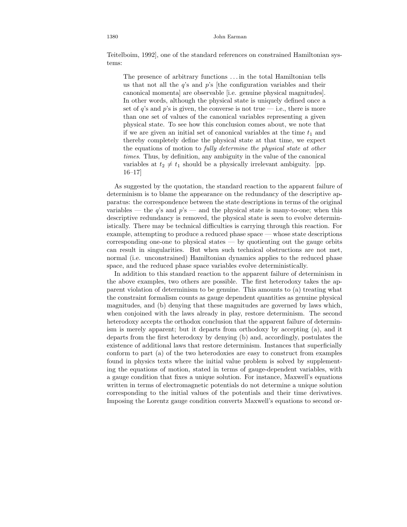Teitelboim, 1992], one of the standard references on constrained Hamiltonian systems:

The presence of arbitrary functions . . . in the total Hamiltonian tells us that not all the  $q$ 's and  $p$ 's [the configuration variables and their canonical momenta] are observable [i.e. genuine physical magnitudes]. In other words, although the physical state is uniquely defined once a set of q's and p's is given, the converse is not true  $-$  i.e., there is more than one set of values of the canonical variables representing a given physical state. To see how this conclusion comes about, we note that if we are given an initial set of canonical variables at the time  $t_1$  and thereby completely define the physical state at that time, we expect the equations of motion to *fully determine the physical state at other times*. Thus, by definition, any ambiguity in the value of the canonical variables at  $t_2 \neq t_1$  should be a physically irrelevant ambiguity. [pp. 16–17]

As suggested by the quotation, the standard reaction to the apparent failure of determinism is to blame the appearance on the redundancy of the descriptive apparatus: the correspondence between the state descriptions in terms of the original variables — the  $q$ 's and  $p$ 's — and the physical state is many-to-one; when this descriptive redundancy is removed, the physical state is seen to evolve deterministically. There may be technical difficulties is carrying through this reaction. For example, attempting to produce a reduced phase space — whose state descriptions corresponding one-one to physical states — by quotienting out the gauge orbits can result in singularities. But when such technical obstructions are not met, normal (i.e. unconstrained) Hamiltonian dynamics applies to the reduced phase space, and the reduced phase space variables evolve deterministically.

In addition to this standard reaction to the apparent failure of determinism in the above examples, two others are possible. The first heterodoxy takes the apparent violation of determinism to be genuine. This amounts to (a) treating what the constraint formalism counts as gauge dependent quantities as genuine physical magnitudes, and (b) denying that these magnitudes are governed by laws which, when conjoined with the laws already in play, restore determinism. The second heterodoxy accepts the orthodox conclusion that the apparent failure of determinism is merely apparent; but it departs from orthodoxy by accepting (a), and it departs from the first heterodoxy by denying (b) and, accordingly, postulates the existence of additional laws that restore determinism. Instances that superficially conform to part (a) of the two heterodoxies are easy to construct from examples found in physics texts where the initial value problem is solved by supplementing the equations of motion, stated in terms of gauge-dependent variables, with a gauge condition that fixes a unique solution. For instance, Maxwell's equations written in terms of electromagnetic potentials do not determine a unique solution corresponding to the initial values of the potentials and their time derivatives. Imposing the Lorentz gauge condition converts Maxwell's equations to second or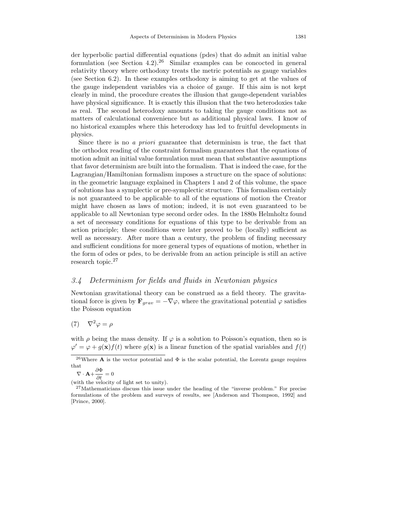der hyperbolic partial differential equations (pdes) that do admit an initial value formulation (see Section 4.2).<sup>26</sup> Similar examples can be concocted in general relativity theory where orthodoxy treats the metric potentials as gauge variables (see Section 6.2). In these examples orthodoxy is aiming to get at the values of the gauge independent variables via a choice of gauge. If this aim is not kept clearly in mind, the procedure creates the illusion that gauge-dependent variables have physical significance. It is exactly this illusion that the two heterodoxies take as real. The second heterodoxy amounts to taking the gauge conditions not as matters of calculational convenience but as additional physical laws. I know of no historical examples where this heterodoxy has led to fruitful developments in physics.

Since there is no *a priori* guarantee that determinism is true, the fact that the orthodox reading of the constraint formalism guarantees that the equations of motion admit an initial value formulation must mean that substantive assumptions that favor determinism are built into the formalism. That is indeed the case, for the Lagrangian/Hamiltonian formalism imposes a structure on the space of solutions: in the geometric language explained in Chapters 1 and 2 of this volume, the space of solutions has a symplectic or pre-symplectic structure. This formalism certainly is not guaranteed to be applicable to all of the equations of motion the Creator might have chosen as laws of motion; indeed, it is not even guaranteed to be applicable to all Newtonian type second order odes. In the 1880s Helmholtz found a set of necessary conditions for equations of this type to be derivable from an action principle; these conditions were later proved to be (locally) sufficient as well as necessary. After more than a century, the problem of finding necessary and sufficient conditions for more general types of equations of motion, whether in the form of odes or pdes, to be derivable from an action principle is still an active research topic.<sup>27</sup>

# *3.4 Determinism for fields and fluids in Newtonian physics*

Newtonian gravitational theory can be construed as a field theory. The gravitational force is given by  $\mathbf{F}_{grav} = -\nabla \varphi$ , where the gravitational potential  $\varphi$  satisfies the Poisson equation

$$
(7) \quad \nabla^2 \varphi = \rho
$$

with  $\rho$  being the mass density. If  $\varphi$  is a solution to Poisson's equation, then so is  $\varphi' = \varphi + g(\mathbf{x})f(t)$  where  $g(\mathbf{x})$  is a linear function of the spatial variables and  $f(t)$ 

<sup>&</sup>lt;sup>26</sup>Where **A** is the vector potential and  $\Phi$  is the scalar potential, the Lorentz gauge requires that

 $\nabla \cdot \mathbf{A} + \frac{\partial \Phi}{\partial t}$  $\frac{\partial}{\partial t} = 0$ 

<sup>(</sup>with the velocity of light set to unity).

<sup>27</sup>Mathematicians discuss this issue under the heading of the "inverse problem." For precise formulations of the problem and surveys of results, see [Anderson and Thompson, 1992] and [Prince, 2000].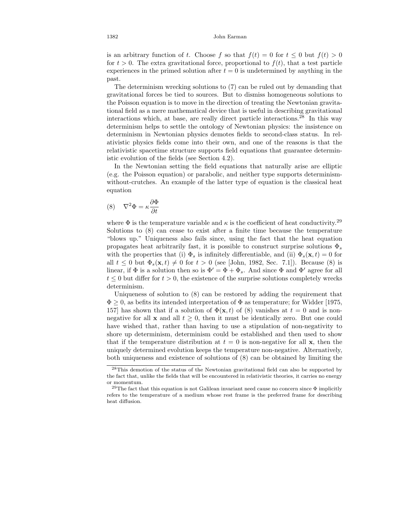is an arbitrary function of t. Choose f so that  $f(t) = 0$  for  $t \leq 0$  but  $f(t) > 0$ for  $t > 0$ . The extra gravitational force, proportional to  $f(t)$ , that a test particle experiences in the primed solution after  $t = 0$  is undetermined by anything in the past.

The determinism wrecking solutions to (7) can be ruled out by demanding that gravitational forces be tied to sources. But to dismiss homogeneous solutions to the Poisson equation is to move in the direction of treating the Newtonian gravitational field as a mere mathematical device that is useful in describing gravitational interactions which, at base, are really direct particle interactions.<sup>28</sup> In this way determinism helps to settle the ontology of Newtonian physics: the insistence on determinism in Newtonian physics demotes fields to second-class status. In relativistic physics fields come into their own, and one of the reasons is that the relativistic spacetime structure supports field equations that guarantee deterministic evolution of the fields (see Section 4.2).

In the Newtonian setting the field equations that naturally arise are elliptic (e.g. the Poisson equation) or parabolic, and neither type supports determinismwithout-crutches. An example of the latter type of equation is the classical heat equation

$$
(8) \quad \nabla^2 \Phi = \kappa \frac{\partial \Phi}{\partial t}
$$

where  $\Phi$  is the temperature variable and  $\kappa$  is the coefficient of heat conductivity.<sup>29</sup> Solutions to (8) can cease to exist after a finite time because the temperature "blows up." Uniqueness also fails since, using the fact that the heat equation propagates heat arbitrarily fast, it is possible to construct surprise solutions  $\Phi_s$ with the properties that (i)  $\Phi_s$  is infinitely differentiable, and (ii)  $\Phi_s(\mathbf{x}, t) = 0$  for all  $t \leq 0$  but  $\Phi_s(\mathbf{x}, t) \neq 0$  for  $t > 0$  (see [John, 1982, Sec. 7.1]). Because (8) is linear, if  $\Phi$  is a solution then so is  $\Phi' = \Phi + \Phi_s$ . And since  $\Phi$  and  $\Phi'$  agree for all  $t \leq 0$  but differ for  $t > 0$ , the existence of the surprise solutions completely wrecks determinism.

Uniqueness of solution to (8) can be restored by adding the requirement that  $\Phi \geq 0$ , as befits its intended interpretation of  $\Phi$  as temperature; for Widder [1975, 157] has shown that if a solution of  $\Phi(\mathbf{x},t)$  of (8) vanishes at  $t=0$  and is nonnegative for all **x** and all  $t \geq 0$ , then it must be identically zero. But one could have wished that, rather than having to use a stipulation of non-negativity to shore up determinism, determinism could be established and then used to show that if the temperature distribution at  $t = 0$  is non-negative for all **x**, then the uniquely determined evolution keeps the temperature non-negative. Alternatively, both uniqueness and existence of solutions of (8) can be obtained by limiting the

<sup>28</sup>This demotion of the status of the Newtonian gravitational field can also be supported by the fact that, unlike the fields that will be encountered in relativistic theories, it carries no energy or momentum.

<sup>&</sup>lt;sup>29</sup>The fact that this equation is not Galilean invariant need cause no concern since  $\Phi$  implicitly refers to the temperature of a medium whose rest frame is the preferred frame for describing heat diffusion.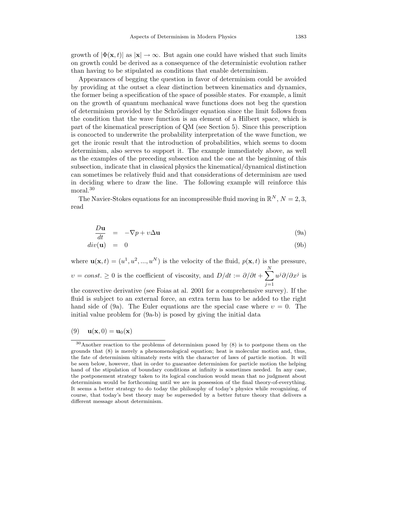growth of  $|\Phi(\mathbf{x}, t)|$  as  $|\mathbf{x}| \to \infty$ . But again one could have wished that such limits on growth could be derived as a consequence of the deterministic evolution rather than having to be stipulated as conditions that enable determinism.

Appearances of begging the question in favor of determinism could be avoided by providing at the outset a clear distinction between kinematics and dynamics, the former being a specification of the space of possible states. For example, a limit on the growth of quantum mechanical wave functions does not beg the question of determinism provided by the Schrödinger equation since the limit follows from the condition that the wave function is an element of a Hilbert space, which is part of the kinematical prescription of QM (see Section 5). Since this prescription is concocted to underwrite the probability interpretation of the wave function, we get the ironic result that the introduction of probabilities, which seems to doom determinism, also serves to support it. The example immediately above, as well as the examples of the preceding subsection and the one at the beginning of this subsection, indicate that in classical physics the kinematical/dynamical distinction can sometimes be relatively fluid and that considerations of determinism are used in deciding where to draw the line. The following example will reinforce this moral.<sup>30</sup>

The Navier-Stokes equations for an incompressible fluid moving in  $\mathbb{R}^N$ ,  $N = 2, 3$ , read

$$
\frac{D\mathbf{u}}{dt} = -\nabla p + v\Delta \mathbf{u}
$$
\n(9a)

$$
div(\mathbf{u}) = 0 \tag{9b}
$$

where  $\mathbf{u}(\mathbf{x}, t) = (u^1, u^2, ..., u^N)$  is the velocity of the fluid,  $p(\mathbf{x}, t)$  is the pressure,  $v = const. \geq 0$  is the coefficient of viscosity, and  $D/dt := \partial/\partial t + \sum u^{j}\partial/\partial x^{j}$  is

the convective derivative (see Foias at al. 2001 for a comprehensive survey). If the fluid is subject to an external force, an extra term has to be added to the right hand side of (9a). The Euler equations are the special case where  $v = 0$ . The initial value problem for (9a-b) is posed by giving the initial data

# $(\mathbf{9})$  **u** $(\mathbf{x}, 0) = \mathbf{u}_0(\mathbf{x})$

<sup>30</sup>Another reaction to the problems of determinism posed by (8) is to postpone them on the grounds that (8) is merely a phenomenological equation; heat is molecular motion and, thus, the fate of determinism ultimately rests with the character of laws of particle motion. It will be seen below, however, that in order to guarantee determinism for particle motion the helping hand of the stipulation of boundary conditions at infinity is sometimes needed. In any case, the postponement strategy taken to its logical conclusion would mean that no judgment about determinism would be forthcoming until we are in possession of the final theory-of-everything. It seems a better strategy to do today the philosophy of today's physics while recognizing, of course, that today's best theory may be superseded by a better future theory that delivers a different message about determinism.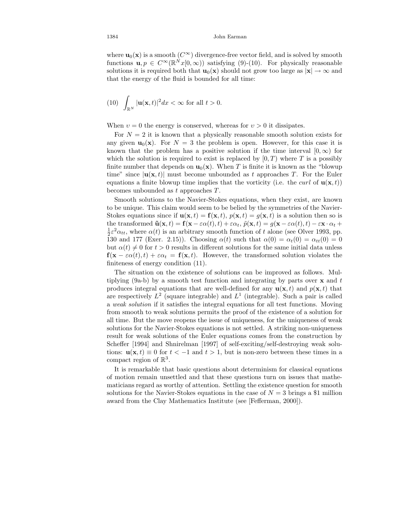where  $\mathbf{u}_0(\mathbf{x})$  is a smooth  $(C^{\infty})$  divergence-free vector field, and is solved by smooth functions  $\mathbf{u}, p \in C^{\infty}(\mathbb{R}^{N}x[0,\infty))$  satisfying (9)-(10). For physically reasonable solutions it is required both that  $\mathbf{u}_0(\mathbf{x})$  should not grow too large as  $|\mathbf{x}| \to \infty$  and that the energy of the fluid is bounded for all time:

(10) 
$$
\int_{\mathbb{R}^N} |\mathbf{u}(\mathbf{x},t)|^2 dx < \infty \text{ for all } t > 0.
$$

When  $v = 0$  the energy is conserved, whereas for  $v > 0$  it dissipates.

For  $N = 2$  it is known that a physically reasonable smooth solution exists for any given  $\mathbf{u}_0(\mathbf{x})$ . For  $N = 3$  the problem is open. However, for this case it is known that the problem has a positive solution if the time interval  $[0, \infty)$  for which the solution is required to exist is replaced by  $[0, T)$  where T is a possibly finite number that depends on  $\mathbf{u}_0(\mathbf{x})$ . When T is finite it is known as the "blowup time" since  $|\mathbf{u}(\mathbf{x},t)|$  must become unbounded as t approaches T. For the Euler equations a finite blowup time implies that the vorticity (i.e. the *curl* of  $\mathbf{u}(\mathbf{x},t)$ ) becomes unbounded as t approaches T.

Smooth solutions to the Navier-Stokes equations, when they exist, are known to be unique. This claim would seem to be belied by the symmetries of the Navier-Stokes equations since if  $\mathbf{u}(\mathbf{x}, t) = \mathbf{f}(\mathbf{x}, t)$ ,  $p(\mathbf{x}, t) = g(\mathbf{x}, t)$  is a solution then so is the transformed  $\tilde{\mathbf{u}}(\mathbf{x}, t) = \mathbf{f}(\mathbf{x} - \varepsilon \alpha(t), t) + \varepsilon \alpha_t$ ,  $\tilde{p}(\mathbf{x}, t) = g(\mathbf{x} - \varepsilon \alpha(t), t) - \varepsilon \mathbf{x} \cdot \alpha_t +$  $\frac{1}{2}\varepsilon^2 \alpha_{tt}$ , where  $\alpha(t)$  is an arbitrary smooth function of t alone (see Olver 1993, pp.  $(1, 2)$ ) 130 and 177 (Exer. 2.15)). Choosing  $\alpha(t)$  such that  $\alpha(0) = \alpha_t(0) = \alpha_{tt}(0) = 0$ but  $\alpha(t) \neq 0$  for  $t > 0$  results in different solutions for the same initial data unless  $f(x - \varepsilon \alpha(t), t) + \varepsilon \alpha_t = f(x, t)$ . However, the transformed solution violates the finiteness of energy condition (11).

The situation on the existence of solutions can be improved as follows. Multiplying (9a-b) by a smooth test function and integrating by parts over **x** and t produces integral equations that are well-defined for any  $\mathbf{u}(\mathbf{x}, t)$  and  $p(\mathbf{x}, t)$  that are respectively  $L^2$  (square integrable) and  $L^1$  (integrable). Such a pair is called a *weak solution* if it satisfies the integral equations for all test functions. Moving from smooth to weak solutions permits the proof of the existence of a solution for all time. But the move reopens the issue of uniqueness, for the uniqueness of weak solutions for the Navier-Stokes equations is not settled. A striking non-uniqueness result for weak solutions of the Euler equations comes from the construction by Scheffer [1994] and Shnirelman [1997] of self-exciting/self-destroying weak solutions:  $\mathbf{u}(\mathbf{x}, t) \equiv 0$  for  $t < -1$  and  $t > 1$ , but is non-zero between these times in a compact region of  $\mathbb{R}^3$ .

It is remarkable that basic questions about determinism for classical equations of motion remain unsettled and that these questions turn on issues that mathematicians regard as worthy of attention. Settling the existence question for smooth solutions for the Navier-Stokes equations in the case of  $N = 3$  brings a \$1 million award from the Clay Mathematics Institute (see [Fefferman, 2000]).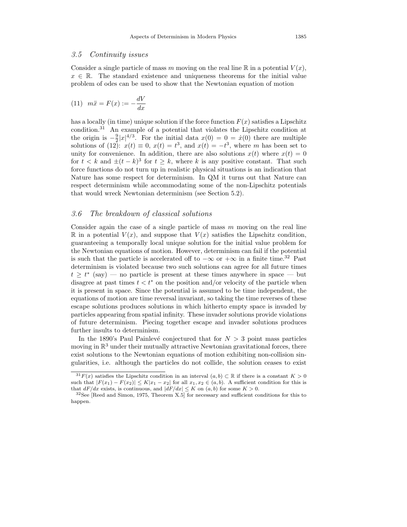#### *3.5 Continuity issues*

Consider a single particle of mass m moving on the real line R in a potential  $V(x)$ ,  $x \in \mathbb{R}$ . The standard existence and uniqueness theorems for the initial value problem of odes can be used to show that the Newtonian equation of motion

$$
(11) \quad m\ddot{x} = F(x) := -\frac{dV}{dx}
$$

has a locally (in time) unique solution if the force function  $F(x)$  satisfies a Lipschitz condition.<sup>31</sup> An example of a potential that violates the Lipschitz condition at the origin is  $-\frac{9}{2}|x|^{4/3}$ . For the initial data  $x(0) = 0 = \dot{x}(0)$  there are multiple solutions of (12):  $x(t) \equiv 0$ ,  $x(t) = t^3$ , and  $x(t) = -t^3$ , where m has been set to unity for convenience. In addition, there are also solutions  $x(t)$  where  $x(t)=0$ for  $t < k$  and  $\pm (t - k)^3$  for  $t \geq k$ , where k is any positive constant. That such force functions do not turn up in realistic physical situations is an indication that Nature has some respect for determinism. In QM it turns out that Nature can respect determinism while accommodating some of the non-Lipschitz potentials that would wreck Newtonian determinism (see Section 5.2).

# *3.6 The breakdown of classical solutions*

Consider again the case of a single particle of mass  $m$  moving on the real line R in a potential  $V(x)$ , and suppose that  $V(x)$  satisfies the Lipschitz condition, guaranteeing a temporally local unique solution for the initial value problem for the Newtonian equations of motion. However, determinism can fail if the potential is such that the particle is accelerated off to  $-\infty$  or  $+\infty$  in a finite time.<sup>32</sup> Past determinism is violated because two such solutions can agree for all future times  $t \geq t^*$  (say) — no particle is present at these times anywhere in space — but disagree at past times  $t < t^*$  on the position and/or velocity of the particle when it is present in space. Since the potential is assumed to be time independent, the equations of motion are time reversal invariant, so taking the time reverses of these escape solutions produces solutions in which hitherto empty space is invaded by particles appearing from spatial infinity. These invader solutions provide violations of future determinism. Piecing together escape and invader solutions produces further insults to determinism.

In the 1890's Paul Painlevé conjectured that for  $N > 3$  point mass particles moving in  $\mathbb{R}^3$  under their mutually attractive Newtonian gravitational forces, there exist solutions to the Newtonian equations of motion exhibiting non-collision singularities, i.e. although the particles do not collide, the solution ceases to exist

 $3^1F(x)$  satisfies the Lipschitz condition in an interval  $(a, b) \subset \mathbb{R}$  if there is a constant  $K > 0$ such that  $|F(x_1) - F(x_2)| \le K|x_1 - x_2|$  for all  $x_1, x_2 \in (a, b)$ . A sufficient condition for this is that  $dF/dx$  exists, is continuous, and  $|dF/dx| \leq K$  on  $(a, b)$  for some  $K > 0$ .

 $32$ See [Reed and Simon, 1975, Theorem X.5] for necessary and sufficient conditions for this to happen.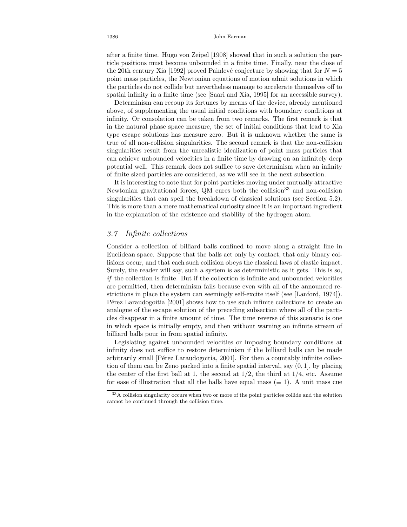after a finite time. Hugo von Zeipel [1908] showed that in such a solution the particle positions must become unbounded in a finite time. Finally, near the close of the 20th century Xia [1992] proved Painlevé conjecture by showing that for  $N = 5$ point mass particles, the Newtonian equations of motion admit solutions in which the particles do not collide but nevertheless manage to accelerate themselves off to spatial infinity in a finite time (see [Saari and Xia, 1995] for an accessible survey).

Determinism can recoup its fortunes by means of the device, already mentioned above, of supplementing the usual initial conditions with boundary conditions at infinity. Or consolation can be taken from two remarks. The first remark is that in the natural phase space measure, the set of initial conditions that lead to Xia type escape solutions has measure zero. But it is unknown whether the same is true of all non-collision singularities. The second remark is that the non-collision singularities result from the unrealistic idealization of point mass particles that can achieve unbounded velocities in a finite time by drawing on an infinitely deep potential well. This remark does not suffice to save determinism when an infinity of finite sized particles are considered, as we will see in the next subsection.

It is interesting to note that for point particles moving under mutually attractive Newtonian gravitational forces,  $QM$  cures both the collision<sup>33</sup> and non-collision singularities that can spell the breakdown of classical solutions (see Section 5.2). This is more than a mere mathematical curiosity since it is an important ingredient in the explanation of the existence and stability of the hydrogen atom.

## *3.7 Infinite collections*

Consider a collection of billiard balls confined to move along a straight line in Euclidean space. Suppose that the balls act only by contact, that only binary collisions occur, and that each such collision obeys the classical laws of elastic impact. Surely, the reader will say, such a system is as deterministic as it gets. This is so, *if* the collection is finite. But if the collection is infinite and unbounded velocities are permitted, then determinism fails because even with all of the announced restrictions in place the system can seemingly self-excite itself (see [Lanford, 1974]). P<sub>e</sub>erez Laraudogoitia [2001] shows how to use such infinite collections to create an analogue of the escape solution of the preceding subsection where all of the particles disappear in a finite amount of time. The time reverse of this scenario is one in which space is initially empty, and then without warning an infinite stream of billiard balls pour in from spatial infinity.

Legislating against unbounded velocities or imposing boundary conditions at infinity does not suffice to restore determinism if the billiard balls can be made arbitrarily small [Pérez Laraudogoitia, 2001]. For then a countably infinite collection of them can be Zeno packed into a finite spatial interval, say (0, 1], by placing the center of the first ball at 1, the second at  $1/2$ , the third at  $1/4$ , etc. Assume for ease of illustration that all the balls have equal mass  $(= 1)$ . A unit mass cue

<sup>33</sup>A collision singularity occurs when two or more of the point particles collide and the solution cannot be continued through the collision time.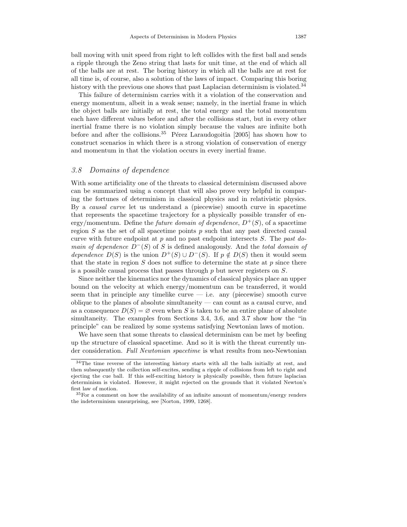ball moving with unit speed from right to left collides with the first ball and sends a ripple through the Zeno string that lasts for unit time, at the end of which all of the balls are at rest. The boring history in which all the balls are at rest for all time is, of course, also a solution of the laws of impact. Comparing this boring history with the previous one shows that past Laplacian determinism is violated.<sup>34</sup>

This failure of determinism carries with it a violation of the conservation and energy momentum, albeit in a weak sense; namely, in the inertial frame in which the object balls are initially at rest, the total energy and the total momentum each have different values before and after the collisions start, but in every other inertial frame there is no violation simply because the values are infinite both before and after the collisions.<sup>35</sup> Pérez Laraudogoitia [2005] has shown how to construct scenarios in which there is a strong violation of conservation of energy and momentum in that the violation occurs in every inertial frame.

# *3.8 Domains of dependence*

With some artificiality one of the threats to classical determinism discussed above can be summarized using a concept that will also prove very helpful in comparing the fortunes of determinism in classical physics and in relativistic physics. By a *causal curve* let us understand a (piecewise) smooth curve in spacetime that represents the spacetime trajectory for a physically possible transfer of energy/momentum. Define the *future domain of dependence*,  $D^{+}(S)$ , of a spacetime region  $S$  as the set of all spacetime points  $p$  such that any past directed causal curve with future endpoint at p and no past endpoint intersects S. The *past domain of dependence* D−(S) of S is defined analogously. And the *total domain of dependence*  $D(S)$  is the union  $D^+(S) \cup D^-(S)$ . If  $p \notin D(S)$  then it would seem that the state in region  $S$  does not suffice to determine the state at  $p$  since there is a possible causal process that passes through p but never registers on S.

Since neither the kinematics nor the dynamics of classical physics place an upper bound on the velocity at which energy/momentum can be transferred, it would seem that in principle any timelike curve  $-$  i.e. any (piecewise) smooth curve oblique to the planes of absolute simultaneity — can count as a causal curve, and as a consequence  $D(S) = \emptyset$  even when S is taken to be an entire plane of absolute simultaneity. The examples from Sections 3.4, 3.6, and 3.7 show how the "in principle" can be realized by some systems satisfying Newtonian laws of motion.

We have seen that some threats to classical determinism can be met by beefing up the structure of classical spacetime. And so it is with the threat currently under consideration. *Full Newtonian spacetime* is what results from neo-Newtonian

<sup>&</sup>lt;sup>34</sup>The time reverse of the interesting history starts with all the balls initially at rest, and then subsequently the collection self-excites, sending a ripple of collisions from left to right and ejecting the cue ball. If this self-exciting history is physically possible, then future laplacian determinism is violated. However, it might rejected on the grounds that it violated Newton's first law of motion.

 $35$  For a comment on how the availability of an infinite amount of momentum/energy renders the indeterminism unsurprising, see [Norton, 1999, 1268].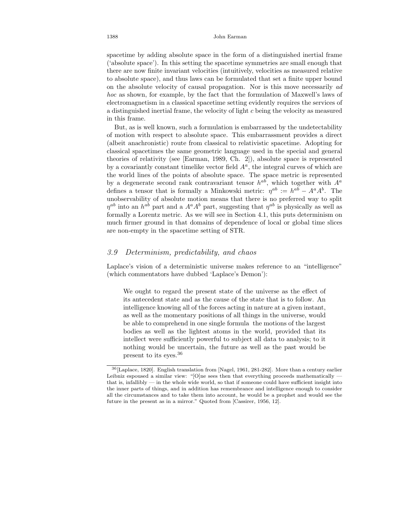spacetime by adding absolute space in the form of a distinguished inertial frame ('absolute space'). In this setting the spacetime symmetries are small enough that there are now finite invariant velocities (intuitively, velocities as measured relative to absolute space), and thus laws can be formulated that set a finite upper bound on the absolute velocity of causal propagation. Nor is this move necessarily *ad hoc* as shown, for example, by the fact that the formulation of Maxwell's laws of electromagnetism in a classical spacetime setting evidently requires the services of a distinguished inertial frame, the velocity of light c being the velocity as measured in this frame.

But, as is well known, such a formulation is embarrassed by the undetectability of motion with respect to absolute space. This embarrassment provides a direct (albeit anachronistic) route from classical to relativistic spacetime. Adopting for classical spacetimes the same geometric language used in the special and general theories of relativity (see [Earman, 1989, Ch. 2]), absolute space is represented by a covariantly constant timelike vector field  $A^a$ , the integral curves of which are the world lines of the points of absolute space. The space metric is represented by a degenerate second rank contravariant tensor  $h^{ab}$ , which together with  $A^a$ defines a tensor that is formally a Minkowski metric:  $\eta^{ab} := h^{ab} - A^a A^b$ . The unobservability of absolute motion means that there is no preferred way to split  $\eta^{ab}$  into an  $h^{ab}$  part and a  $A^a A^b$  part, suggesting that  $\eta^{ab}$  is physically as well as formally a Lorentz metric. As we will see in Section 4.1, this puts determinism on much firmer ground in that domains of dependence of local or global time slices are non-empty in the spacetime setting of STR.

# *3.9 Determinism, predictability, and chaos*

Laplace's vision of a deterministic universe makes reference to an "intelligence" (which commentators have dubbed 'Laplace's Demon'):

We ought to regard the present state of the universe as the effect of its antecedent state and as the cause of the state that is to follow. An intelligence knowing all of the forces acting in nature at a given instant, as well as the momentary positions of all things in the universe, would be able to comprehend in one single formula the motions of the largest bodies as well as the lightest atoms in the world, provided that its intellect were sufficiently powerful to subject all data to analysis; to it nothing would be uncertain, the future as well as the past would be present to its eyes.<sup>36</sup>

<sup>36</sup>[Laplace, 1820]. English translation from [Nagel, 1961, 281-282]. More than a century earlier Leibniz espoused a similar view: "[O]ne sees then that everything proceeds mathematically that is, infallibly — in the whole wide world, so that if someone could have sufficient insight into the inner parts of things, and in addition has remembrance and intelligence enough to consider all the circumstances and to take them into account, he would be a prophet and would see the future in the present as in a mirror." Quoted from [Cassirer, 1956, 12].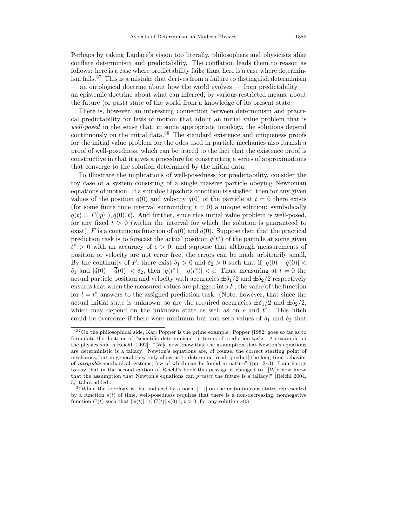Perhaps by taking Laplace's vision too literally, philosophers and physicists alike conflate determinism and predictability. The conflation leads them to reason as follows: here is a case where predictability fails; thus, here is a case where determinism fails.<sup>37</sup> This is a mistake that derives from a failure to distinguish determinism — an ontological doctrine about how the world evolves — from predictability an epistemic doctrine about what can inferred, by various restricted means, about the future (or past) state of the world from a knowledge of its present state.

There is, however, an interesting connection between determinism and practical predictability for laws of motion that admit an initial value problem that is *well-posed* in the sense that, in some appropriate topology, the solutions depend continuously on the initial data.<sup>38</sup> The standard existence and uniqueness proofs for the initial value problem for the odes used in particle mechanics also furnish a proof of well-posedness, which can be traced to the fact that the existence proof is constructive in that it gives a procedure for constructing a series of approximations that converge to the solution determined by the initial data.

To illustrate the implications of well-posedness for predictability, consider the toy case of a system consisting of a single massive particle obeying Newtonian equations of motion. If a suitable Lipschitz condition is satisfied, then for any given values of the position  $q(0)$  and velocity  $\dot{q}(0)$  of the particle at  $t = 0$  there exists (for some finite time interval surrounding  $t = 0$ ) a unique solution: symbolically  $q(t) = F(q(0), \dot{q}(0), t)$ . And further, since this initial value problem is well-posed, for any fixed  $t > 0$  (within the interval for which the solution is guaranteed to exist), F is a continuous function of  $q(0)$  and  $\dot{q}(0)$ . Suppose then that the practical prediction task is to forecast the actual position  $\bar{q}(t^*)$  of the particle at some given  $t^* > 0$  with an accuracy of  $\epsilon > 0$ , and suppose that although measurements of position or velocity are not error free, the errors can be made arbitrarily small. By the continuity of F, there exist  $\delta_1 > 0$  and  $\delta_2 > 0$  such that if  $|q(0) - \bar{q}(0)|$  $\delta_1$  and  $|\dot{q}(0) - \overline{\dot{q}}(0)| < \delta_2$ , then  $|q(t^*) - \overline{q}(t^*)| < \epsilon$ . Thus, measuring at  $t = 0$  the actual particle position and velocity with accuracies  $\pm \delta_1/2$  and  $\pm \delta_2/2$  respectively ensures that when the measured values are plugged into  $F$ , the value of the function for  $t = t^*$  answers to the assigned prediction task. (Note, however, that since the actual initial state is unknown, so are the required accuracies  $\pm \delta_1/2$  and  $\pm \delta_2/2$ , which may depend on the unknown state as well as on  $\epsilon$  and  $t^*$ . This hitch could be overcome if there were minimum but non-zero values of  $\delta_1$  and  $\delta_2$  that

<sup>37</sup>On the philosophical side, Karl Popper is the prime example. Popper [1982] goes so far as to formulate the doctrine of "scientific determinism" in terms of prediction tasks. An example on the physics side is Reichl [1992]: "[W]e now know that the assumption that Newton's equations are deterministic is a fallacy! Newton's equations are, of course, the correct starting point of mechanics, but in general they only allow us to determine [read: predict] the long time behavior of *integrable* mechanical systems, few of which can be found in nature" (pp.  $2-3$ ). I am happy to say that in the second edition of Reichl's book this passage is changed to "[W]e now know that the assumption that Newton's equations can predict the future is a fallacy!" [Reichl 2004, 3; italics added].

 $38$ When the topology is that induced by a norm  $|| \cdot ||$  on the instantaneous states represented by a function  $s(t)$  of time, well-posedness requires that there is a non-decreasing, nonnegative function  $C(t)$  such that  $||s(t)|| \leq C(t) ||s(0)||$ ,  $t > 0$ , for any solution  $s(t)$ .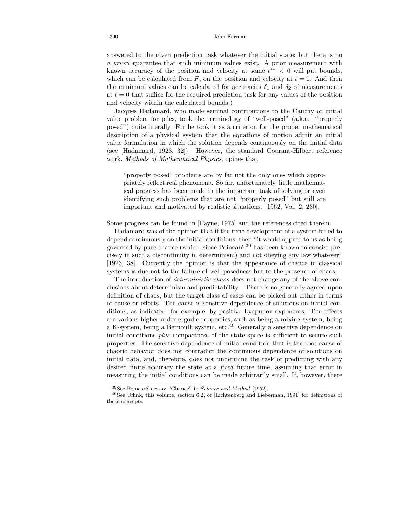answered to the given prediction task whatever the initial state; but there is no *a priori* guarantee that such minimum values exist. A prior measurement with known accuracy of the position and velocity at some  $t^{**} < 0$  will put bounds, which can be calculated from F, on the position and velocity at  $t = 0$ . And then the minimum values can be calculated for accuracies  $\delta_1$  and  $\delta_2$  of measurements at  $t = 0$  that suffice for the required prediction task for any values of the position and velocity within the calculated bounds.)

Jacques Hadamard, who made seminal contributions to the Cauchy or initial value problem for pdes, took the terminology of "well-posed" (a.k.a. "properly posed") quite literally. For he took it as a criterion for the proper mathematical description of a physical system that the equations of motion admit an initial value formulation in which the solution depends continuously on the initial data (see [Hadamard, 1923, 32]). However, the standard Courant-Hilbert reference work, *Methods of Mathematical Physics*, opines that

"properly posed" problems are by far not the only ones which appropriately reflect real phenomena. So far, unfortunately, little mathematical progress has been made in the important task of solving or even identifying such problems that are not "properly posed" but still are important and motivated by realistic situations. [1962, Vol. 2, 230].

Some progress can be found in [Payne, 1975] and the references cited therein.

Hadamard was of the opinion that if the time development of a system failed to depend continuously on the initial conditions, then "it would appear to us as being governed by pure chance (which, since Poincaré,  $39$  has been known to consist precisely in such a discontinuity in determinism) and not obeying any law whatever" [1923, 38]. Currently the opinion is that the appearance of chance in classical systems is due not to the failure of well-posedness but to the presence of chaos.

The introduction of *deterministic chaos* does not change any of the above conclusions about determinism and predictability. There is no generally agreed upon definition of chaos, but the target class of cases can be picked out either in terms of cause or effects. The cause is sensitive dependence of solutions on initial conditions, as indicated, for example, by positive Lyapunov exponents. The effects are various higher order ergodic properties, such as being a mixing system, being a K-system, being a Bernoulli system, etc.<sup>40</sup> Generally a sensitive dependence on initial conditions *plus* compactness of the state space is sufficient to secure such properties. The sensitive dependence of initial condition that is the root cause of chaotic behavior does not contradict the continuous dependence of solutions on initial data, and, therefore, does not undermine the task of predicting with any desired finite accuracy the state at a *fixed* future time, assuming that error in measuring the initial conditions can be made arbitrarily small. If, however, there

 $39$ See Poincaré's essay "Chance" in Science and Method [1952].

 $^{40}$ See Uffink, this volume, section 6.2, or [Lichtenberg and Lieberman, 1991] for definitions of these concepts.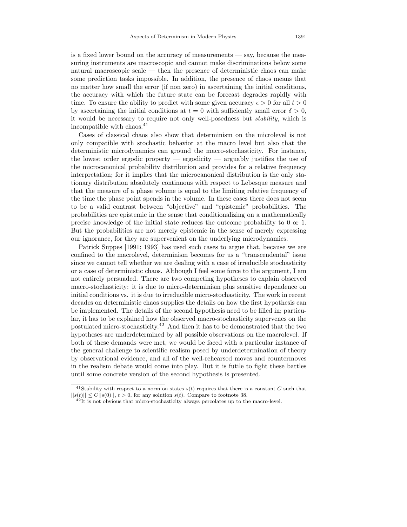is a fixed lower bound on the accuracy of measurements — say, because the measuring instruments are macroscopic and cannot make discriminations below some natural macroscopic scale — then the presence of deterministic chaos can make some prediction tasks impossible. In addition, the presence of chaos means that no matter how small the error (if non zero) in ascertaining the initial conditions, the accuracy with which the future state can be forecast degrades rapidly with time. To ensure the ability to predict with some given accuracy  $\epsilon > 0$  for all  $t > 0$ by ascertaining the initial conditions at  $t = 0$  with sufficiently small error  $\delta > 0$ , it would be necessary to require not only well-posedness but *stability*, which is incompatible with chaos.<sup>41</sup>

Cases of classical chaos also show that determinism on the microlevel is not only compatible with stochastic behavior at the macro level but also that the deterministic microdynamics can ground the macro-stochasticity. For instance, the lowest order ergodic property — ergodicity — arguably justifies the use of the microcanonical probability distribution and provides for a relative frequency interpretation; for it implies that the microcanonical distribution is the only stationary distribution absolutely continuous with respect to Lebesque measure and that the measure of a phase volume is equal to the limiting relative frequency of the time the phase point spends in the volume. In these cases there does not seem to be a valid contrast between "objective" and "epistemic" probabilities. The probabilities are epistemic in the sense that conditionalizing on a mathematically precise knowledge of the initial state reduces the outcome probability to 0 or 1. But the probabilities are not merely epistemic in the sense of merely expressing our ignorance, for they are supervenient on the underlying microdynamics.

Patrick Suppes [1991; 1993] has used such cases to argue that, because we are confined to the macrolevel, determinism becomes for us a "transcendental" issue since we cannot tell whether we are dealing with a case of irreducible stochasticity or a case of deterministic chaos. Although I feel some force to the argument, I am not entirely persuaded. There are two competing hypotheses to explain observed macro-stochasticity: it is due to micro-determinism plus sensitive dependence on initial conditions vs. it is due to irreducible micro-stochasticity. The work in recent decades on deterministic chaos supplies the details on how the first hypothesis can be implemented. The details of the second hypothesis need to be filled in; particular, it has to be explained how the observed macro-stochasticity supervenes on the postulated micro-stochasticity.<sup>42</sup> And then it has to be demonstrated that the two hypotheses are underdetermined by all possible observations on the macrolevel. If both of these demands were met, we would be faced with a particular instance of the general challenge to scientific realism posed by underdetermination of theory by observational evidence, and all of the well-rehearsed moves and countermoves in the realism debate would come into play. But it is futile to fight these battles until some concrete version of the second hypothesis is presented.

<sup>&</sup>lt;sup>41</sup>Stability with respect to a norm on states  $s(t)$  requires that there is a constant C such that  $||s(t)|| \leq C ||s(0)||$ ,  $t > 0$ , for any solution  $s(t)$ . Compare to footnote 38.

 $^{42}$ It is not obvious that micro-stochasticity always percolates up to the macro-level.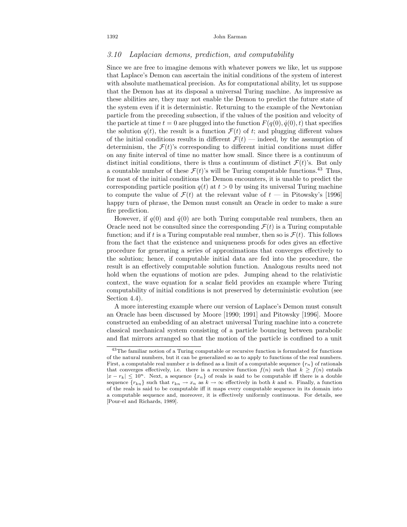# *3.10 Laplacian demons, prediction, and computability*

Since we are free to imagine demons with whatever powers we like, let us suppose that Laplace's Demon can ascertain the initial conditions of the system of interest with absolute mathematical precision. As for computational ability, let us suppose that the Demon has at its disposal a universal Turing machine. As impressive as these abilities are, they may not enable the Demon to predict the future state of the system even if it is deterministic. Returning to the example of the Newtonian particle from the preceding subsection, if the values of the position and velocity of the particle at time  $t = 0$  are plugged into the function  $F(q(0), \dot{q}(0), t)$  that specifies the solution  $q(t)$ , the result is a function  $\mathcal{F}(t)$  of t; and plugging different values of the initial conditions results in different  $\mathcal{F}(t)$  — indeed, by the assumption of determinism, the  $\mathcal{F}(t)$ 's corresponding to different initial conditions must differ on any finite interval of time no matter how small. Since there is a continuum of distinct initial conditions, there is thus a continuum of distinct  $\mathcal{F}(t)$ 's. But only a countable number of these  $\mathcal{F}(t)$ 's will be Turing computable functions.<sup>43</sup> Thus, for most of the initial conditions the Demon encounters, it is unable to predict the corresponding particle position  $q(t)$  at  $t > 0$  by using its universal Turing machine to compute the value of  $\mathcal{F}(t)$  at the relevant value of  $t$  — in Pitowsky's [1996] happy turn of phrase, the Demon must consult an Oracle in order to make a sure fire prediction.

However, if  $q(0)$  and  $\dot{q}(0)$  are both Turing computable real numbers, then an Oracle need not be consulted since the corresponding  $\mathcal{F}(t)$  is a Turing computable function; and if t is a Turing computable real number, then so is  $\mathcal{F}(t)$ . This follows from the fact that the existence and uniqueness proofs for odes gives an effective procedure for generating a series of approximations that converges effectively to the solution; hence, if computable initial data are fed into the procedure, the result is an effectively computable solution function. Analogous results need not hold when the equations of motion are pdes. Jumping ahead to the relativistic context, the wave equation for a scalar field provides an example where Turing computability of initial conditions is not preserved by deterministic evolution (see Section 4.4).

A more interesting example where our version of Laplace's Demon must consult an Oracle has been discussed by Moore [1990; 1991] and Pitowsky [1996]. Moore constructed an embedding of an abstract universal Turing machine into a concrete classical mechanical system consisting of a particle bouncing between parabolic and flat mirrors arranged so that the motion of the particle is confined to a unit

<sup>43</sup>The familiar notion of a Turing computable or recursive function is formulated for functions of the natural numbers, but it can be generalized so as to apply to functions of the real numbers. First, a computable real number x is defined as a limit of a computable sequence  ${r_n}$  of rationals that converges effectively, i.e. there is a recursive function  $f(n)$  such that  $k \geq f(n)$  entails  $|x - r_k| \leq 10^n$ . Next, a sequence  $\{x_n\}$  of reals is said to be computable iff there is a double sequence  ${r_{kn}}$  such that  $r_{kn} \to x_n$  as  $k \to \infty$  effectively in both k and n. Finally, a function of the reals is said to be computable iff it maps every computable sequence in its domain into a computable sequence and, moreover, it is effectively uniformly continuous. For details, see [Pour-el and Richards, 1989].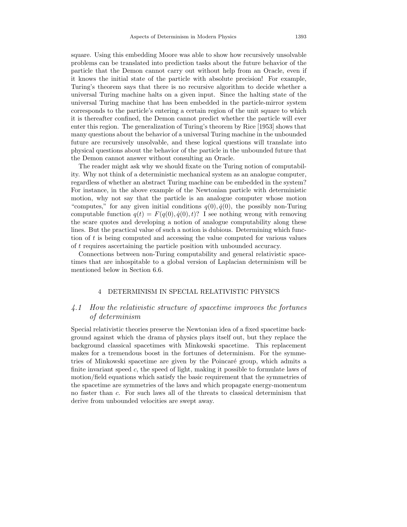square. Using this embedding Moore was able to show how recursively unsolvable problems can be translated into prediction tasks about the future behavior of the particle that the Demon cannot carry out without help from an Oracle, even if it knows the initial state of the particle with absolute precision! For example, Turing's theorem says that there is no recursive algorithm to decide whether a universal Turing machine halts on a given input. Since the halting state of the universal Turing machine that has been embedded in the particle-mirror system corresponds to the particle's entering a certain region of the unit square to which it is thereafter confined, the Demon cannot predict whether the particle will ever enter this region. The generalization of Turing's theorem by Rice [1953] shows that many questions about the behavior of a universal Turing machine in the unbounded future are recursively unsolvable, and these logical questions will translate into physical questions about the behavior of the particle in the unbounded future that the Demon cannot answer without consulting an Oracle.

The reader might ask why we should fixate on the Turing notion of computability. Why not think of a deterministic mechanical system as an analogue computer, regardless of whether an abstract Turing machine can be embedded in the system? For instance, in the above example of the Newtonian particle with deterministic motion, why not say that the particle is an analogue computer whose motion "computes," for any given initial conditions  $q(0), \dot{q}(0)$ , the possibly non-Turing computable function  $q(t) = F(q(0), \dot{q}(0), t)$ ? I see nothing wrong with removing the scare quotes and developing a notion of analogue computability along these lines. But the practical value of such a notion is dubious. Determining which function of t is being computed and accessing the value computed for various values of t requires ascertaining the particle position with unbounded accuracy.

Connections between non-Turing computability and general relativistic spacetimes that are inhospitable to a global version of Laplacian determinism will be mentioned below in Section 6.6.

#### 4 DETERMINISM IN SPECIAL RELATIVISTIC PHYSICS

# *4.1 How the relativistic structure of spacetime improves the fortunes of determinism*

Special relativistic theories preserve the Newtonian idea of a fixed spacetime background against which the drama of physics plays itself out, but they replace the background classical spacetimes with Minkowski spacetime. This replacement makes for a tremendous boost in the fortunes of determinism. For the symmetries of Minkowski spacetime are given by the Poincaré group, which admits a finite invariant speed  $c$ , the speed of light, making it possible to formulate laws of motion/field equations which satisfy the basic requirement that the symmetries of the spacetime are symmetries of the laws and which propagate energy-momentum no faster than c. For such laws all of the threats to classical determinism that derive from unbounded velocities are swept away.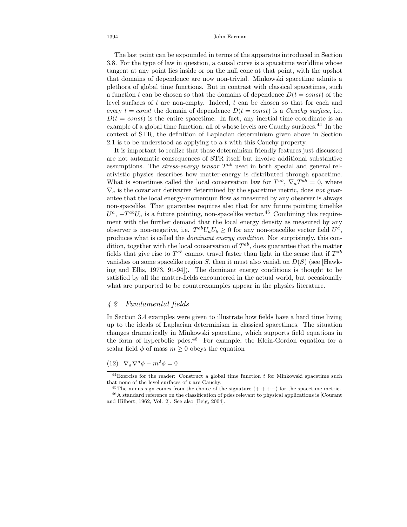The last point can be expounded in terms of the apparatus introduced in Section 3.8. For the type of law in question, a causal curve is a spacetime worldline whose tangent at any point lies inside or on the null cone at that point, with the upshot that domains of dependence are now non-trivial. Minkowski spacetime admits a plethora of global time functions. But in contrast with classical spacetimes, such a function t can be chosen so that the domains of dependence  $D(t = const)$  of the level surfaces of  $t$  are non-empty. Indeed,  $t$  can be chosen so that for each and every  $t = const$  the domain of dependence  $D(t = const)$  is a *Cauchy surface*, i.e.  $D(t = const)$  is the entire spacetime. In fact, any inertial time coordinate is an example of a global time function, all of whose levels are Cauchy surfaces.<sup>44</sup> In the context of STR, the definition of Laplacian determinism given above in Section 2.1 is to be understood as applying to a  $t$  with this Cauchy property.

It is important to realize that these determinism friendly features just discussed are not automatic consequences of STR itself but involve additional substantive assumptions. The *stress-energy tensor*  $T^{ab}$  used in both special and general relativistic physics describes how matter-energy is distributed through spacetime. What is sometimes called the local conservation law for  $T^{ab}$ ,  $\nabla_a T^{ab} = 0$ , where  $\nabla_a$  is the covariant derivative determined by the spacetime metric, does *not* guarantee that the local energy-momentum flow as measured by any observer is always non-spacelike. That guarantee requires also that for any future pointing timelike  $U^a$ ,  $-T^{ab}U_a$  is a future pointing, non-spacelike vector.<sup>45</sup> Combining this requirement with the further demand that the local energy density as measured by any observer is non-negative, i.e.  $T^{ab}U_aU_b \geq 0$  for any non-spacelike vector field  $U^a$ , produces what is called the *dominant energy condition*. Not surprisingly, this condition, together with the local conservation of  $T^{ab}$ , does guarantee that the matter fields that give rise to  $T^{ab}$  cannot travel faster than light in the sense that if  $T^{ab}$ vanishes on some spacelike region S, then it must also vanish on  $D(S)$  (see [Hawking and Ellis, 1973, 91-94]). The dominant energy conditions is thought to be satisfied by all the matter-fields encountered in the actual world, but occasionally what are purported to be counterexamples appear in the physics literature.

# *4.2 Fundamental fields*

In Section 3.4 examples were given to illustrate how fields have a hard time living up to the ideals of Laplacian determinism in classical spacetimes. The situation changes dramatically in Minkowski spacetime, which supports field equations in the form of hyperbolic pdes.<sup>46</sup> For example, the Klein-Gordon equation for a scalar field  $\phi$  of mass  $m \geq 0$  obeys the equation

<sup>(12)</sup>  $\nabla_a \nabla^a \phi - m^2 \phi = 0$ 

 $^{44}$ Exercise for the reader: Construct a global time function t for Minkowski spacetime such that none of the level surfaces of  $t$  are Cauchy.

 $45$ The minus sign comes from the choice of the signature  $(+ + + -)$  for the spacetime metric. <sup>46</sup>A standard reference on the classification of pdes relevant to physical applications is [Courant] and Hilbert, 1962, Vol. 2]. See also [Beig, 2004].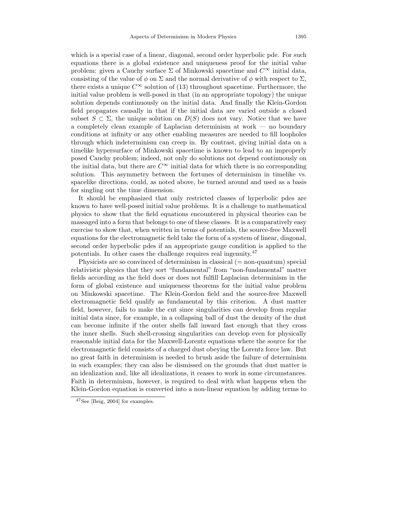which is a special case of a linear, diagonal, second order hyperbolic pde. For such equations there is a global existence and uniqueness proof for the initial value problem: given a Cauchy surface  $\Sigma$  of Minkowski spacetime and  $C^{\infty}$  initial data, consisting of the value of  $\phi$  on  $\Sigma$  and the normal derivative of  $\phi$  with respect to  $\Sigma$ , there exists a unique  $C^{\infty}$  solution of (13) throughout spacetime. Furthermore, the initial value problem is well-posed in that (in an appropriate topology) the unique solution depends continuously on the initial data. And finally the Klein-Gordon field propagates causally in that if the initial data are varied outside a closed subset  $S \subset \Sigma$ , the unique solution on  $D(S)$  does not vary. Notice that we have a completely clean example of Laplacian determinism at work — no boundary conditions at infinity or any other enabling measures are needed to fill loopholes through which indeterminism can creep in. By contrast, giving initial data on a timelike hypersurface of Minkowski spacetime is known to lead to an improperly posed Cauchy problem; indeed, not only do solutions not depend continuously on the initial data, but there are  $C^{\infty}$  initial data for which there is no corresponding solution. This asymmetry between the fortunes of determinism in timelike vs. spacelike directions, could, as noted above, be turned around and used as a basis for singling out the time dimension.

It should be emphasized that only restricted classes of hyperbolic pdes are known to have well-posed initial value problems. It is a challenge to mathematical physics to show that the field equations encountered in physical theories can be massaged into a form that belongs to one of these classes. It is a comparatively easy exercise to show that, when written in terms of potentials, the source-free Maxwell equations for the electromagnetic field take the form of a system of linear, diagonal, second order hyperbolic pdes if an appropriate gauge condition is applied to the potentials. In other cases the challenge requires real ingenuity.<sup>47</sup>

Physicists are so convinced of determinism in classical (= non-quantum) special relativistic physics that they sort "fundamental" from "non-fundamental" matter fields according as the field does or does not fulfill Laplacian determinism in the form of global existence and uniqueness theorems for the initial value problem on Minkowski spacetime. The Klein-Gordon field and the source-free Maxwell electromagnetic field qualify as fundamental by this criterion. A dust matter field, however, fails to make the cut since singularities can develop from regular initial data since, for example, in a collapsing ball of dust the density of the dust can become infinite if the outer shells fall inward fast enough that they cross the inner shells. Such shell-crossing singularities can develop even for physically reasonable initial data for the Maxwell-Lorentz equations where the source for the electromagnetic field consists of a charged dust obeying the Lorentz force law. But no great faith in determinism is needed to brush aside the failure of determinism in such examples; they can also be dismissed on the grounds that dust matter is an idealization and, like all idealizations, it ceases to work in some circumstances. Faith in determinism, however, is required to deal with what happens when the Klein-Gordon equation is converted into a non-linear equation by adding terms to

<sup>47</sup>See [Beig, 2004] for examples.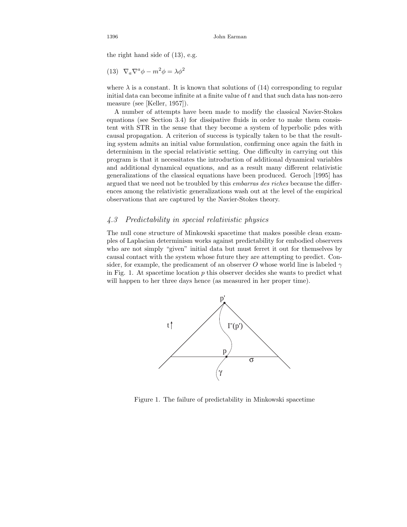the right hand side of (13), e.g.

$$
(13) \nabla_a \nabla^a \phi - m^2 \phi = \lambda \phi^2
$$

where  $\lambda$  is a constant. It is known that solutions of (14) corresponding to regular initial data can become infinite at a finite value of  $t$  and that such data has non-zero measure (see [Keller, 1957]).

A number of attempts have been made to modify the classical Navier-Stokes equations (see Section 3.4) for dissipative fluids in order to make them consistent with STR in the sense that they become a system of hyperbolic pdes with causal propagation. A criterion of success is typically taken to be that the resulting system admits an initial value formulation, confirming once again the faith in determinism in the special relativistic setting. One difficulty in carrying out this program is that it necessitates the introduction of additional dynamical variables and additional dynamical equations, and as a result many different relativistic generalizations of the classical equations have been produced. Geroch [1995] has argued that we need not be troubled by this *embarras des riches* because the differences among the relativistic generalizations wash out at the level of the empirical observations that are captured by the Navier-Stokes theory.

# *4.3 Predictability in special relativistic physics*

The null cone structure of Minkowski spacetime that makes possible clean examples of Laplacian determinism works against predictability for embodied observers who are not simply "given" initial data but must ferret it out for themselves by causal contact with the system whose future they are attempting to predict. Consider, for example, the predicament of an observer O whose world line is labeled  $\gamma$ in Fig. 1. At spacetime location  $p$  this observer decides she wants to predict what will happen to her three days hence (as measured in her proper time).



Figure 1. The failure of predictability in Minkowski spacetime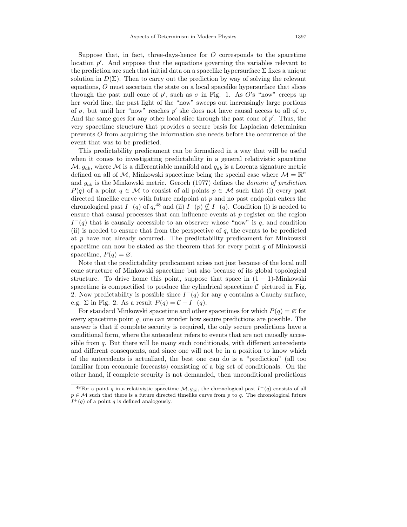Suppose that, in fact, three-days-hence for  $O$  corresponds to the spacetime location p . And suppose that the equations governing the variables relevant to the prediction are such that initial data on a spacelike hypersurface  $\Sigma$  fixes a unique solution in  $D(\Sigma)$ . Then to carry out the prediction by way of solving the relevant equations, O must ascertain the state on a local spacelike hypersurface that slices through the past null cone of p', such as  $\sigma$  in Fig. 1. As O's "now" creeps up her world line, the past light of the "now" sweeps out increasingly large portions of  $\sigma$ , but until her "now" reaches p' she does not have causal access to all of  $\sigma$ . And the same goes for any other local slice through the past cone of  $p'$ . Thus, the very spacetime structure that provides a secure basis for Laplacian determinism prevents O from acquiring the information she needs before the occurrence of the event that was to be predicted.

This predictability predicament can be formalized in a way that will be useful when it comes to investigating predictability in a general relativistic spacetime  $\mathcal{M}, g_{ab}$ , where  $\mathcal M$  is a differentiable manifold and  $g_{ab}$  is a Lorentz signature metric defined on all of M, Minkowski spacetime being the special case where  $\mathcal{M} = \mathbb{R}^n$ and <sup>g</sup>ab is the Minkowski metric. Geroch (1977) defines the *domain of prediction*  $P(q)$  of a point  $q \in \mathcal{M}$  to consist of all points  $p \in \mathcal{M}$  such that (i) every past directed timelike curve with future endpoint at  $p$  and no past endpoint enters the chronological past  $I^-(q)$  of  $q,$ <sup>48</sup> and (ii)  $I^-(p) \nsubseteq I^-(q)$ . Condition (i) is needed to ensure that causal processes that can influence events at  $p$  register on the region  $I^{-}(q)$  that is causally accessible to an observer whose "now" is q, and condition (ii) is needed to ensure that from the perspective of  $q$ , the events to be predicted at p have not already occurred. The predictability predicament for Minkowski spacetime can now be stated as the theorem that for every point  $q$  of Minkowski spacetime,  $P(q) = \emptyset$ .

Note that the predictability predicament arises not just because of the local null cone structure of Minkowski spacetime but also because of its global topological structure. To drive home this point, suppose that space in  $(1 + 1)$ -Minkowski spacetime is compactified to produce the cylindrical spacetime  $C$  pictured in Fig. 2. Now predictability is possible since  $I^-(q)$  for any q contains a Cauchy surface, e.g.  $\Sigma$  in Fig. 2. As a result  $P(q) = C - I^{-}(q)$ .

For standard Minkowski spacetime and other spacetimes for which  $P(q) = \emptyset$  for every spacetime point  $q$ , one can wonder how secure predictions are possible. The answer is that if complete security is required, the only secure predictions have a conditional form, where the antecedent refers to events that are not causally accessible from  $q$ . But there will be many such conditionals, with different antecedents and different consequents, and since one will not be in a position to know which of the antecedents is actualized, the best one can do is a "prediction" (all too familiar from economic forecasts) consisting of a big set of conditionals. On the other hand, if complete security is not demanded, then unconditional predictions

<sup>&</sup>lt;sup>48</sup>For a point q in a relativistic spacetime  $\mathcal{M}, g_{ab}$ , the chronological past  $I^-(q)$  consists of all  $p \in \mathcal{M}$  such that there is a future directed timelike curve from p to q. The chronological future  $I^+(q)$  of a point q is defined analogously.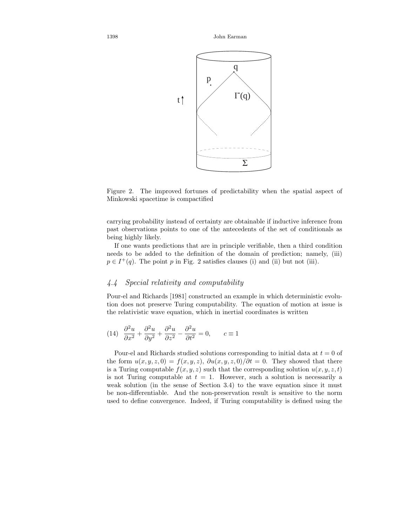

Figure 2. The improved fortunes of predictability when the spatial aspect of Minkowski spacetime is compactified

carrying probability instead of certainty are obtainable if inductive inference from past observations points to one of the antecedents of the set of conditionals as being highly likely.

If one wants predictions that are in principle verifiable, then a third condition needs to be added to the definition of the domain of prediction; namely, (iii)  $p \in I^+(q)$ . The point p in Fig. 2 satisfies clauses (i) and (ii) but not (iii).

## *4.4 Special relativity and computability*

Pour-el and Richards [1981] constructed an example in which deterministic evolution does not preserve Turing computability. The equation of motion at issue is the relativistic wave equation, which in inertial coordinates is written

(14) 
$$
\frac{\partial^2 u}{\partial x^2} + \frac{\partial^2 u}{\partial y^2} + \frac{\partial^2 u}{\partial z^2} - \frac{\partial^2 u}{\partial t^2} = 0, \qquad c \equiv 1
$$

Pour-el and Richards studied solutions corresponding to initial data at  $t = 0$  of the form  $u(x, y, z, 0) = f(x, y, z), \, \partial u(x, y, z, 0)/\partial t = 0$ . They showed that there is a Turing computable  $f(x, y, z)$  such that the corresponding solution  $u(x, y, z, t)$ is not Turing computable at  $t = 1$ . However, such a solution is necessarily a weak solution (in the sense of Section 3.4) to the wave equation since it must be non-differentiable. And the non-preservation result is sensitive to the norm used to define convergence. Indeed, if Turing computability is defined using the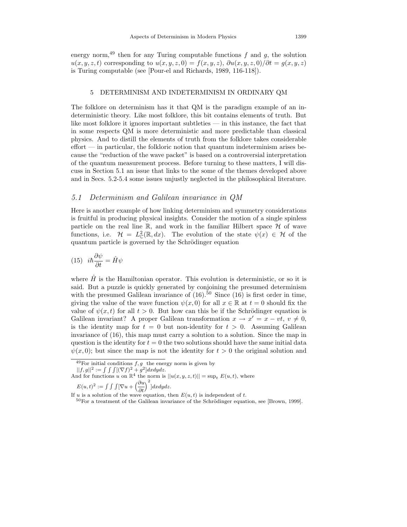energy norm,<sup>49</sup> then for any Turing computable functions  $f$  and  $g$ , the solution  $u(x, y, z, t)$  corresponding to  $u(x, y, z, 0) = f(x, y, z), \frac{\partial u(x, y, z, 0)}{\partial t} = g(x, y, z)$ is Turing computable (see [Pour-el and Richards, 1989, 116-118]).

#### 5 DETERMINISM AND INDETERMINISM IN ORDINARY QM

The folklore on determinism has it that QM is the paradigm example of an indeterministic theory. Like most folklore, this bit contains elements of truth. But like most folklore it ignores important subtleties — in this instance, the fact that in some respects QM is more deterministic and more predictable than classical physics. And to distill the elements of truth from the folklore takes considerable effort — in particular, the folkloric notion that quantum indeterminism arises because the "reduction of the wave packet" is based on a controversial interpretation of the quantum measurement process. Before turning to these matters, I will discuss in Section 5.1 an issue that links to the some of the themes developed above and in Secs. 5.2-5.4 some issues unjustly neglected in the philosophical literature.

#### *5.1 Determinism and Galilean invariance in QM*

Here is another example of how linking determinism and symmetry considerations is fruitful in producing physical insights. Consider the motion of a single spinless particle on the real line  $\mathbb{R}$ , and work in the familiar Hilbert space  $\mathcal H$  of wave functions, i.e.  $\mathcal{H} = L^2_{\mathbb{C}}(\mathbb{R}, dx)$ . The evolution of the state  $\psi(x) \in \mathcal{H}$  of the quantum particle is governed by the Schrödinger equation

$$
(15) \quad i\hbar \frac{\partial \psi}{\partial t} = \hat{H}\psi
$$

where  $\hat{H}$  is the Hamiltonian operator. This evolution is deterministic, or so it is said. But a puzzle is quickly generated by conjoining the presumed determinism with the presumed Galilean invariance of  $(16)$ .<sup>50</sup> Since  $(16)$  is first order in time, giving the value of the wave function  $\psi(x, 0)$  for all  $x \in \mathbb{R}$  at  $t = 0$  should fix the value of  $\psi(x, t)$  for all  $t > 0$ . But how can this be if the Schrödinger equation is Galilean invariant? A proper Galilean transformation  $x \to x' = x - vt$ ,  $v \neq 0$ , is the identity map for  $t = 0$  but non-identity for  $t > 0$ . Assuming Galilean invariance of (16), this map must carry a solution to a solution. Since the map in question is the identity for  $t = 0$  the two solutions should have the same initial data  $\psi(x, 0)$ ; but since the map is not the identity for  $t > 0$  the original solution and

$$
E(u,t)^2 := \int \int \int [\nabla u + \left(\frac{\partial u}{\partial t}\right)^2] dx dy dz.
$$

<sup>&</sup>lt;sup>49</sup>For initial conditions  $f, g$  the energy norm is given by

 $||f, g||^2 := \int \int \int [(\nabla f)^2 + g^2] dx dy dz.$ 

And for functions u on  $\mathbb{R}^4$  the norm is  $||u(x, y, z, t)|| = \sup_t E(u, t)$ , where

If u is a solution of the wave equation, then  $E(u, t)$  is independent of t.

 $50$  For a treatment of the Galilean invariance of the Schrödinger equation, see [Brown, 1999].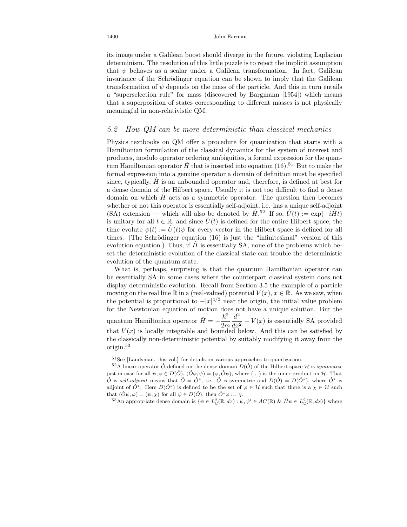its image under a Galilean boost should diverge in the future, violating Laplacian determinism. The resolution of this little puzzle is to reject the implicit assumption that  $\psi$  behaves as a scalar under a Galilean transformation. In fact, Galilean invariance of the Schrödinger equation can be shown to imply that the Galilean transformation of  $\psi$  depends on the mass of the particle. And this in turn entails a "superselection rule" for mass (discovered by Bargmann [1954]) which means that a superposition of states corresponding to different masses is not physically meaningful in non-relativistic QM.

# *5.2 How QM can be more deterministic than classical mechanics*

Physics textbooks on QM offer a procedure for quantization that starts with a Hamiltonian formulation of the classical dynamics for the system of interest and produces, modulo operator ordering ambiguities, a formal expression for the quantum Hamiltonian operator  $\hat{H}$  that is inserted into equation (16).<sup>51</sup> But to make the formal expression into a genuine operator a domain of definition must be specified since, typically,  $H$  is an unbounded operator and, therefore, is defined at best for a dense domain of the Hilbert space. Usually it is not too difficult to find a dense domain on which  $H$  acts as a symmetric operator. The question then becomes whether or not this operator is essentially self-adjoint, i.e. has a unique self-adjoint (SA) extension — which will also be denoted by  $\hat{H}$ .<sup>52</sup> If so,  $\hat{U}(t) := \exp(-i\hat{H}t)$ is unitary for all  $t \in \mathbb{R}$ , and since  $\hat{U}(t)$  is defined for the entire Hilbert space, the time evolute  $\psi(t) := \hat{U}(t)\psi$  for every vector in the Hilbert space is defined for all times. (The Schrödinger equation  $(16)$  is just the "infinitesimal" version of this evolution equation.) Thus, if  $H$  is essentially SA, none of the problems which beset the deterministic evolution of the classical state can trouble the deterministic evolution of the quantum state.

What is, perhaps, surprising is that the quantum Hamiltonian operator can be essentially SA in some cases where the counterpart classical system does not display deterministic evolution. Recall from Section 3.5 the example of a particle moving on the real line R in a (real-valued) potential  $V(x)$ ,  $x \in \mathbb{R}$ . As we saw, when the potential is proportional to  $-|x|^{4/3}$  near the origin, the initial value problem for the Newtonian equation of motion does not have a unique solution. But the quantum Hamiltonian operator  $\hat{H} = -\frac{\hbar^2}{2m}$  $\frac{d^2}{dx^2} - V(x)$  is essentially SA provided that  $V(x)$  is locally integrable and bounded below. And this can be satisfied by the classically non-deterministic potential by suitably modifying it away from the origin.<sup>53</sup>

 $^{51}\rm{See}$  [Landsman, this vol.] for details on various approaches to quantization.

<sup>&</sup>lt;sup>52</sup>A linear operator  $\hat{O}$  defined on the dense domain  $D(\hat{O})$  of the Hilbert space  $\mathcal H$  is symmetric just in case for all  $\psi, \varphi \in D(\hat{O}), (\hat{O}\varphi, \psi) = (\varphi, \hat{O}\psi)$ , where  $(\cdot, \cdot)$  is the inner product on H. That  $\hat{O}$  is self-adjoint means that  $\hat{O} = \hat{O}^*$ , i.e.  $\hat{O}$  is symmetric and  $D(\hat{O}) = D(\hat{O}^*)$ , where  $\hat{O}^*$  is adjoint of  $\hat{O}^*$ . Here  $D(\hat{O}^*)$  is defined to be the set of  $\varphi \in \mathcal{H}$  such that there is a  $\chi \in \mathcal{H}$  such that  $(\hat{O}\psi, \varphi) = (\psi, \chi)$  for all  $\psi \in D(\hat{O})$ ; then  $\hat{O}^* \varphi := \chi$ .

<sup>&</sup>lt;sup>53</sup>An appropriate dense domain is  $\{\psi \in L^2_{\mathbb{C}}(\mathbb{R}, dx) : \psi, \psi' \in AC(\mathbb{R}) \& \hat{H}\psi \in L^2_{\mathbb{C}}(\mathbb{R}, dx)\}\$  where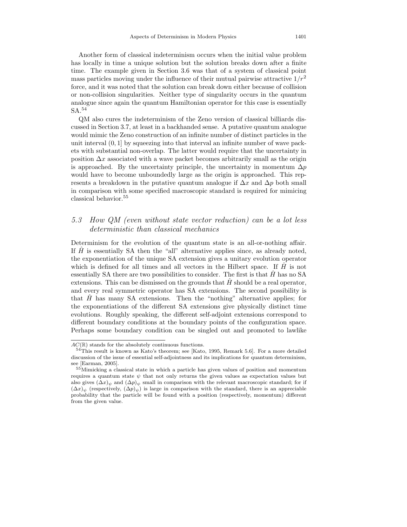Another form of classical indeterminism occurs when the initial value problem has locally in time a unique solution but the solution breaks down after a finite time. The example given in Section 3.6 was that of a system of classical point mass particles moving under the influence of their mutual pairwise attractive  $1/r^2$ force, and it was noted that the solution can break down either because of collision or non-collision singularities. Neither type of singularity occurs in the quantum analogue since again the quantum Hamiltonian operator for this case is essentially SA.<sup>54</sup>

QM also cures the indeterminism of the Zeno version of classical billiards discussed in Section 3.7, at least in a backhanded sense. A putative quantum analogue would mimic the Zeno construction of an infinite number of distinct particles in the unit interval  $(0, 1]$  by squeezing into that interval an infinite number of wave packets with substantial non-overlap. The latter would require that the uncertainty in position  $\Delta x$  associated with a wave packet becomes arbitrarily small as the origin is approached. By the uncertainty principle, the uncertainty in momentum  $\Delta p$ would have to become unboundedly large as the origin is approached. This represents a breakdown in the putative quantum analogue if  $\Delta x$  and  $\Delta p$  both small in comparison with some specified macroscopic standard is required for mimicing classical behavior.<sup>55</sup>

# *5.3 How QM (even without state vector reduction) can be a lot less deterministic than classical mechanics*

Determinism for the evolution of the quantum state is an all-or-nothing affair. If  $H$  is essentially SA then the "all" alternative applies since, as already noted, the exponentiation of the unique SA extension gives a unitary evolution operator which is defined for all times and all vectors in the Hilbert space. If  $H$  is not essentially SA there are two possibilities to consider. The first is that  $\hat{H}$  has no SA extensions. This can be dismissed on the grounds that  $H$  should be a real operator, and every real symmetric operator has SA extensions. The second possibility is that  $H$  has many SA extensions. Then the "nothing" alternative applies; for the exponentiations of the different SA extensions give physically distinct time evolutions. Roughly speaking, the different self-adjoint extensions correspond to different boundary conditions at the boundary points of the configuration space. Perhaps some boundary condition can be singled out and promoted to lawlike

 $AC(\mathbb{R})$  stands for the absolutely continuous functions.

<sup>54</sup>This result is known as Kato's theorem; see [Kato, 1995, Remark 5.6]. For a more detailed discussion of the issue of essential self-adjointness and its implications for quantum determinism, see [Earman, 2005].

 $55$ Mimicking a classical state in which a particle has given values of position and momentum requires a quantum state  $\psi$  that not only returns the given values as expectation values but also gives  $(\Delta x)_{\psi}$  and  $(\Delta p)_{\psi}$  small in comparison with the relevant macroscopic standard; for if  $(\Delta x)_{\psi}$  (respectively,  $(\Delta p)_{\psi}$ ) is large in comparison with the standard, there is an appreciable probability that the particle will be found with a position (respectively, momentum) different from the given value.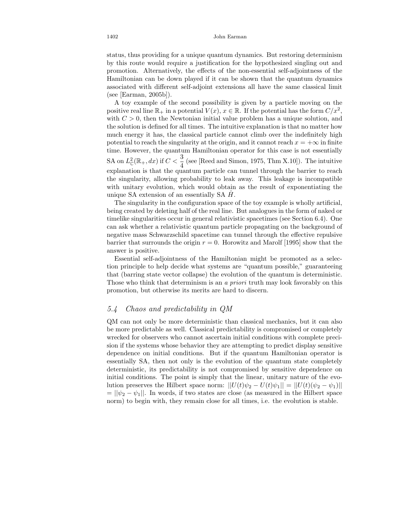status, thus providing for a unique quantum dynamics. But restoring determinism by this route would require a justification for the hypothesized singling out and promotion. Alternatively, the effects of the non-essential self-adjointness of the Hamiltonian can be down played if it can be shown that the quantum dynamics associated with different self-adjoint extensions all have the same classical limit (see [Earman, 2005b]).

A toy example of the second possibility is given by a particle moving on the positive real line  $\mathbb{R}_+$  in a potential  $V(x)$ ,  $x \in \mathbb{R}$ . If the potential has the form  $C/x^2$ . with  $C > 0$ , then the Newtonian initial value problem has a unique solution, and the solution is defined for all times. The intuitive explanation is that no matter how much energy it has, the classical particle cannot climb over the indefinitely high potential to reach the singularity at the origin, and it cannot reach  $x = +\infty$  in finite time. However, the quantum Hamiltonian operator for this case is not essentially SA on  $L^2_{\mathbb{C}}(\mathbb{R}_+,dx)$  if  $C < \frac{3}{4}$  (see [Reed and Simon, 1975, Thm X.10]). The intuitive explanation is that the quantum particle can tunnel through the barrier to reach the singularity, allowing probability to leak away. This leakage is incompatible with unitary evolution, which would obtain as the result of exponentiating the unique SA extension of an essentially SA  $H$ .

The singularity in the configuration space of the toy example is wholly artificial, being created by deleting half of the real line. But analogues in the form of naked or timelike singularities occur in general relativistic spacetimes (see Section 6.4). One can ask whether a relativistic quantum particle propagating on the background of negative mass Schwarzschild spacetime can tunnel through the effective repulsive barrier that surrounds the origin  $r = 0$ . Horowitz and Marolf [1995] show that the answer is positive.

Essential self-adjointness of the Hamiltonian might be promoted as a selection principle to help decide what systems are "quantum possible," guaranteeing that (barring state vector collapse) the evolution of the quantum is deterministic. Those who think that determinism is an *a priori* truth may look favorably on this promotion, but otherwise its merits are hard to discern.

# *5.4 Chaos and predictability in QM*

QM can not only be more deterministic than classical mechanics, but it can also be more predictable as well. Classical predictability is compromised or completely wrecked for observers who cannot ascertain initial conditions with complete precision if the systems whose behavior they are attempting to predict display sensitive dependence on initial conditions. But if the quantum Hamiltonian operator is essentially SA, then not only is the evolution of the quantum state completely deterministic, its predictability is not compromised by sensitive dependence on initial conditions. The point is simply that the linear, unitary nature of the evolution preserves the Hilbert space norm:  $||U(t)\psi_2 - U(t)\psi_1|| = ||U(t)(\psi_2 - \psi_1)||$  $= ||\psi_2 - \psi_1||$ . In words, if two states are close (as measured in the Hilbert space norm) to begin with, they remain close for all times, i.e. the evolution is stable.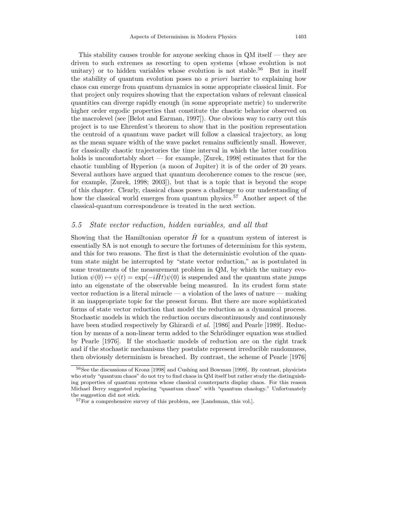This stability causes trouble for anyone seeking chaos in QM itself — they are driven to such extremes as resorting to open systems (whose evolution is not unitary) or to hidden variables whose evolution is not stable.<sup>56</sup> But in itself the stability of quantum evolution poses no *a priori* barrier to explaining how chaos can emerge from quantum dynamics in some appropriate classical limit. For that project only requires showing that the expectation values of relevant classical quantities can diverge rapidly enough (in some appropriate metric) to underwrite higher order ergodic properties that constitute the chaotic behavior observed on the macrolevel (see [Belot and Earman, 1997]). One obvious way to carry out this project is to use Ehrenfest's theorem to show that in the position representation the centroid of a quantum wave packet will follow a classical trajectory, as long as the mean square width of the wave packet remains sufficiently small. However, for classically chaotic trajectories the time interval in which the latter condition holds is uncomfortably short — for example, [Zurek, 1998] estimates that for the chaotic tumbling of Hyperion (a moon of Jupiter) it is of the order of 20 years. Several authors have argued that quantum decoherence comes to the rescue (see, for example, [Zurek, 1998; 2003]), but that is a topic that is beyond the scope of this chapter. Clearly, classical chaos poses a challenge to our understanding of how the classical world emerges from quantum physics.<sup>57</sup> Another aspect of the classical-quantum correspondence is treated in the next section.

#### *5.5 State vector reduction, hidden variables, and all that*

Showing that the Hamiltonian operator  $\hat{H}$  for a quantum system of interest is essentially SA is not enough to secure the fortunes of determinism for this system, and this for two reasons. The first is that the deterministic evolution of the quantum state might be interrupted by "state vector reduction," as is postulated in some treatments of the measurement problem in QM, by which the unitary evolution  $\psi(0) \mapsto \psi(t) = \exp(-i\hat{H}t)\psi(0)$  is suspended and the quantum state jumps into an eigenstate of the observable being measured. In its crudest form state vector reduction is a literal miracle — a violation of the laws of nature — making it an inappropriate topic for the present forum. But there are more sophisticated forms of state vector reduction that model the reduction as a dynamical process. Stochastic models in which the reduction occurs discontinuously and continuously have been studied respectively by Ghirardi *et al.* [1986] and Pearle [1989]. Reduction by means of a non-linear term added to the Schrödinger equation was studied by Pearle [1976]. If the stochastic models of reduction are on the right track and if the stochastic mechanisms they postulate represent irreducible randomness, then obviously determinism is breached. By contrast, the scheme of Pearle [1976]

<sup>56</sup>See the discussions of Kronz [1998] and Cushing and Bowman [1999]. By contrast, physicists who study "quantum chaos" do not try to find chaos in QM itself but rather study the distinguishing properties of quantum systems whose classical counterparts display chaos. For this reason Michael Berry suggested replacing "quantum chaos" with "quantum chaology." Unfortunately the suggestion did not stick.

<sup>57</sup>For a comprehensive survey of this problem, see [Landsman, this vol.].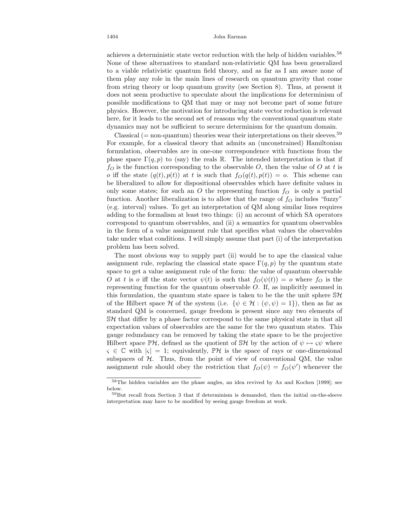achieves a deterministic state vector reduction with the help of hidden variables.<sup>58</sup> None of these alternatives to standard non-relativistic QM has been generalized to a viable relativistic quantum field theory, and as far as I am aware none of them play any role in the main lines of research on quantum gravity that come from string theory or loop quantum gravity (see Section 8). Thus, at present it does not seem productive to speculate about the implications for determinism of possible modifications to QM that may or may not become part of some future physics. However, the motivation for introducing state vector reduction is relevant here, for it leads to the second set of reasons why the conventional quantum state dynamics may not be sufficient to secure determinism for the quantum domain.

Classical ( $=$  non-quantum) theories wear their interpretations on their sleeves.<sup>59</sup> For example, for a classical theory that admits an (unconstrained) Hamiltonian formulation, observables are in one-one correspondence with functions from the phase space  $\Gamma(q, p)$  to (say) the reals R. The intended interpretation is that if  $f<sub>O</sub>$  is the function corresponding to the observable O, then the value of O at t is o iff the state  $(q(t), p(t))$  at t is such that  $f_O(q(t), p(t)) = o$ . This scheme can be liberalized to allow for dispositional observables which have definite values in only some states; for such an O the representing function  $f_{\Omega}$  is only a partial function. Another liberalization is to allow that the range of  $f<sub>O</sub>$  includes "fuzzy" (e.g. interval) values. To get an interpretation of QM along similar lines requires adding to the formalism at least two things: (i) an account of which SA operators correspond to quantum observables, and (ii) a semantics for quantum observables in the form of a value assignment rule that specifies what values the observables take under what conditions. I will simply assume that part (i) of the interpretation problem has been solved.

The most obvious way to supply part (ii) would be to ape the classical value assignment rule, replacing the classical state space  $\Gamma(q, p)$  by the quantum state space to get a value assignment rule of the form: the value of quantum observable O at t is o iff the state vector  $\psi(t)$  is such that  $f_O(\psi(t)) = o$  where  $f_O$  is the representing function for the quantum observable O. If, as implicitly assumed in this formulation, the quantum state space is taken to be the the unit sphere  $H$ of the Hilbert space H of the system (i.e.  $\{\psi \in \mathcal{H} : (\psi, \psi) = 1\}$ ), then as far as standard QM is concerned, gauge freedom is present since any two elements of  $\mathbb{S}\mathcal{H}$  that differ by a phase factor correspond to the same physical state in that all expectation values of observables are the same for the two quantum states. This gauge redundancy can be removed by taking the state space to be the projective Hilbert space  $\mathbb{P}\mathcal{H}$ , defined as the quotient of  $\mathcal{H}$  by the action of  $\psi \mapsto \varsigma \psi$  where  $\zeta \in \mathbb{C}$  with  $|\zeta| = 1$ ; equivalently,  $\mathbb{P}H$  is the space of rays or one-dimensional subspaces of  $H$ . Thus, from the point of view of conventional QM, the value assignment rule should obey the restriction that  $f_O(\psi) = f_O(\psi')$  whenever the

<sup>58</sup>The hidden variables are the phase angles, an idea revived by Ax and Kochen [1999]; see below.

<sup>&</sup>lt;sup>59</sup>But recall from Section 3 that if determinism is demanded, then the initial on-the-sleeve interpretation may have to be modified by seeing gauge freedom at work.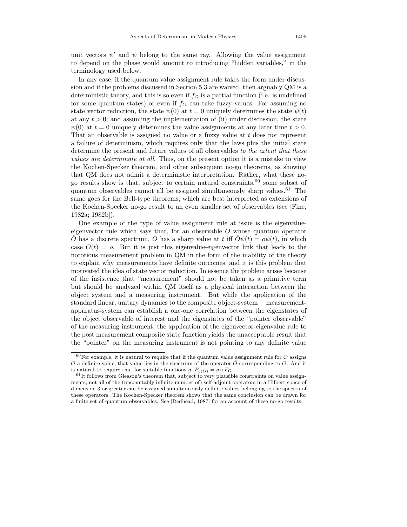unit vectors  $\psi'$  and  $\psi$  belong to the same ray. Allowing the value assignment to depend on the phase would amount to introducing "hidden variables," in the terminology used below.

In any case, if the quantum value assignment rule takes the form under discussion and if the problems discussed in Section 5.3 are waived, then arguably QM is a deterministic theory, and this is so even if  $f<sub>O</sub>$  is a partial function (i.e. is undefined for some quantum states) or even if  $f_{\text{O}}$  can take fuzzy values. For assuming no state vector reduction, the state  $\psi(0)$  at  $t = 0$  uniquely determines the state  $\psi(t)$ at any  $t > 0$ ; and assuming the implementation of (ii) under discussion, the state  $\psi(0)$  at  $t = 0$  uniquely determines the value assignments at any later time  $t > 0$ . That an observable is assigned no value or a fuzzy value at t does not represent a failure of determinism, which requires only that the laws plus the initial state determine the present and future values of all observables *to the extent that these values are determinate at all*. Thus, on the present option it is a mistake to view the Kochen-Specker theorem, and other subsequent no-go theorems, as showing that QM does not admit a deterministic interpretation. Rather, what these nogo results show is that, subject to certain natural constraints,<sup>60</sup> some subset of quantum observables cannot all be assigned simultaneously sharp values.<sup>61</sup> The same goes for the Bell-type theorems, which are best interpreted as extensions of the Kochen-Specker no-go result to an even smaller set of observables (see [Fine, 1982a; 1982b]).

One example of the type of value assignment rule at issue is the eigenvalueeigenvector rule which says that, for an observable  $O$  whose quantum operator O has a discrete spectrum, O has a sharp value at t iff  $O\psi(t) = o\psi(t)$ , in which case  $O(t) = o$ . But it is just this eigenvalue-eigenvector link that leads to the notorious measurement problem in QM in the form of the inability of the theory to explain why measurements have definite outcomes, and it is this problem that motivated the idea of state vector reduction. In essence the problem arises because of the insistence that "measurement" should not be taken as a primitive term but should be analyzed within QM itself as a physical interaction between the object system and a measuring instrument. But while the application of the standard linear, unitary dynamics to the composite object-system + measurementapparatus-system can establish a one-one correlation between the eigenstates of the object observable of interest and the eigenstates of the "pointer observable" of the measuring instrument, the application of the eigenvector-eigenvalue rule to the post measurement composite state function yields the unacceptable result that the "pointer" on the measuring instrument is not pointing to any definite value

 $60$ For example, it is natural to require that if the quantum value assignment rule for O assigns O a definite value, that value lies in the spectrum of the operator  $\hat{O}$  corresponding to O. And it is natural to require that for suitable functions g,  $F_{g}(O) = g \circ F_{O}$ .<br><sup>61</sup>It follows from Gleason's theorem that, subject to very plausible constraints on value assign-

ments, not all of the (uncountably infinite number of) self-adjoint operators in a Hilbert space of dimension 3 or greater can be assigned simultaneously definite values belonging to the spectra of these operators. The Kochen-Specker theorem shows that the same conclusion can be drawn for a finite set of quantum observables. See [Redhead, 1987] for an account of these no-go results.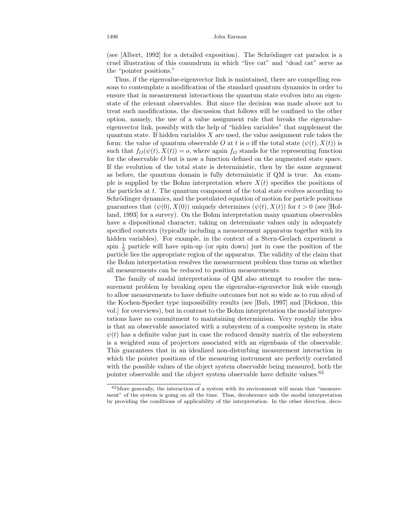(see [Albert, 1992] for a detailed exposition). The Schrödinger cat paradox is a cruel illustration of this conundrum in which "live cat" and "dead cat" serve as the "pointer positions."

Thus, if the eigenvalue-eigenvector link is maintained, there are compelling reasons to contemplate a modification of the standard quantum dynamics in order to ensure that in measurement interactions the quantum state evolves into an eigenstate of the relevant observables. But since the decision was made above not to treat such modifications, the discussion that follows will be confined to the other option, namely, the use of a value assignment rule that breaks the eigenvalueeigenvector link, possibly with the help of "hidden variables" that supplement the quantum state. If hidden variables  $X$  are used, the value assignment rule takes the form: the value of quantum observable O at t is o iff the total state  $(\psi(t), X(t))$  is such that  $f_O(\psi(t), X(t)) = o$ , where again  $f_O$  stands for the representing function for the observable O but is now a function defined on the augmented state space. If the evolution of the total state is deterministic, then by the same argument as before, the quantum domain is fully deterministic if QM is true. An example is supplied by the Bohm interpretation where  $X(t)$  specifies the positions of the particles at  $t$ . The quantum component of the total state evolves according to Schrödinger dynamics, and the postulated equation of motion for particle positions guarantees that  $(\psi(0), X(0))$  uniquely determines  $(\psi(t), X(t))$  for  $t > 0$  (see [Holland, 1993] for a survey). On the Bohm interpretation many quantum observables have a dispositional character, taking on determinate values only in adequately specified contexts (typically including a measurement apparatus together with its hidden variables). For example, in the context of a Stern-Gerlach experiment a spin  $\frac{1}{2}$  particle will have spin-up (or spin down) just in case the position of the particle lies the appropriate region of the apparatus. The validity of the claim that the Bohm interpretation resolves the measurement problem thus turns on whether all measurements can be reduced to position measurements.

The family of modal interpretations of QM also attempt to resolve the measurement problem by breaking open the eigenvalue-eigenvector link wide enough to allow measurements to have definite outcomes but not so wide as to run afoul of the Kochen-Specker type impossibility results (see [Bub, 1997] and [Dickson, this vol.] for overviews), but in contrast to the Bohm interpretation the modal interpretations have no commitment to maintaining determinism. Very roughly the idea is that an observable associated with a subsystem of a composite system in state  $\psi(t)$  has a definite value just in case the reduced density matrix of the subsystem is a weighted sum of projectors associated with an eigenbasis of the observable. This guarantees that in an idealized non-disturbing measurement interaction in which the pointer positions of the measuring instrument are perfectly correlated with the possible values of the object system observable being measured, both the pointer observable and the object system observable have definite values.<sup>62</sup>

 $62$  More generally, the interaction of a system with its environment will mean that "measurement" of the system is going on all the time. Thus, decoherence aids the modal interpretation by providing the conditions of applicability of the interpretation. In the other direction, deco-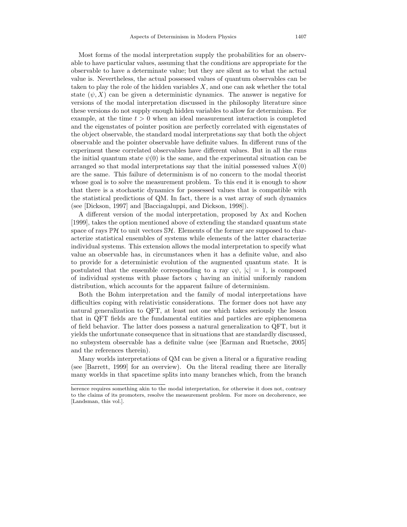Most forms of the modal interpretation supply the probabilities for an observable to have particular values, assuming that the conditions are appropriate for the observable to have a determinate value; but they are silent as to what the actual value is. Nevertheless, the actual possessed values of quantum observables can be taken to play the role of the hidden variables  $X$ , and one can ask whether the total state  $(\psi, X)$  can be given a deterministic dynamics. The answer is negative for versions of the modal interpretation discussed in the philosophy literature since these versions do not supply enough hidden variables to allow for determinism. For example, at the time  $t > 0$  when an ideal measurement interaction is completed and the eigenstates of pointer position are perfectly correlated with eigenstates of the object observable, the standard modal interpretations say that both the object observable and the pointer observable have definite values. In different runs of the experiment these correlated observables have different values. But in all the runs the initial quantum state  $\psi(0)$  is the same, and the experimental situation can be arranged so that modal interpretations say that the initial possessed values  $X(0)$ are the same. This failure of determinism is of no concern to the modal theorist whose goal is to solve the measurement problem. To this end it is enough to show that there is a stochastic dynamics for possessed values that is compatible with the statistical predictions of QM. In fact, there is a vast array of such dynamics (see [Dickson, 1997] and [Bacciagaluppi, and Dickson, 1998]).

A different version of the modal interpretation, proposed by Ax and Kochen [1999], takes the option mentioned above of extending the standard quantum state space of rays  $\mathbb{P}\mathcal{H}$  to unit vectors  $\mathbb{S}\mathcal{H}$ . Elements of the former are supposed to characterize statistical ensembles of systems while elements of the latter characterize individual systems. This extension allows the modal interpretation to specify what value an observable has, in circumstances when it has a definite value, and also to provide for a deterministic evolution of the augmented quantum state. It is postulated that the ensemble corresponding to a ray  $\zeta\psi$ ,  $|\zeta| = 1$ , is composed of individual systems with phase factors  $\varsigma$  having an initial uniformly random distribution, which accounts for the apparent failure of determinism.

Both the Bohm interpretation and the family of modal interpretations have difficulties coping with relativistic considerations. The former does not have any natural generalization to QFT, at least not one which takes seriously the lesson that in QFT fields are the fundamental entities and particles are epiphenomena of field behavior. The latter does possess a natural generalization to QFT, but it yields the unfortunate consequence that in situations that are standardly discussed, no subsystem observable has a definite value (see [Earman and Ruetsche, 2005] and the references therein).

Many worlds interpretations of QM can be given a literal or a figurative reading (see [Barrett, 1999] for an overview). On the literal reading there are literally many worlds in that spacetime splits into many branches which, from the branch

herence requires something akin to the modal interpretation, for otherwise it does not, contrary to the claims of its promoters, resolve the measurement problem. For more on decoherence, see [Landsman, this vol.].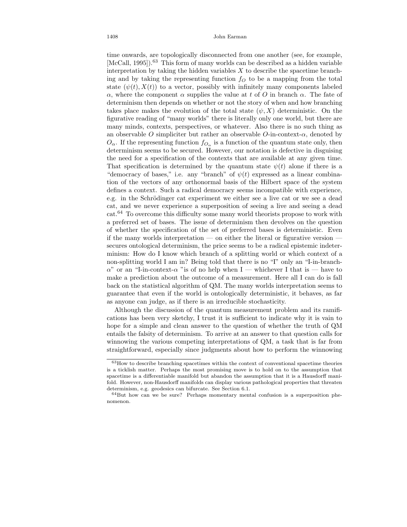time onwards, are topologically disconnected from one another (see, for example,  $[McCall, 1995]$ .<sup>63</sup> This form of many worlds can be described as a hidden variable interpretation by taking the hidden variables  $X$  to describe the spacetime branching and by taking the representing function  $f<sub>O</sub>$  to be a mapping from the total state  $(\psi(t), X(t))$  to a vector, possibly with infinitely many components labeled α, where the component  $\alpha$  supplies the value at t of O in branch α. The fate of determinism then depends on whether or not the story of when and how branching takes place makes the evolution of the total state  $(\psi, X)$  deterministic. On the figurative reading of "many worlds" there is literally only one world, but there are many minds, contexts, perspectives, or whatever. Also there is no such thing as an observable O simpliciter but rather an observable  $O$ -in-context- $\alpha$ , denoted by  $O_{\alpha}$ . If the representing function  $f_{O_{\alpha}}$  is a function of the quantum state only, then determinism seems to be secured. However, our notation is defective in disguising the need for a specification of the contexts that are available at any given time. That specification is determined by the quantum state  $\psi(t)$  alone if there is a "democracy of bases," i.e. any "branch" of  $\psi(t)$  expressed as a linear combination of the vectors of any orthonormal basis of the Hilbert space of the system defines a context. Such a radical democracy seems incompatible with experience, e.g. in the Schrödinger cat experiment we either see a live cat or we see a dead cat, and we never experience a superposition of seeing a live and seeing a dead cat.<sup>64</sup> To overcome this difficulty some many world theorists propose to work with a preferred set of bases. The issue of determinism then devolves on the question of whether the specification of the set of preferred bases is deterministic. Even if the many worlds interpretation — on either the literal or figurative version secures ontological determinism, the price seems to be a radical epistemic indeterminism: How do I know which branch of a splitting world or which context of a non-splitting world I am in? Being told that there is no "I" only an "I-in-branch- $\alpha$ " or an "I-in-context- $\alpha$ " is of no help when I — whichever I that is — have to make a prediction about the outcome of a measurement. Here all I can do is fall back on the statistical algorithm of QM. The many worlds interpretation seems to guarantee that even if the world is ontologically deterministic, it behaves, as far as anyone can judge, as if there is an irreducible stochasticity.

Although the discussion of the quantum measurement problem and its ramifications has been very sketchy, I trust it is sufficient to indicate why it is vain to hope for a simple and clean answer to the question of whether the truth of QM entails the falsity of determinism. To arrive at an answer to that question calls for winnowing the various competing interpretations of QM, a task that is far from straightforward, especially since judgments about how to perform the winnowing

<sup>&</sup>lt;sup>63</sup>How to describe branching spacetimes within the context of conventional spacetime theories is a ticklish matter. Perhaps the most promising move is to hold on to the assumption that spacetime is a differentiable manifold but abandon the assumption that it is a Hausdorff manifold. However, non-Hausdorff manifolds can display various pathological properties that threaten determinism, e.g. geodesics can bifurcate. See Section 6.1.

 $64$ But how can we be sure? Perhaps momentary mental confusion is a superposition phenomenon.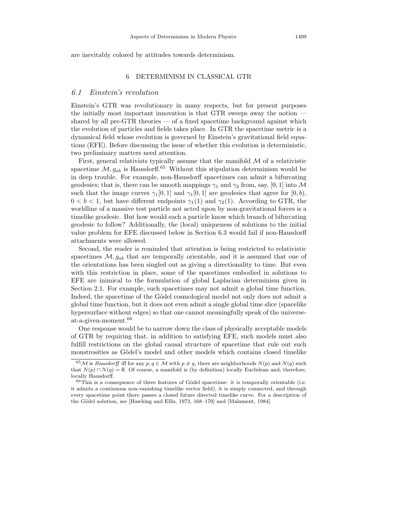are inevitably colored by attitudes towards determinism.

#### 6 DETERMINISM IN CLASSICAL GTR

#### *6.1 Einstein's revolution*

Einstein's GTR was revolutionary in many respects, but for present purposes the initially most important innovation is that GTR sweeps away the notion shared by all pre-GTR theories — of a fixed spacetime background against which the evolution of particles and fields takes place. In GTR the spacetime metric is a dynamical field whose evolution is governed by Einstein's gravitational field equations (EFE). Before discussing the issue of whether this evolution is deterministic, two preliminary matters need attention.

First, general relativists typically assume that the manifold  $M$  of a relativistic spacetime  $\mathcal{M}, g_{ab}$  is Hausdorff.<sup>65</sup> Without this stipulation determinism would be in deep trouble. For example, non-Hausdorff spacetimes can admit a bifurcating geodesics; that is, there can be smooth mappings  $\gamma_1$  and  $\gamma_2$  from, say, [0, 1] into M such that the image curves  $\gamma_1[0,1]$  and  $\gamma_1[0,1]$  are geodesics that agree for  $[0,b)$ ,  $0 < b < 1$ , but have different endpoints  $\gamma_1(1)$  and  $\gamma_2(1)$ . According to GTR, the worldline of a massive test particle not acted upon by non-gravitational forces is a timelike geodesic. But how would such a particle know which branch of bifurcating geodesic to follow? Additionally, the (local) uniqueness of solutions to the initial value problem for EFE discussed below in Section 6.3 would fail if non-Hausdorff attachments were allowed.

Second, the reader is reminded that attention is being restricted to relativistic spacetimes  $\mathcal{M}, g_{ab}$  that are temporally orientable, and it is assumed that one of the orientations has been singled out as giving a directionality to time. But even with this restriction in place, some of the spacetimes embodied in solutions to EFE are inimical to the formulation of global Laplacian determinism given in Section 2.1. For example, such spacetimes may not admit a global time function. Indeed, the spacetime of the Gödel cosmological model not only does not admit a global time function, but it does not even admit a single global time slice (spacelike hypersurface without edges) so that one cannot meaningfully speak of the universeat-a-given-moment.<sup>66</sup>

One response would be to narrow down the class of physically acceptable models of GTR by requiring that, in addition to satisfying EFE, such models must also fulfill restrictions on the global causal structure of spacetime that rule out such monstrosities as Gödel's model and other models which contains closed timelike

<sup>&</sup>lt;sup>65</sup>M is Hausdorff iff for any  $p, q \in \mathcal{M}$  with  $p \neq q$ , there are neighborhoods  $N(p)$  and  $N(q)$  such that  $N(p) \cap N(q) = \emptyset$ . Of course, a manifold is (by definition) locally Euclidean and, therefore, locally Hausdorff.

 $66$ This is a consequence of three features of Gödel spacetime: it is temporally orientable (i.e. it admits a continuous non-vanishing timelike vector field), it is simply connected, and through every spacetime point there passes a closed future directed timelike curve. For a description of the Gödel solution, see [Hawking and Ellis, 1973, 168–170] and [Malament, 1984].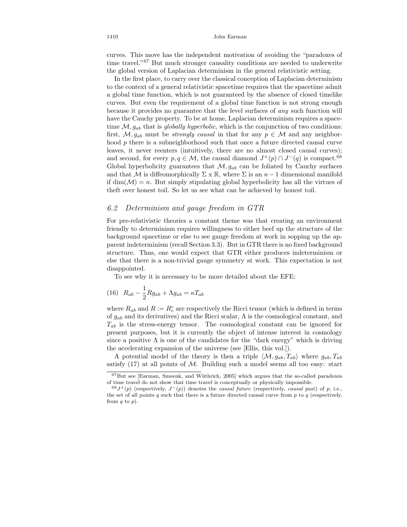curves. This move has the independent motivation of avoiding the "paradoxes of time travel."<sup>67</sup> But much stronger causality conditions are needed to underwrite the global version of Laplacian determinism in the general relativistic setting.

In the first place, to carry over the classical conception of Laplacian determinism to the context of a general relativistic spacetime requires that the spacetime admit a global time function, which is not guaranteed by the absence of closed timelike curves. But even the requirement of a global time function is not strong enough because it provides no guarantee that the level surfaces of *any* such function will have the Cauchy property. To be at home, Laplacian determinism requires a spacetime  $M$ ,  $g_{ab}$  that is *globally hyperbolic*, which is the conjunction of two conditions: first,  $M$ ,  $g_{ab}$  must be *strongly causal* in that for any  $p \in M$  and any neighborhood p there is a subneighborhood such that once a future directed causal curve leaves, it never reenters (intuitively, there are no almost closed causal curves); and second, for every  $p, q \in \mathcal{M}$ , the causal diamond  $J^+(p) \cap J^-(q)$  is compact.<sup>68</sup> Global hyperbolicity guarantees that  $\mathcal{M}, g_{ab}$  can be foliated by Cauchy surfaces and that M is diffeomorphically  $\Sigma \times \mathbb{R}$ , where  $\Sigma$  is an  $n-1$  dimensional manifold if  $\dim(\mathcal{M}) = n$ . But simply stipulating global hyperbolicity has all the virtues of theft over honest toil. So let us see what can be achieved by honest toil.

## *6.2 Determinism and gauge freedom in GTR*

For pre-relativistic theories a constant theme was that creating an environment friendly to determinism requires willingness to either beef up the structure of the background spacetime or else to see gauge freedom at work in sopping up the apparent indeterminism (recall Section 3.3). But in GTR there is no fixed background structure. Thus, one would expect that GTR either produces indeterminism or else that there is a non-trivial gauge symmetry at work. This expectation is not disappointed.

To see why it is necessary to be more detailed about the EFE:

$$
(16)\ \ R_{ab} - \frac{1}{2}Rg_{ab} + \Lambda g_{ab} = \kappa T_{ab}
$$

where  $R_{ab}$  and  $R := R_c^c$  are respectively the Ricci tensor (which is defined in terms<br>of a conditional interval and the Ricci scalar. A is the cosmological constant, and of  $g_{ab}$  and its derivatives) and the Ricci scalar,  $\Lambda$  is the cosmological constant, and  $T_{ab}$  is the stress-energy tensor. The cosmological constant can be ignored for present purposes, but it is currently the object of intense interest in cosmology since a positive  $\Lambda$  is one of the candidates for the "dark energy" which is driving the accelerating expansion of the universe (see [Ellis, this vol.]).

A potential model of the theory is then a triple  $\langle M, g_{ab}, T_{ab} \rangle$  where  $g_{ab}, T_{ab}$ satisfy  $(17)$  at all points of M. Building such a model seems all too easy: start

 ${}^{67}$ But see [Earman, Smeenk, and Wüthrich, 2005] which argues that the so-called paradoxes of time travel do not show that time travel is conceptually or physically impossible.

 $68J^+(p)$  (respectively,  $J^-(p)$ ) denotes the causal future (respectively, causal past) of p, i.e., the set of all points q such that there is a future directed causal curve from  $p$  to  $q$  (respectively, from  $q$  to  $p$ ).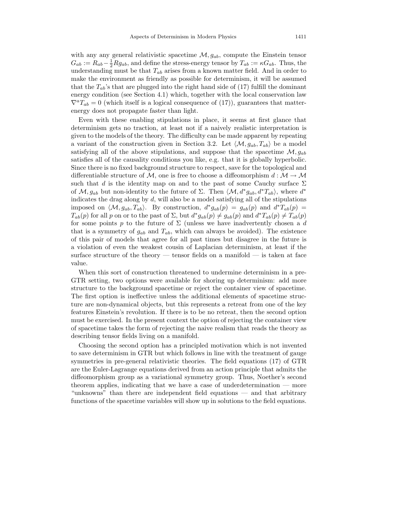with any any general relativistic spacetime  $\mathcal{M}, g_{ab}$ , compute the Einstein tensor  $G_{ab} := R_{ab} - \frac{1}{2} R g_{ab}$ , and define the stress-energy tensor by  $T_{ab} := \kappa G_{ab}$ . Thus, the understanding must be that  $T_{ab}$  arises from a known matter field. And in order to make the environment as friendly as possible for determinism, it will be assumed that the  $T_{ab}$ 's that are plugged into the right hand side of (17) fulfill the dominant energy condition (see Section 4.1) which, together with the local conservation law  $\nabla^a T_{ab} = 0$  (which itself is a logical consequence of (17)), guarantees that matterenergy does not propagate faster than light.

Even with these enabling stipulations in place, it seems at first glance that determinism gets no traction, at least not if a naively realistic interpretation is given to the models of the theory. The difficulty can be made apparent by repeating a variant of the construction given in Section 3.2. Let  $\langle M, g_{ab}, T_{ab} \rangle$  be a model satisfying all of the above stipulations, and suppose that the spacetime  $\mathcal{M}, g_{ab}$ satisfies all of the causality conditions you like, e.g. that it is globally hyperbolic. Since there is no fixed background structure to respect, save for the topological and differentiable structure of M, one is free to choose a diffeomorphism  $d : \mathcal{M} \to \mathcal{M}$ such that d is the identity map on and to the past of some Cauchy surface  $\Sigma$ of  $\mathcal{M}, g_{ab}$  but non-identity to the future of  $\Sigma$ . Then  $\langle \mathcal{M}, d^*g_{ab}, d^*T_{ab} \rangle$ , where  $d^*$ indicates the drag along by  $d$ , will also be a model satisfying all of the stipulations imposed on  $\langle M, g_{ab}, T_{ab}\rangle$ . By construction,  $d^*g_{ab}(p) = g_{ab}(p)$  and  $d^*T_{ab}(p) =$  $T_{ab}(p)$  for all p on or to the past of  $\Sigma$ , but  $d^*g_{ab}(p) \neq g_{ab}(p)$  and  $d^*T_{ab}(p) \neq T_{ab}(p)$ for some points p to the future of  $\Sigma$  (unless we have inadvertently chosen a d that is a symmetry of  $g_{ab}$  and  $T_{ab}$ , which can always be avoided). The existence of this pair of models that agree for all past times but disagree in the future is a violation of even the weakest cousin of Laplacian determinism, at least if the surface structure of the theory — tensor fields on a manifold — is taken at face value.

When this sort of construction threatened to undermine determinism in a pre-GTR setting, two options were available for shoring up determinism: add more structure to the background spacetime or reject the container view of spacetime. The first option is ineffective unless the additional elements of spacetime structure are non-dynamical objects, but this represents a retreat from one of the key features Einstein's revolution. If there is to be no retreat, then the second option must be exercised. In the present context the option of rejecting the container view of spacetime takes the form of rejecting the naive realism that reads the theory as describing tensor fields living on a manifold.

Choosing the second option has a principled motivation which is not invented to save determinism in GTR but which follows in line with the treatment of gauge symmetries in pre-general relativistic theories. The field equations (17) of GTR are the Euler-Lagrange equations derived from an action principle that admits the diffeomorphism group as a variational symmetry group. Thus, Noether's second theorem applies, indicating that we have a case of underdetermination — more "unknowns" than there are independent field equations — and that arbitrary functions of the spacetime variables will show up in solutions to the field equations.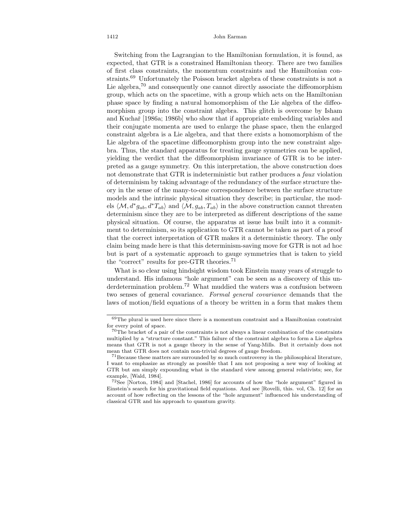Switching from the Lagrangian to the Hamiltonian formulation, it is found, as expected, that GTR is a constrained Hamiltonian theory. There are two families of first class constraints, the momentum constraints and the Hamiltonian constraints.<sup>69</sup> Unfortunately the Poisson bracket algebra of these constraints is not a Lie algebra,<sup>70</sup> and consequently one cannot directly associate the diffeomorphism group, which acts on the spacetime, with a group which acts on the Hamiltonian phase space by finding a natural homomorphism of the Lie algebra of the diffeomorphism group into the constraint algebra. This glitch is overcome by Isham and Kuchař [1986a; 1986b] who show that if appropriate embedding variables and their conjugate momenta are used to enlarge the phase space, then the enlarged constraint algebra is a Lie algebra, and that there exists a homomorphism of the Lie algebra of the spacetime diffeomorphism group into the new constraint algebra. Thus, the standard apparatus for treating gauge symmetries can be applied, yielding the verdict that the diffeomorphism invariance of GTR is to be interpreted as a gauge symmetry. On this interpretation, the above construction does not demonstrate that GTR is indeterministic but rather produces a *faux* violation of determinism by taking advantage of the redundancy of the surface structure theory in the sense of the many-to-one correspondence between the surface structure models and the intrinsic physical situation they describe; in particular, the models  $\langle \mathcal{M}, d^*g_{ab}, d^*T_{ab} \rangle$  and  $\langle \mathcal{M}, g_{ab}, T_{ab} \rangle$  in the above construction cannot threaten determinism since they are to be interpreted as different descriptions of the same physical situation. Of course, the apparatus at issue has built into it a commitment to determinism, so its application to GTR cannot be taken as part of a proof that the correct interpretation of GTR makes it a deterministic theory. The only claim being made here is that this determinism-saving move for GTR is not ad hoc but is part of a systematic approach to gauge symmetries that is taken to yield the "correct" results for pre-GTR theories.<sup>71</sup>

What is so clear using hindsight wisdom took Einstein many years of struggle to understand. His infamous "hole argument" can be seen as a discovery of this underdetermination problem.<sup>72</sup> What muddied the waters was a confusion between two senses of general covariance. *Formal general covariance* demands that the laws of motion/field equations of a theory be written in a form that makes them

 $^{69}\mathrm{The}$  plural is used here since there is a momentum constraint and a Hamiltonian constraint for every point of space.

<sup>70</sup>The bracket of a pair of the constraints is not always a linear combination of the constraints multiplied by a "structure constant." This failure of the constraint algebra to form a Lie algebra means that GTR is not a gauge theory in the sense of Yang-Mills. But it certainly does not mean that GTR does not contain non-trivial degrees of gauge freedom.

<sup>71</sup>Because these matters are surrounded by so much controversy in the philosophical literature, I want to emphasize as strongly as possible that I am not proposing a new way of looking at GTR but am simply expounding what is the standard view among general relativists; see, for example, [Wald, 1984].

<sup>72</sup>See [Norton, 1984] and [Stachel, 1986] for accounts of how the "hole argument" figured in Einstein's search for his gravitational field equations. And see [Rovelli, this. vol, Ch. 12] for an account of how reflecting on the lessons of the "hole argument" influenced his understanding of classical GTR and his approach to quantum gravity.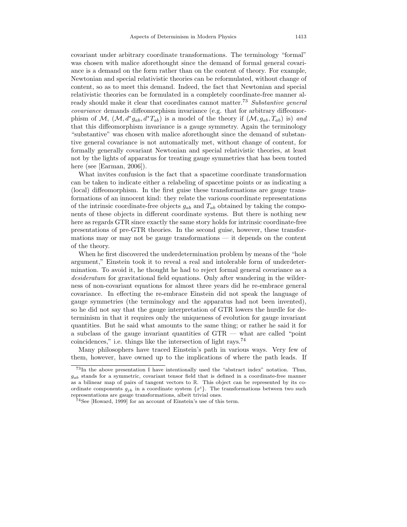covariant under arbitrary coordinate transformations. The terminology "formal" was chosen with malice aforethought since the demand of formal general covariance is a demand on the form rather than on the content of theory. For example, Newtonian and special relativistic theories can be reformulated, without change of content, so as to meet this demand. Indeed, the fact that Newtonian and special relativistic theories can be formulated in a completely coordinate-free manner already should make it clear that coordinates cannot matter.<sup>73</sup> *Substantive general covariance* demands diffeomorphism invariance (e.g. that for arbitrary diffeomorphism of M,  $(\mathcal{M}, d^*g_{ab}, d^*T_{ab})$  is a model of the theory if  $(\mathcal{M}, g_{ab}, T_{ab})$  is) and that this diffeomorphism invariance is a gauge symmetry. Again the terminology "substantive" was chosen with malice aforethought since the demand of substantive general covariance is not automatically met, without change of content, for formally generally covariant Newtonian and special relativistic theories, at least not by the lights of apparatus for treating gauge symmetries that has been touted here (see [Earman, 2006]).

What invites confusion is the fact that a spacetime coordinate transformation can be taken to indicate either a relabeling of spacetime points or as indicating a (local) diffeomorphism. In the first guise these transformations are gauge transformations of an innocent kind: they relate the various coordinate representations of the intrinsic coordinate-free objects  $g_{ab}$  and  $T_{ab}$  obtained by taking the components of these objects in different coordinate systems. But there is nothing new here as regards GTR since exactly the same story holds for intrinsic coordinate-free presentations of pre-GTR theories. In the second guise, however, these transformations may or may not be gauge transformations — it depends on the content of the theory.

When he first discovered the underdetermination problem by means of the "hole argument," Einstein took it to reveal a real and intolerable form of underdetermination. To avoid it, he thought he had to reject formal general covariance as a *desideratum* for gravitational field equations. Only after wandering in the wilderness of non-covariant equations for almost three years did he re-embrace general covariance. In effecting the re-embrace Einstein did not speak the language of gauge symmetries (the terminology and the apparatus had not been invented), so he did not say that the gauge interpretation of GTR lowers the hurdle for determinism in that it requires only the uniqueness of evolution for gauge invariant quantities. But he said what amounts to the same thing; or rather he said it for a subclass of the gauge invariant quantities of GTR — what are called "point coincidences," i.e. things like the intersection of light rays.<sup>74</sup>

Many philosophers have traced Einstein's path in various ways. Very few of them, however, have owned up to the implications of where the path leads. If

<sup>73</sup>In the above presentation I have intentionally used the "abstract index" notation. Thus,  $g_{ab}$  stands for a symmetric, covariant tensor field that is defined in a coordinate-free manner as a bilinear map of pairs of tangent vectors to R. This object can be represented by its coordinate components  $g_{ik}$  in a coordinate system  $\{x^i\}$ . The transformations between two such representations are gauge transformations, albeit trivial ones.

<sup>74</sup>See [Howard, 1999] for an account of Einstein's use of this term.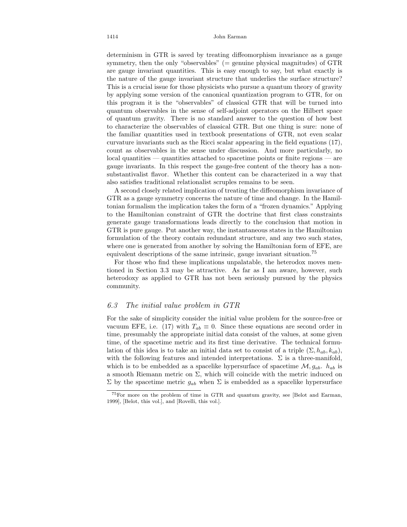determinism in GTR is saved by treating diffeomorphism invariance as a gauge symmetry, then the only "observables" (= genuine physical magnitudes) of GTR are gauge invariant quantities. This is easy enough to say, but what exactly is the nature of the gauge invariant structure that underlies the surface structure? This is a crucial issue for those physicists who pursue a quantum theory of gravity by applying some version of the canonical quantization program to GTR, for on this program it is the "observables" of classical GTR that will be turned into quantum observables in the sense of self-adjoint operators on the Hilbert space of quantum gravity. There is no standard answer to the question of how best to characterize the observables of classical GTR. But one thing is sure: none of the familiar quantities used in textbook presentations of GTR, not even scalar curvature invariants such as the Ricci scalar appearing in the field equations (17), count as observables in the sense under discussion. And more particularly, no local quantities — quantities attached to spacetime points or finite regions — are gauge invariants. In this respect the gauge-free content of the theory has a nonsubstantivalist flavor. Whether this content can be characterized in a way that also satisfies traditional relationalist scruples remains to be seen.

A second closely related implication of treating the diffeomorphism invariance of GTR as a gauge symmetry concerns the nature of time and change. In the Hamiltonian formalism the implication takes the form of a "frozen dynamics." Applying to the Hamiltonian constraint of GTR the doctrine that first class constraints generate gauge transformations leads directly to the conclusion that motion in GTR is pure gauge. Put another way, the instantaneous states in the Hamiltonian formulation of the theory contain redundant structure, and any two such states, where one is generated from another by solving the Hamiltonian form of EFE, are equivalent descriptions of the same intrinsic, gauge invariant situation.<sup>75</sup>

For those who find these implications unpalatable, the heterodox moves mentioned in Section 3.3 may be attractive. As far as I am aware, however, such heterodoxy as applied to GTR has not been seriously pursued by the physics community.

## *6.3 The initial value problem in GTR*

For the sake of simplicity consider the initial value problem for the source-free or vacuum EFE, i.e. (17) with  $T_{ab} \equiv 0$ . Since these equations are second order in time, presumably the appropriate initial data consist of the values, at some given time, of the spacetime metric and its first time derivative. The technical formulation of this idea is to take an initial data set to consist of a triple  $(\Sigma, h_{ab}, k_{ab})$ , with the following features and intended interpretations.  $\Sigma$  is a three-manifold, which is to be embedded as a spacelike hypersurface of spacetime  $\mathcal{M}, g_{ab}$ .  $h_{ab}$  is a smooth Riemann metric on  $\Sigma$ , which will coincide with the metric induced on Σ by the spacetime metric  $g_{ab}$  when Σ is embedded as a spacelike hypersurface

<sup>75</sup>For more on the problem of time in GTR and quantum gravity, see [Belot and Earman, 1999], [Belot, this vol.], and [Rovelli, this vol.].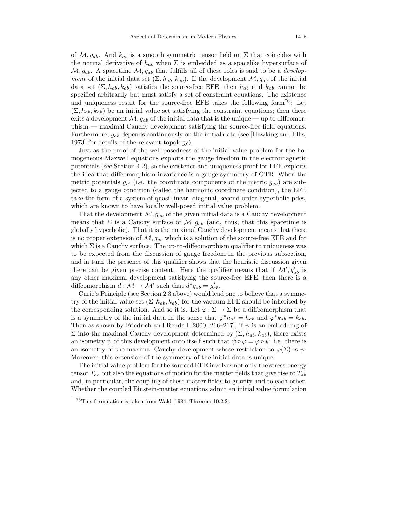of  $\mathcal{M}, g_{ab}$ . And  $k_{ab}$  is a smooth symmetric tensor field on  $\Sigma$  that coincides with the normal derivative of  $h_{ab}$  when  $\Sigma$  is embedded as a spacelike hypersurface of  $M, g_{ab}$ . A spacetime  $M, g_{ab}$  that fulfills all of these roles is said to be a *development* of the initial data set  $(\Sigma, h_{ab}, k_{ab})$ . If the development  $\mathcal{M}, g_{ab}$  of the initial data set  $(\Sigma, h_{ab}, k_{ab})$  satisfies the source-free EFE, then  $h_{ab}$  and  $k_{ab}$  cannot be specified arbitrarily but must satisfy a set of constraint equations. The existence and uniqueness result for the source-free EFE takes the following form<sup>76</sup>: Let  $(\Sigma, h_{ab}, k_{ab})$  be an initial value set satisfying the constraint equations; then there exits a development  $\mathcal{M}, g_{ab}$  of the initial data that is the unique — up to diffeomorphism — maximal Cauchy development satisfying the source-free field equations. Furthermore, <sup>g</sup>ab depends continuously on the initial data (see [Hawking and Ellis, 1973] for details of the relevant topology).

Just as the proof of the well-posedness of the initial value problem for the homogeneous Maxwell equations exploits the gauge freedom in the electromagnetic potentials (see Section 4.2), so the existence and uniqueness proof for EFE exploits the idea that diffeomorphism invariance is a gauge symmetry of GTR. When the metric potentials  $g_{ij}$  (i.e. the coordinate components of the metric  $g_{ab}$ ) are subjected to a gauge condition (called the harmonic coordinate condition), the EFE take the form of a system of quasi-linear, diagonal, second order hyperbolic pdes, which are known to have locally well-posed initial value problem.

That the development  $\mathcal{M}, g_{ab}$  of the given initial data is a Cauchy development means that  $\Sigma$  is a Cauchy surface of  $\mathcal{M}, g_{ab}$  (and, thus, that this spacetime is globally hyperbolic). That it is the maximal Cauchy development means that there is no proper extension of  $\mathcal{M}, g_{ab}$  which is a solution of the source-free EFE and for which  $\Sigma$  is a Cauchy surface. The up-to-diffeomorphism qualifier to uniqueness was to be expected from the discussion of gauge freedom in the previous subsection, and in turn the presence of this qualifier shows that the heuristic discussion given there can be given precise content. Here the qualifier means that if  $\mathcal{M}'$ ,  $g'_{ab}$  is any other maximal development satisfying the source-free EFE, then there is a diffeomorphism  $d : \mathcal{M} \to \mathcal{M}'$  such that  $d^*g_{ab} = g'_{ab}$ .<br>Curie's Principle (see Section 2.3 above) would lea

Curie's Principle (see Section 2.3 above) would lead one to believe that a symmetry of the initial value set  $(\Sigma, h_{ab}, k_{ab})$  for the vacuum EFE should be inherited by the corresponding solution. And so it is. Let  $\varphi : \Sigma \to \Sigma$  be a diffeomorphism that is a symmetry of the initial data in the sense that  $\varphi^* h_{ab} = h_{ab}$  and  $\varphi^* k_{ab} = k_{ab}$ . Then as shown by Friedrich and Rendall [2000, 216–217], if  $\psi$  is an embedding of Σ into the maximal Cauchy development determined by  $(Σ, h_{ab}, k_{ab})$ , there exists an isometry  $\bar{\psi}$  of this development onto itself such that  $\bar{\psi} \circ \varphi = \varphi \circ \psi$ , i.e. there is an isometry of the maximal Cauchy development whose restriction to  $\varphi(\Sigma)$  is  $\psi$ . Moreover, this extension of the symmetry of the initial data is unique.

The initial value problem for the sourced EFE involves not only the stress-energy tensor  $T_{ab}$  but also the equations of motion for the matter fields that give rise to  $T_{ab}$ and, in particular, the coupling of these matter fields to gravity and to each other. Whether the coupled Einstein-matter equations admit an initial value formulation

<sup>76</sup>This formulation is taken from Wald [1984, Theorem 10.2.2].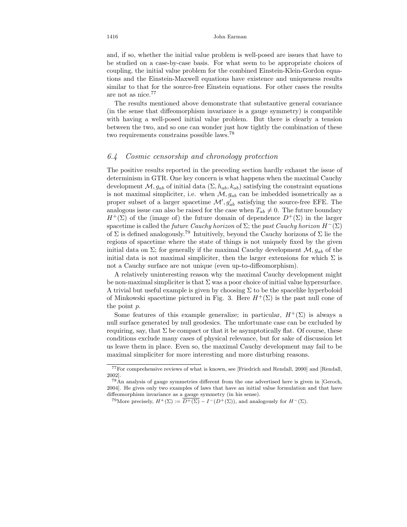and, if so, whether the initial value problem is well-posed are issues that have to be studied on a case-by-case basis. For what seem to be appropriate choices of coupling, the initial value problem for the combined Einstein-Klein-Gordon equations and the Einstein-Maxwell equations have existence and uniqueness results similar to that for the source-free Einstein equations. For other cases the results are not as nice. $^{77}\!$ 

The results mentioned above demonstrate that substantive general covariance (in the sense that diffeomorphism invariance is a gauge symmetry) is compatible with having a well-posed initial value problem. But there is clearly a tension between the two, and so one can wonder just how tightly the combination of these two requirements constrains possible laws.<sup>78</sup>

# *6.4 Cosmic censorship and chronology protection*

The positive results reported in the preceding section hardly exhaust the issue of determinism in GTR. One key concern is what happens when the maximal Cauchy development  $\mathcal{M}, g_{ab}$  of initial data  $(\Sigma, h_{ab}, k_{ab})$  satisfying the constraint equations is not maximal simpliciter, i.e. when  $\mathcal{M}, g_{ab}$  can be imbedded isometrically as a proper subset of a larger spacetime  $\mathcal{M}'$ ,  $g'_{ab}$  satisfying the source-free EFE. The analogous issue can also be raised for the case when  $T_{ab} \neq 0$ . The future boundary  $H^+(\Sigma)$  of the (image of) the future domain of dependence  $D^+(\Sigma)$  in the larger spacetime is called the *future Cauchy horizon* of Σ; the *past Cauchy horizon* H−(Σ) of  $\Sigma$  is defined analogously.<sup>79</sup> Intuitively, beyond the Cauchy horizons of  $\Sigma$  lie the regions of spacetime where the state of things is not uniquely fixed by the given initial data on  $\Sigma$ ; for generally if the maximal Cauchy development  $\mathcal{M}, g_{ab}$  of the initial data is not maximal simpliciter, then the larger extensions for which  $\Sigma$  is not a Cauchy surface are not unique (even up-to-diffeomorphism).

A relatively uninteresting reason why the maximal Cauchy development might be non-maximal simpliciter is that  $\Sigma$  was a poor choice of initial value hypersurface. A trivial but useful example is given by choosing  $\Sigma$  to be the spacelike hyperboloid of Minkowski spacetime pictured in Fig. 3. Here  $H^+(\Sigma)$  is the past null cone of the point p.

Some features of this example generalize; in particular,  $H^+(\Sigma)$  is always a null surface generated by null geodesics. The unfortunate case can be excluded by requiring, say, that  $\Sigma$  be compact or that it be asymptotically flat. Of course, these conditions exclude many cases of physical relevance, but for sake of discussion let us leave them in place. Even so, the maximal Cauchy development may fail to be maximal simpliciter for more interesting and more disturbing reasons.

<sup>77</sup>For comprehensive reviews of what is known, see [Friedrich and Rendall, 2000] and [Rendall, 2002].

<sup>78</sup>An analysis of gauge symmetries different from the one advertised here is given in [Geroch, 2004]. He gives only two examples of laws that have an initial value formulation and that have diffeomorphism invariance as a gauge symmetry (in his sense).

<sup>&</sup>lt;sup>79</sup>More precisely,  $H^+(\Sigma) := \overline{D^+(\Sigma)} - I^-(D^+(\Sigma))$ , and analogously for  $H^-(\Sigma)$ .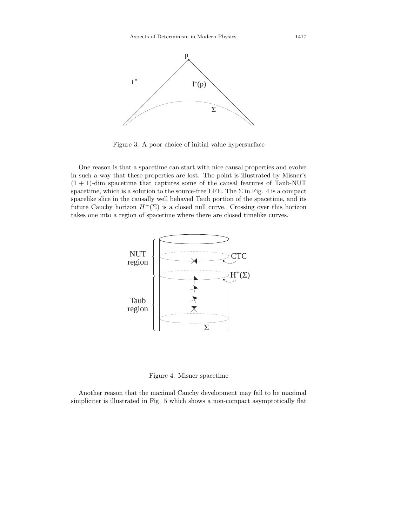

Figure 3. A poor choice of initial value hypersurface

One reason is that a spacetime can start with nice causal properties and evolve in such a way that these properties are lost. The point is illustrated by Misner's  $(1 + 1)$ -dim spacetime that captures some of the causal features of Taub-NUT spacetime, which is a solution to the source-free EFE. The  $\Sigma$  in Fig. 4 is a compact spacelike slice in the causally well behaved Taub portion of the spacetime, and its future Cauchy horizon  $H^+(\Sigma)$  is a closed null curve. Crossing over this horizon takes one into a region of spacetime where there are closed timelike curves.



Figure 4. Misner spacetime

Another reason that the maximal Cauchy development may fail to be maximal simpliciter is illustrated in Fig. 5 which shows a non-compact asymptotically flat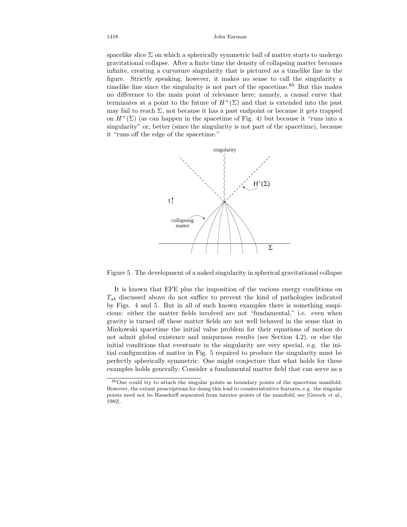spacelike slice  $\Sigma$  on which a spherically symmetric ball of matter starts to undergo gravitational collapse. After a finite time the density of collapsing matter becomes infinite, creating a curvature singularity that is pictured as a timelike line in the figure. Strictly speaking, however, it makes no sense to call the singularity a timelike line since the singularity is not part of the spacetime. $80$  But this makes no difference to the main point of relevance here; namely, a causal curve that terminates at a point to the future of  $H^+(\Sigma)$  and that is extended into the past may fail to reach  $\Sigma$ , not because it has a past endpoint or because it gets trapped on  $H^+(\Sigma)$  (as can happen in the spacetime of Fig. 4) but because it "runs into a singularity" or, better (since the singularity is not part of the spacetime), because it "runs off the edge of the spacetime."



Figure 5. The development of a naked singularity in spherical gravitational collapse

It is known that EFE plus the imposition of the various energy conditions on  $T_{ab}$  discussed above do not suffice to prevent the kind of pathologies indicated by Figs. 4 and 5. But in all of such known examples there is something suspicious: either the matter fields involved are not "fundamental," i.e. even when gravity is turned off these matter fields are not well behaved in the sense that in Minkowski spacetime the initial value problem for their equations of motion do not admit global existence and uniqueness results (see Section 4.2), or else the initial conditions that eventuate in the singularity are very special, e.g. the initial configuration of matter in Fig. 5 required to produce the singularity must be perfectly spherically symmetric. One might conjecture that what holds for these examples holds generally: Consider a fundamental matter field that can serve as a

<sup>80</sup>One could try to attach the singular points as boundary points of the spacetime manifold. However, the extant prescriptions for doing this lead to counterintuitive features, e.g. the singular points need not be Hausdorff separated from interior points of the manifold; see [Geroch et al., 1982].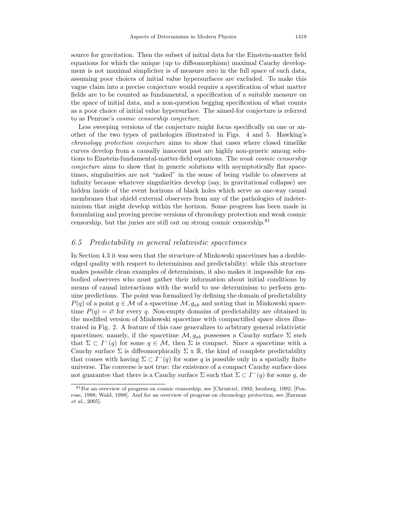source for gravitation. Then the subset of initial data for the Einstein-matter field equations for which the unique (up to diffeomorphism) maximal Cauchy development is not maximal simpliciter is of measure zero in the full space of such data, assuming poor choices of initial value hypersurfaces are excluded. To make this vague claim into a precise conjecture would require a specification of what matter fields are to be counted as fundamental, a specification of a suitable measure on the space of initial data, and a non-question begging specification of what counts as a poor choice of initial value hypersurface. The aimed-for conjecture is referred to as Penrose's *cosmic censorship conjecture*.

Less sweeping versions of the conjecture might focus specifically on one or another of the two types of pathologies illustrated in Figs. 4 and 5. Hawking's *chronology protection conjecture* aims to show that cases where closed timelike curves develop from a causally innocent past are highly non-generic among solutions to Einstein-fundamental-matter-field equations. The *weak cosmic censorship conjecture* aims to show that in generic solutions with asymptotically flat spacetimes, singularities are not "naked" in the sense of being visible to observers at infinity because whatever singularities develop (say, in gravitational collapse) are hidden inside of the event horizons of black holes which serve as one-way causal membranes that shield external observers from any of the pathologies of indeterminism that might develop within the horizon. Some progress has been made in formulating and proving precise versions of chronology protection and weak cosmic censorship, but the juries are still out on strong cosmic censorship.<sup>81</sup>

# *6.5 Predictability in general relativistic spacetimes*

In Section 4.3 it was seen that the structure of Minkowski spacetimes has a doubleedged quality with respect to determinism and predictability: while this structure makes possible clean examples of determinism, it also makes it impossible for embodied observers who must gather their information about initial conditions by means of causal interactions with the world to use determinism to perform genuine predictions. The point was formalized by defining the domain of predictability  $P(q)$  of a point  $q \in \mathcal{M}$  of a spacetime  $\mathcal{M}, g_{ab}$  and noting that in Minkowski spacetime  $P(q) = \emptyset$  for every q. Non-empty domains of predictability are obtained in the modified version of Minkowski spacetime with compactified space slices illustrated in Fig. 2. A feature of this case generalizes to arbitrary general relativistic spacetimes; namely, if the spacetime  $\mathcal{M}, g_{ab}$  possesses a Cauchy surface  $\Sigma$  such that  $\Sigma \subset I^-(q)$  for some  $q \in \mathcal{M}$ , then  $\Sigma$  is compact. Since a spacetime with a Cauchy surface  $\Sigma$  is diffeomorphically  $\Sigma \times \mathbb{R}$ , the kind of complete predictability that comes with having  $\Sigma \subset I^-(q)$  for some q is possible only in a spatially finite universe. The converse is not true: the existence of a compact Cauchy surface does not guarantee that there is a Cauchy surface  $\Sigma$  such that  $\Sigma \subset I^-(q)$  for some q, de

 $81$  For an overview of progress on cosmic censorship, see [Chrusciel, 1992; Isenberg, 1992; [Penrose, 1998; Wald, 1998]. And for an overview of progress on chronology protection, see [Earman et al., 2005].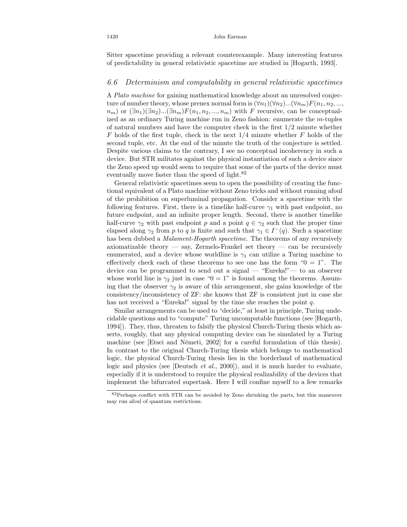Sitter spacetime providing a relevant counterexample. Many interesting features of predictability in general relativistic spacetime are studied in [Hogarth, 1993].

#### *6.6 Determinism and computability in general relativistic spacetimes*

A *Plato machine* for gaining mathematical knowledge about an unresolved conjecture of number theory, whose prenex normal form is  $(\forall n_1)(\forall n_2)...(\forall n_m)F(n_1, n_2, ...)$  $n_m$ ) or  $(\exists n_1)(\exists n_2)...(\exists n_m)F(n_1, n_2, ..., n_m)$  with F recursive, can be conceptualized as an ordinary Turing machine run in Zeno fashion: enumerate the m-tuples of natural numbers and have the computer check in the first 1/2 minute whether F holds of the first tuple, check in the next  $1/4$  minute whether F holds of the second tuple, etc. At the end of the minute the truth of the conjecture is settled. Despite various claims to the contrary, I see no conceptual incoherency in such a device. But STR militates against the physical instantiation of such a device since the Zeno speed up would seem to require that some of the parts of the device must eventually move faster than the speed of light.<sup>82</sup>

General relativistic spacetimes seem to open the possibility of creating the functional equivalent of a Plato machine without Zeno tricks and without running afoul of the prohibition on superluminal propagation. Consider a spacetime with the following features. First, there is a timelike half-curve  $\gamma_1$  with past endpoint, no future endpoint, and an infinite proper length. Second, there is another timelike half-curve  $\gamma_2$  with past endpoint p and a point  $q \in \gamma_2$  such that the proper time elapsed along  $\gamma_2$  from p to q is finite and such that  $\gamma_1 \in I^-(q)$ . Such a spacetime has been dubbed a *Malament-Hogarth spacetime*. The theorems of any recursively axiomatizable theory  $-$  say, Zermelo-Frankel set theory  $-$  can be recursively enumerated, and a device whose worldline is  $\gamma_1$  can utilize a Turing machine to effectively check each of these theorems to see one has the form " $0 = 1$ ". The device can be programmed to send out a signal — "Eureka!"— to an observer whose world line is  $\gamma_2$  just in case "0 = 1" is found among the theorems. Assuming that the observer  $\gamma_2$  is aware of this arrangement, she gains knowledge of the consistency/inconsistency of ZF: she knows that ZF is consistent just in case she has not received a "Eureka!" signal by the time she reaches the point q.

Similar arrangements can be used to "decide," at least in principle, Turing undecidable questions and to "compute" Turing uncomputable functions (see [Hogarth, 1994]). They, thus, threaten to falsify the physical Church-Turing thesis which asserts, roughly, that any physical computing device can be simulated by a Turing machine (see [Etsei and Németi, 2002] for a careful formulation of this thesis). In contrast to the original Church-Turing thesis which belongs to mathematical logic, the physical Church-Turing thesis lies in the borderland of mathematical logic and physics (see [Deutsch *et al.*, 2000]), and it is much harder to evaluate, especially if it is understood to require the physical realizability of the devices that implement the bifurcated supertask. Here I will confine myself to a few remarks

<sup>82</sup>Perhaps conflict with STR can be avoided by Zeno shrinking the parts, but this maneuver may run afoul of quantum restrictions.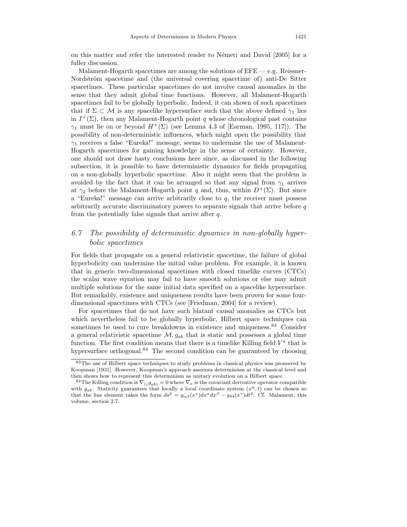on this matter and refer the interested reader to Németi and David [2005] for a fuller discussion.

Malament-Hogarth spacetimes are among the solutions of  $EFE - e.g.$  Reissner-Nordström spacetime and (the universal covering spacetime of) anti-De Sitter spacetimes. These particular spacetimes do not involve causal anomalies in the sense that they admit global time functions. However, all Malament-Hogarth spacetimes fail to be globally hyperbolic. Indeed, it can shown of such spacetimes that if  $\Sigma \subset \mathcal{M}$  is any spacelike hypersurface such that the above defined  $\gamma_1$  lies in  $I^+(\Sigma)$ , then any Malament-Hogarth point q whose chronological past contains  $\gamma_1$  must lie on or beyond  $H^+(\Sigma)$  (see Lemma 4.3 of [Earman, 1995, 117]). The possibility of non-deterministic influences, which might open the possibility that  $\gamma_1$  receives a false "Eureka!" message, seems to undermine the use of Malament-Hogarth spacetimes for gaining knowledge in the sense of certainty. However, one should not draw hasty conclusions here since, as discussed in the following subsection, it is possible to have deterministic dynamics for fields propagating on a non-globally hyperbolic spacetime. Also it might seem that the problem is avoided by the fact that it can be arranged so that any signal from  $\gamma_1$  arrives at  $\gamma_2$  before the Malament-Hogarth point q and, thus, within  $D^+(\Sigma)$ . But since a "Eureka!" message can arrive arbitrarily close to  $q$ , the receiver must possess arbitrarily accurate discriminatory powers to separate signals that arrive before  $q$ from the potentially false signals that arrive after q.

# *6.7 The possibility of deterministic dynamics in non-globally hyperbolic spacetimes*

For fields that propagate on a general relativistic spacetime, the failure of global hyperbolicity can undermine the initial value problem. For example, it is known that in generic two-dimensional spacetimes with closed timelike curves (CTCs) the scalar wave equation may fail to have smooth solutions or else may admit multiple solutions for the same initial data specified on a spacelike hypersurface. But remarkably, existence and uniqueness results have been proven for some fourdimensional spacetimes with CTCs (see [Friedman, 2004] for a review).

For spacetimes that do not have such blatant causal anomalies as CTCs but which nevertheless fail to be globally hyperbolic, Hilbert space techniques can sometimes be used to cure breakdowns in existence and uniqueness.<sup>83</sup> Consider a general relativistic spacetime  $\mathcal{M}, g_{ab}$  that is static and possesses a global time function. The first condition means that there is a timelike Killing field  $V^a$  that is hypersurface orthogonal.<sup>84</sup> The second condition can be guaranteed by choosing

<sup>83</sup>The use of Hilbert space techniques to study problems in classical physics was pioneered by Koopman [1931]. However, Koopman's approach assumes determinism at the classical level and then shows how to represent this determinism as unitary evolution on a Hilbert space.

<sup>&</sup>lt;sup>84</sup>The Killing condition is  $\nabla_{(c}g_{ab)} = 0$  where  $\nabla_a$  is the covariant derivative operator compatible with  $g_{ab}$ . Staticity guarantees that locally a local coordinate system  $(x^{\alpha}, t)$  can be chosen so that the line element takes the form  $ds^2 = g_{\alpha\beta}(x^\gamma)dx^\alpha dx^\beta - g_{44}(x^\gamma)dt^2$ . Cf. Malament, this volume, section 2.7.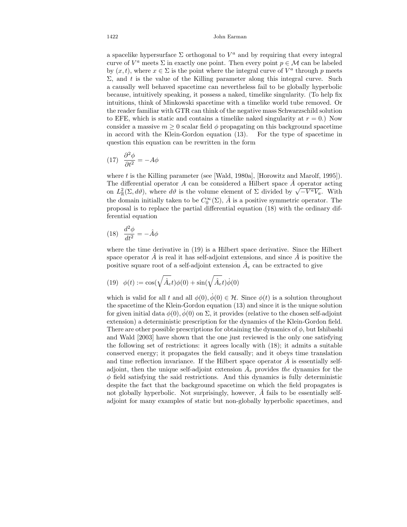a spacelike hypersurface  $\Sigma$  orthogonal to  $V^a$  and by requiring that every integral curve of  $V^a$  meets  $\Sigma$  in exactly one point. Then every point  $p \in \mathcal{M}$  can be labeled by  $(x, t)$ , where  $x \in \Sigma$  is the point where the integral curve of  $V^a$  through p meets  $\Sigma$ , and t is the value of the Killing parameter along this integral curve. Such a causally well behaved spacetime can nevertheless fail to be globally hyperbolic because, intuitively speaking, it possess a naked, timelike singularity. (To help fix intuitions, think of Minkowski spacetime with a timelike world tube removed. Or the reader familiar with GTR can think of the negative mass Schwarzschild solution to EFE, which is static and contains a timelike naked singularity at  $r = 0$ .) Now consider a massive  $m > 0$  scalar field  $\phi$  propagating on this background spacetime in accord with the Klein-Gordon equation (13). For the type of spacetime in question this equation can be rewritten in the form

$$
(17) \quad \frac{\partial^2 \phi}{\partial t^2} = -A\phi
$$

where  $t$  is the Killing parameter (see [Wald, 1980a], [Horowitz and Marolf, 1995]). The differential operator A can be considered a Hilbert space  $\hat{A}$  operator acting The dimerential operator A can be considered a fillment space A operator acting<br>on  $L^2_{\mathbb{R}}(\Sigma, d\vartheta)$ , where  $d\vartheta$  is the volume element of  $\Sigma$  divided by  $\sqrt{-V^aV_a}$ . With the domain initially taken to be  $C_0^{\infty}(\Sigma)$ ,  $\hat{A}$  is a positive symmetric operator. The proposal is to replace the partial differential equation (18) with the ordinary differential equation

$$
(18) \quad \frac{d^2\phi}{dt^2} = -\hat{A}\phi
$$

where the time derivative in (19) is a Hilbert space derivative. Since the Hilbert space operator  $\hat{A}$  is real it has self-adjoint extensions, and since  $\hat{A}$  is positive the positive square root of a self-adjoint extension  $A_e$  can be extracted to give

(19) 
$$
\phi(t) := \cos(\sqrt{\hat{A}_e}t)\phi(0) + \sin(\sqrt{\hat{A}_e}t)\dot{\phi}(0)
$$

which is valid for all t and all  $\phi(0), \dot{\phi}(0) \in \mathcal{H}$ . Since  $\phi(t)$  is a solution throughout the spacetime of the Klein-Gordon equation (13) and since it is the unique solution for given initial data  $\phi(0), \phi(0)$  on  $\Sigma$ , it provides (relative to the chosen self-adjoint extension) a deterministic prescription for the dynamics of the Klein-Gordon field. There are other possible prescriptions for obtaining the dynamics of  $\phi$ , but Ishibashi and Wald [2003] have shown that the one just reviewed is the only one satisfying the following set of restrictions: it agrees locally with (18); it admits a suitable conserved energy; it propagates the field causally; and it obeys time translation and time reflection invariance. If the Hilbert space operator  $\hat{A}$  is essentially selfadjoint, then the unique self-adjoint extension  $A_e$  provides *the* dynamics for the  $\phi$  field satisfying the said restrictions. And this dynamics is fully deterministic despite the fact that the background spacetime on which the field propagates is not globally hyperbolic. Not surprisingly, however,  $A$  fails to be essentially selfadjoint for many examples of static but non-globally hyperbolic spacetimes, and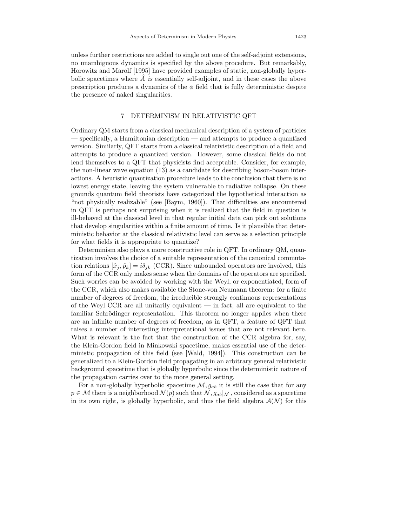unless further restrictions are added to single out one of the self-adjoint extensions, no unambiguous dynamics is specified by the above procedure. But remarkably, Horowitz and Marolf [1995] have provided examples of static, non-globally hyperbolic spacetimes where Aˆ *is* essentially self-adjoint, and in these cases the above prescription produces a dynamics of the  $\phi$  field that is fully deterministic despite the presence of naked singularities.

#### 7 DETERMINISM IN RELATIVISTIC QFT

Ordinary QM starts from a classical mechanical description of a system of particles — specifically, a Hamiltonian description — and attempts to produce a quantized version. Similarly, QFT starts from a classical relativistic description of a field and attempts to produce a quantized version. However, some classical fields do not lend themselves to a QFT that physicists find acceptable. Consider, for example, the non-linear wave equation (13) as a candidate for describing boson-boson interactions. A heuristic quantization procedure leads to the conclusion that there is no lowest energy state, leaving the system vulnerable to radiative collapse. On these grounds quantum field theorists have categorized the hypothetical interaction as "not physically realizable" (see [Baym, 1960]). That difficulties are encountered in QFT is perhaps not surprising when it is realized that the field in question is ill-behaved at the classical level in that regular initial data can pick out solutions that develop singularities within a finite amount of time. Is it plausible that deterministic behavior at the classical relativistic level can serve as a selection principle for what fields it is appropriate to quantize?

Determinism also plays a more constructive role in QFT. In ordinary QM, quantization involves the choice of a suitable representation of the canonical commutation relations  $[\hat{x}_j, \hat{p}_k] = i\delta_{jk}$  (CCR). Since unbounded operators are involved, this form of the CCR only makes sense when the domains of the operators are specified. Such worries can be avoided by working with the Weyl, or exponentiated, form of the CCR, which also makes available the Stone-von Neumann theorem: for a finite number of degrees of freedom, the irreducible strongly continuous representations of the Weyl CCR are all unitarily equivalent — in fact, all are equivalent to the familiar Schrödinger representation. This theorem no longer applies when there are an infinite number of degrees of freedom, as in QFT, a feature of QFT that raises a number of interesting interpretational issues that are not relevant here. What is relevant is the fact that the construction of the CCR algebra for, say, the Klein-Gordon field in Minkowski spacetime, makes essential use of the deterministic propagation of this field (see [Wald, 1994]). This construction can be generalized to a Klein-Gordon field propagating in an arbitrary general relativistic background spacetime that is globally hyperbolic since the deterministic nature of the propagation carries over to the more general setting.

For a non-globally hyperbolic spacetime  $\mathcal{M}, g_{ab}$  it is still the case that for any  $p \in \mathcal{M}$  there is a neighborhood  $\mathcal{N}(p)$  such that  $\mathcal{N}, g_{ab}|_{\mathcal{N}}$ , considered as a spacetime in its own right, is globally hyperbolic, and thus the field algebra  $\mathcal{A}(\mathcal{N})$  for this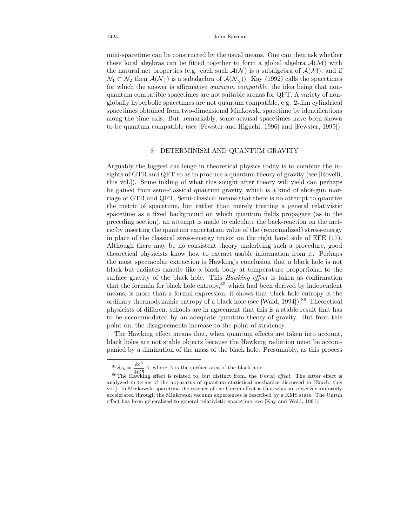mini-spacetime can be constructed by the usual means. One can then ask whether these local algebras can be fitted together to form a global algebra  $\mathcal{A}(\mathcal{M})$  with the natural net properties (e.g. each such  $\mathcal{A}(\mathcal{N})$  is a subalgebra of  $\mathcal{A}(\mathcal{M})$ , and if  $\mathcal{N}_1 \subset \mathcal{N}_2$  then  $\mathcal{A}(\mathcal{N}_1)$  is a subalgebra of  $\mathcal{A}(\mathcal{N}_2)$ ). Kay (1992) calls the spacetimes for which the answer is affirmative *quantum compatible*, the idea being that nonquantum compatible spacetimes are not suitable arenas for QFT. A variety of nonglobally hyperbolic spacetimes are not quantum compatible, e.g. 2-dim cylindrical spacetimes obtained from two-dimensional Minkowski spacetime by identifications along the time axis. But, remarkably, some acausal spacetimes have been shown to be quantum compatible (see [Fewster and Higuchi, 1996] and [Fewster, 1999]).

#### 8 DETERMINISM AND QUANTUM GRAVITY

Arguably the biggest challenge in theoretical physics today is to combine the insights of GTR and QFT so as to produce a quantum theory of gravity (see [Rovelli, this vol.]). Some inkling of what this sought after theory will yield can perhaps be gained from semi-classical quantum gravity, which is a kind of shot-gun marriage of GTR and QFT. Semi-classical means that there is no attempt to quantize the metric of spacetime, but rather than merely treating a general relativistic spacetime as a fixed background on which quantum fields propagate (as in the preceding section), an attempt is made to calculate the back-reaction on the metric by inserting the quantum expectation value of the (renormalized) stress-energy in place of the classical stress-energy tensor on the right hand side of EFE (17). Although there may be no consistent theory underlying such a procedure, good theoretical physicists know how to extract usable information from it. Perhaps the most spectacular extraction is Hawking's conclusion that a black hole is not black but radiates exactly like a black body at temperature proportional to the surface gravity of the black hole. This *Hawking effect* is taken as confirmation that the formula for black hole entropy,<sup>85</sup> which had been derived by independent means, is more than a formal expression; it shows that black hole entropy is the ordinary thermodynamic entropy of a black hole (see [Wald, 1994]).<sup>86</sup> Theoretical physicists of different schools are in agreement that this is a stable result that has to be accommodated by an adequate quantum theory of gravity. But from this point on, the disagreements increase to the point of stridency.

The Hawking effect means that, when quantum effects are taken into account, black holes are not stable objects because the Hawking radiation must be accompanied by a diminution of the mass of the black hole. Presumably, as this process

 $\frac{85}{36h} = \frac{kc^3}{4Gh}A$ , where A is the surface area of the black hole.

 $86$ The Hawking effect is related to, but distinct from, the Unruh effect. The latter effect is analyzed in terms of the apparatus of quantum statistical mechanics discussed in [Emch, this vol.]. In Minkowski spacetime the essence of the Unruh effect is that what an observer uniformly accelerated through the Minkowski vacuum experiences is described by a KMS state. The Unruh effect has been generalized to general relativistic spacetime; see [Kay and Wald, 1991].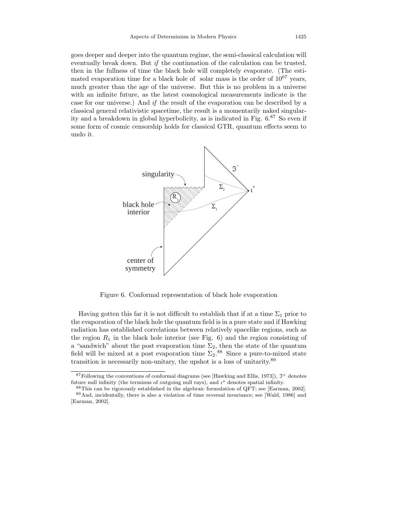goes deeper and deeper into the quantum regime, the semi-classical calculation will eventually break down. But *if* the continuation of the calculation can be trusted, then in the fullness of time the black hole will completely evaporate. (The estimated evaporation time for a black hole of solar mass is the order of  $10^{67}$  years, much greater than the age of the universe. But this is no problem in a universe with an infinite future, as the latest cosmological measurements indicate is the case for our universe.) And *if* the result of the evaporation can be described by a classical general relativistic spacetime, the result is a momentarily naked singularity and a breakdown in global hyperbolicity, as is indicated in Fig. 6.<sup>87</sup> So even if some form of cosmic censorship holds for classical GTR, quantum effects seem to undo it.



Figure 6. Conformal representation of black hole evaporation

Having gotten this far it is not difficult to establish that if at a time  $\Sigma_1$  prior to the evaporation of the black hole the quantum field is in a pure state and if Hawking radiation has established correlations between relatively spacelike regions, such as the region  $R_1$  in the black hole interior (see Fig. 6) and the region consisting of a "sandwich" about the post evaporation time  $\Sigma_2$ , then the state of the quantum field will be mixed at a post evaporation time  $\Sigma_2$ .<sup>88</sup> Since a pure-to-mixed state transition is necessarily non-unitary, the upshot is a loss of unitarity.<sup>89</sup>

<sup>&</sup>lt;sup>87</sup>Following the conventions of conformal diagrams (see [Hawking and Ellis, 1973]),  $\mathfrak{I}^+$  denotes future null infinity (the terminus of outgoing null rays), and  $\iota^o$  denotes spatial infinity.<br><sup>88</sup>This can be rigorously established in the algebraic formulation of QFT; see [Earman, 2002].

<sup>89</sup>And, incidentally, there is also a violation of time reversal invariance; see [Wald, 1986] and [Earman, 2002].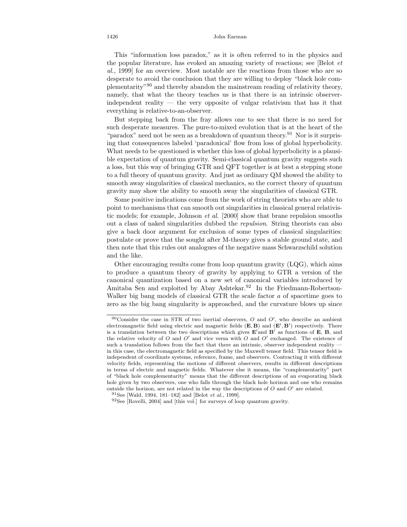This "information loss paradox," as it is often referred to in the physics and the popular literature, has evoked an amazing variety of reactions; see [Belot *et al.*, 1999] for an overview. Most notable are the reactions from those who are so desperate to avoid the conclusion that they are willing to deploy "black hole complementarity"<sup>90</sup> and thereby abandon the mainstream reading of relativity theory, namely, that what the theory teaches us is that there is an intrinsic observerindependent reality — the very opposite of vulgar relativism that has it that everything is relative-to-an-observer.

But stepping back from the fray allows one to see that there is no need for such desperate measures. The pure-to-mixed evolution that is at the heart of the "paradox" need not be seen as a breakdown of quantum theory.<sup>91</sup> Nor is it surprising that consequences labeled 'paradoxical' flow from loss of global hyperbolicity. What needs to be questioned is whether this loss of global hyperbolicity is a plausible expectation of quantum gravity. Semi-classical quantum gravity suggests such a loss, but this way of bringing GTR and QFT together is at best a stepping stone to a full theory of quantum gravity. And just as ordinary QM showed the ability to smooth away singularities of classical mechanics, so the correct theory of quantum gravity may show the ability to smooth away the singularities of classical GTR.

Some positive indications come from the work of string theorists who are able to point to mechanisms that can smooth out singularities in classical general relativistic models; for example, Johnson *et al.* [2000] show that brane repulsion smooths out a class of naked singularities dubbed the *repulsion*. String theorists can also give a back door argument for exclusion of some types of classical singularities: postulate or prove that the sought after M-theory gives a stable ground state, and then note that this rules out analogues of the negative mass Schwarzschild solution and the like.

Other encouraging results come from loop quantum gravity (LQG), which aims to produce a quantum theory of gravity by applying to GTR a version of the canonical quantization based on a new set of canonical variables introduced by Amitaba Sen and exploited by Abay Ashtekar.<sup>92</sup> In the Friedmann-Robertson-Walker big bang models of classical GTR the scale factor  $a$  of spacetime goes to zero as the big bang singularity is approached, and the curvature blows up since

 $90\text{Consider the case in STR of two inertial observers, }O \text{ and } O', \text{ who describe an ambient}$ electromagnetic field using electric and magnetic fields  $(E, B)$  and  $(E', B')$  respectively. There is a translation between the two descriptions which gives  $\mathbf{E}'$  and  $\mathbf{B}'$  as functions of  $\mathbf{E}$ ,  $\mathbf{B}$ , and the relative velocity of O and O' and vice versa with O and O' exchanged. The existence of such a translation follows from the fact that there an intrinsic, observer independent reality  $$ in this case, the electromagnetic field as specified by the Maxwell tensor field. This tensor field is independent of coordinate systems, reference, frame, and observers. Contracting it with different velocity fields, representing the motions of different observers, results in different descriptions in terms of electric and magnetic fields. Whatever else it means, the "complementarity" part of "black hole complementarity" means that the different descriptions of an evaporating black hole given by two observers, one who falls through the black hole horizon and one who remains outside the horizon, are not related in the way the descriptions of  $O$  and  $O'$  are related.

 $91$ See [Wald, 1994, 181-182] and [Belot *et al.*, 1999].

 $^{92}\mathrm{See}$  [Rovelli, 2004] and [this vol.] for surveys of loop quantum gravity.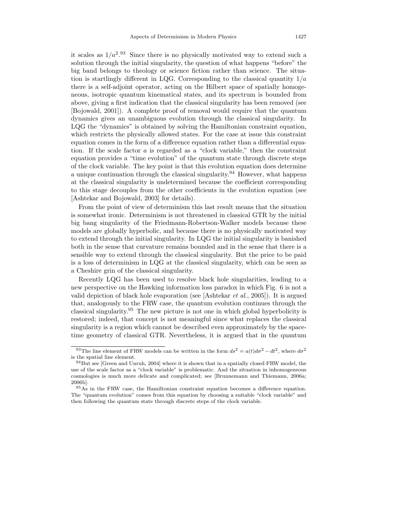it scales as  $1/a^2$ .<sup>93</sup> Since there is no physically motivated way to extend such a solution through the initial singularity, the question of what happens "before" the big band belongs to theology or science fiction rather than science. The situation is startlingly different in LQG. Corresponding to the classical quantity  $1/a$ there is a self-adjoint operator, acting on the Hilbert space of spatially homogeneous, isotropic quantum kinematical states, and its spectrum is bounded from above, giving a first indication that the classical singularity has been removed (see [Bojowald, 2001]). A complete proof of removal would require that the quantum dynamics gives an unambiguous evolution through the classical singularity. In LQG the "dynamics" is obtained by solving the Hamiltonian constraint equation, which restricts the physically allowed states. For the case at issue this constraint equation comes in the form of a difference equation rather than a differential equation. If the scale factor a is regarded as a "clock variable," then the constraint equation provides a "time evolution" of the quantum state through discrete steps of the clock variable. The key point is that this evolution equation does determine a unique continuation through the classical singularity.<sup>94</sup> However, what happens at the classical singularity is undetermined because the coefficient corresponding to this stage decouples from the other coefficients in the evolution equation (see [Ashtekar and Bojowald, 2003] for details).

From the point of view of determinism this last result means that the situation is somewhat ironic. Determinism is not threatened in classical GTR by the initial big bang singularity of the Friedmann-Robertson-Walker models because these models are globally hyperbolic, and because there is no physically motivated way to extend through the initial singularity. In LQG the initial singularity is banished both in the sense that curvature remains bounded and in the sense that there is a sensible way to extend through the classical singularity. But the price to be paid is a loss of determinism in LQG at the classical singularity, which can be seen as a Cheshire grin of the classical singularity.

Recently LQG has been used to resolve black hole singularities, leading to a new perspective on the Hawking information loss paradox in which Fig. 6 is not a valid depiction of black hole evaporation (see [Ashtekar *et al.*, 2005]). It is argued that, analogously to the FRW case, the quantum evolution continues through the classical singularity.<sup>95</sup> The new picture is not one in which global hyperbolicity is restored; indeed, that concept is not meaningful since what replaces the classical singularity is a region which cannot be described even approximately by the spacetime geometry of classical GTR. Nevertheless, it is argued that in the quantum

<sup>&</sup>lt;sup>93</sup>The line element of FRW models can be written in the form  $ds^2 = a(t)d\sigma^2 - dt^2$ , where  $d\sigma^2$ is the spatial line element.

<sup>&</sup>lt;sup>94</sup>But see [Green and Unruh, 2004] where it is shown that in a spatially closed FRW model, the use of the scale factor as a "clock variable" is problematic. And the situation in inhomogeneous cosmologies is much more delicate and complicated; see [Brunnemann and Thiemann, 2006a; 2006b].

<sup>95</sup>As in the FRW case, the Hamiltonian constraint equation becomes a difference equation. The "quantum evolution" comes from this equation by choosing a suitable "clock variable" and then following the quantum state through discrete steps of the clock variable.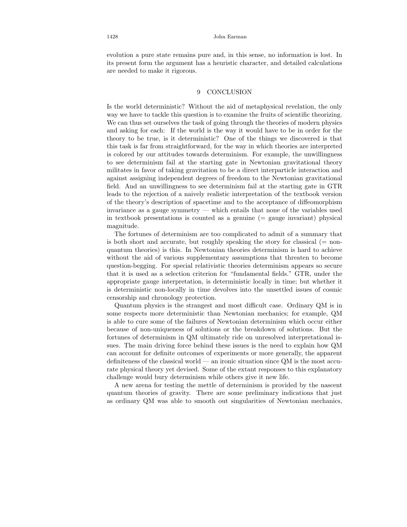evolution a pure state remains pure and, in this sense, no information is lost. In its present form the argument has a heuristic character, and detailed calculations are needed to make it rigorous.

#### 9 CONCLUSION

Is the world deterministic? Without the aid of metaphysical revelation, the only way we have to tackle this question is to examine the fruits of scientific theorizing. We can thus set ourselves the task of going through the theories of modern physics and asking for each: If the world is the way it would have to be in order for the theory to be true, is it deterministic? One of the things we discovered is that this task is far from straightforward, for the way in which theories are interpreted is colored by our attitudes towards determinism. For example, the unwillingness to see determinism fail at the starting gate in Newtonian gravitational theory militates in favor of taking gravitation to be a direct interparticle interaction and against assigning independent degrees of freedom to the Newtonian gravitational field. And an unwillingness to see determinism fail at the starting gate in GTR leads to the rejection of a naively realistic interpretation of the textbook version of the theory's description of spacetime and to the acceptance of diffeomorphism invariance as a gauge symmetry — which entails that none of the variables used in textbook presentations is counted as a genuine  $(=$  gauge invariant) physical magnitude.

The fortunes of determinism are too complicated to admit of a summary that is both short and accurate, but roughly speaking the story for classical  $(= non$ quantum theories) is this. In Newtonian theories determinism is hard to achieve without the aid of various supplementary assumptions that threaten to become question-begging. For special relativistic theories determinism appears so secure that it is used as a selection criterion for "fundamental fields." GTR, under the appropriate gauge interpretation, is deterministic locally in time; but whether it is deterministic non-locally in time devolves into the unsettled issues of cosmic censorship and chronology protection.

Quantum physics is the strangest and most difficult case. Ordinary QM is in some respects more deterministic than Newtonian mechanics; for example, QM is able to cure some of the failures of Newtonian determinism which occur either because of non-uniqueness of solutions or the breakdown of solutions. But the fortunes of determinism in QM ultimately ride on unresolved interpretational issues. The main driving force behind these issues is the need to explain how QM can account for definite outcomes of experiments or more generally, the apparent definiteness of the classical world — an ironic situation since QM is the most accurate physical theory yet devised. Some of the extant responses to this explanatory challenge would bury determinism while others give it new life.

A new arena for testing the mettle of determinism is provided by the nascent quantum theories of gravity. There are some preliminary indications that just as ordinary QM was able to smooth out singularities of Newtonian mechanics,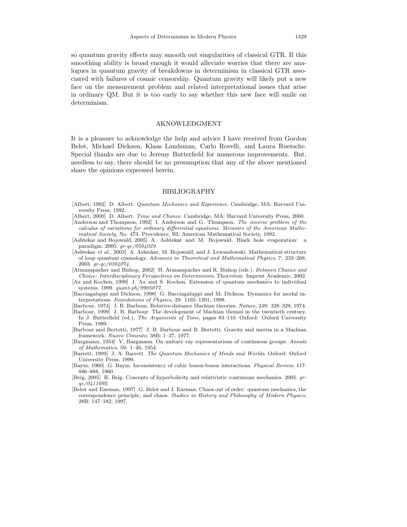so quantum gravity effects may smooth out singularities of classical GTR. If this smoothing ability is broad enough it would alleviate worries that there are analogues in quantum gravity of breakdowns in determinism in classical GTR associated with failures of cosmic censorship. Quantum gravity will likely put a new face on the measurement problem and related interpretational issues that arise in ordinary QM. But it is too early to say whether this new face will smile on determinism.

#### AKNOWLEDGMENT

It is a pleasure to acknowledge the help and advice I have received from Gordon Belot, Michael Dickson, Klaas Landsman, Carlo Rovelli, and Laura Ruetsche. Special thanks are due to Jeremy Butterfield for numerous improvements. But, needless to say, there should be no presumption that any of the above mentioned share the opinions expressed herein.

#### BIBLIOGRAPHY

[Albert, 1992] D. Albert. Quantum Mechanics and Experience. Cambridge, MA: Harvard University Press, 1992.

[Albert, 2000] D. Albert. Time and Chance. Cambridge, MA: Harvard University Press, 2000.

- [Anderson and Thompson, 1992] I. Anderson and G. Thompson. The inverse problem of the calculus of variations for ordinary differential equations. Memoirs of the American Mathematical Society, No. 473. Providence, RI: American Mathematical Society, 1992.
- [Ashtekar and Bojowald, 2005] A. Ashtekar and M. Bojowald. Black hole evaporation: a paradigm. 2005. gr-qc/0504029.
- [Ashtekar et al., 2003] A. Ashtekar, M. Bojowald, and J. Lewandowski. Mathematical structure of loop quantum cosmology. Advances in Theoretical and Mathematical Physics, 7: 233–268, 2003. gr-qc/0304074.

[Atmanspacher and Bishop, 2002] H. Atmanspacher and R. Bishop (eds.). Between Chance and Choice: Interdisciplinary Perspectives on Determinism. Thorveton: Imprint Academic, 2002.

[Ax and Kochen, 1999] J. Ax and S. Kochen. Extension of quantum mechanics to individual systems. 1999. quant-ph/9905077.

[Bacciagaluppi and Dickson, 1998] G. Bacciagaluppi and M. Dickson. Dynamics for modal interpretations. Foundations of Physics, 29: 1165–1201, 1998.

[Barbour, 1974] J. B. Barbour. Relative-distance Machian theories. Nature, 249: 328–329, 1974.

- [Barbour, 1999] J. B. Barbour. The development of Machian themes in the twentieth century. In J. Butterfield (ed.), The Arguments of Time, pages 83–110. Oxford: Oxford University Press, 1999.
- [Barbour and Bertotti, 1977] J. B. Barbour and B. Bertotti. Gravity and inertia in a Machian framework. Nuovo Cimento, 38B: 1–27, 1977.
- [Bargmann, 1954] V. Bargmann. On unitary ray representations of continuous groups. Annals of Mathematics, 59: 1–46, 1954.
- [Barrett, 1999] J. A. Barrett. The Quantum Mechanics of Minds and Worlds. Oxford: Oxford University Press, 1999.
- [Baym, 1960] G. Baym. Inconsistency of cubic boson-boson interactions. Physical Review, 117: 886–888, 1960.
- [Beig, 2005] R. Beig. Concepts of hyperbolicity and relativistic continuum mechanics. 2005. grqc/0411092.
- [Belot and Earman, 1997] G. Belot and J. Earman. Chaos out of order: quantum mechanics, the correspondence principle, and chaos. Studies in History and Philosophy of Modern Physics, 28B: 147–182, 1997.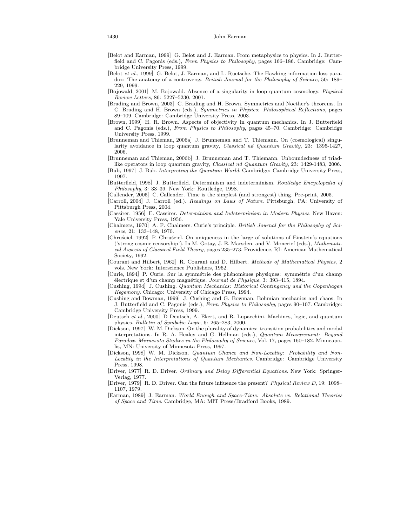- [Belot and Earman, 1999] G. Belot and J. Earman. From metaphysics to physics. In J. Butterfield and C. Pagonis (eds.), From Physics to Philosophy, pages 166–186. Cambridge: Cambridge University Press, 1999.
- [Belot et al., 1999] G. Belot, J. Earman, and L. Ruetsche. The Hawking information loss paradox: The anatomy of a controversy. British Journal for the Philosophy of Science, 50: 189– 229, 1999.
- [Bojowald, 2001] M. Bojowald. Absence of a singularity in loop quantum cosmology. Physical Review Letters, 86: 5227–5230, 2001.
- [Brading and Brown, 2003] C. Brading and H. Brown. Symmetries and Noether's theorems. In C. Brading and H. Brown (eds.), Symmetries in Physics: Philosophical Reflections, pages 89–109. Cambridge: Cambridge University Press, 2003.
- [Brown, 1999] H. R. Brown. Aspects of objectivity in quantum mechanics. In J. Butterfield and C. Pagonis (eds.), From Physics to Philosophy, pages 45–70. Cambridge: Cambridge University Press, 1999.
- [Brunneman and Thieman, 2006a] J. Brunneman and T. Thiemann. On (cosmological) singularity avoidance in loop quantum gravity, *Classical nd Quantum Gravity*, 23: 1395-1427, 2006.
- [Brunneman and Thieman, 2006b] J. Brunneman and T. Thiemann. Unboundedness of triadlike operators in loop quantum gravity, Classical nd Quantum Gravity, 23: 1429-1483, 2006.
- [Bub, 1997] J. Bub. Interpreting the Quantum World. Cambridge: Cambridge University Press, 1997.
- [Butterfield, 1998] J. Butterfield. Determinism and indeterminism. Routledge Encyclopedia of Philosophy, 3: 33–39. New York: Routledge, 1998.
- [Callender, 2005] C. Callender. Time is the simplest (and strongest) thing. Pre-print, 2005.
- [Carroll, 2004] J. Carroll (ed.). Readings on Laws of Nature. Pittsburgh, PA: University of Pittsburgh Press, 2004.
- [Cassirer, 1956] E. Cassirer. Determinism and Indeterminism in Modern Physics. New Haven: Yale University Press, 1956.
- [Chalmers, 1970] A. F. Chalmers. Curie's principle. British Journal for the Philosophy of Science, 21: 133–148, 1970.
- [Chrus´ciel, 1992] P. Chrus´ciel. On uniqueness in the large of solutions of Einstein's equations ('strong cosmic censorship'). In M. Gotay, J. E. Marsden, and V. Moncrief (eds.), Mathematical Aspects of Classical Field Theory, pages 235–273. Providence, RI: American Mathematical Society, 1992.
- [Courant and Hilbert, 1962] R. Courant and D. Hilbert. Methods of Mathematical Physics, 2 vols. New York: Interscience Publishers, 1962.
- [Curie, 1894] P. Curie. Sur la symmétrie des phénomènes physiques: symmétrie d'un champ ´electrique et d'un champ magn´etique. Journal de Physique, 3: 393–415, 1894.
- [Cushing, 1994] J. Cushing. Quantum Mechanics: Historical Contingency and the Copenhagen Hegemony. Chicago: University of Chicago Press, 1994.
- [Cushing and Bowman, 1999] J. Cushing and G. Bowman. Bohmian mechanics and chaos. In J. Butterfield and C. Pagonis (eds.), From Physics to Philosophy, pages 90–107. Cambridge: Cambridge University Press, 1999.
- [Deutsch et al., 2000] D Deutsch, A. Ekert, and R. Lupacchini. Machines, logic, and quantum physics. Bulletin of Symbolic Logic, 6: 265–283, 2000.
- [Dickson, 1997] W. M. Dickson. On the plurality of dynamics: transition probabilities and modal interpretations. In R. A. Healey and G. Hellman (eds.), Quantum Measurement: Beyond Paradox. Minnesota Studies in the Philosophy of Science, Vol. 17, pages 160–182. Minneapolis, MN: University of Minnesota Press, 1997.
- [Dickson, 1998] W. M. Dickson. Quantum Chance and Non-Locality: Probability and Non-Locality in the Interpretations of Quantum Mechanics. Cambridge: Cambridge University Press, 1998.
- [Driver, 1977] R. D. Driver. Ordinary and Delay Differential Equations. New York: Springer-Verlag, 1977.
- [Driver, 1979] R. D. Driver. Can the future influence the present? Physical Review D, 19: 1098– 1107, 1979.
- [Earman, 1989] J. Earman. World Enough and Space-Time: Absolute vs. Relational Theories of Space and Time. Cambridge, MA: MIT Press/Bradford Books, 1989.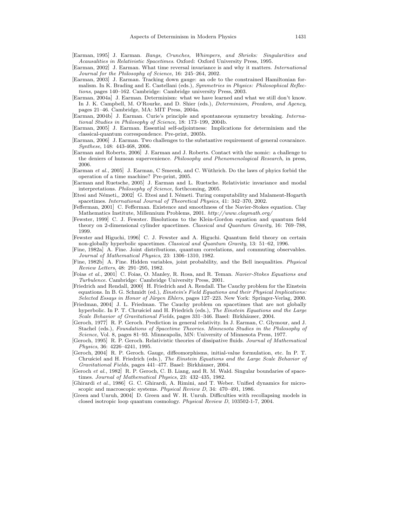- [Earman, 1995] J. Earman. Bangs, Crunches, Whimpers, and Shrieks: Singularities and Acausalities in Relativistic Spacetimes. Oxford: Oxford University Press, 1995.
- [Earman, 2002] J. Earman. What time reversal invariance is and why it matters. International Journal for the Philosophy of Science, 16: 245–264, 2002.
- [Earman, 2003] J. Earman. Tracking down gauge: an ode to the constrained Hamiltonian formalism. In K. Brading and E. Castellani (eds.), Symmetries in Physics: Philosophical Reflections, pages 140–162. Cambridge: Cambridge university Press, 2003.
- [Earman, 2004a] J. Earman. Determinism: what we have learned and what we still don't know. In J. K. Campbell, M. O'Rourke, and D. Shier (eds.), *Determinism, Freedom, and Agency*, pages 21–46. Cambridge, MA: MIT Press, 2004a.
- [Earman, 2004b] J. Earman. Curie's principle and spontaneous symmetry breaking. International Studies in Philosophy of Science, 18: 173–199, 2004b.
- [Earman, 2005] J. Earman. Essential self-adjointness: Implications for determinism and the classical-quantum correspondence. Pre-print, 2005b.
- [Earman, 2006] J. Earman. Two challenges to the substantive requirement of general covaraince. Synthese, 148: 443-468, 2006.
- [Earman and Roberts, 2006] J. Earman and J. Roberts. Contact with the nomic: a challenge to the deniers of humean supervenience. Philosophy and Phenomenological Research, in press, 2006.
- [Earman et al., 2005] J. Earman, C Smeenk, and C. Wüthrich. Do the laws of phyics forbid the operation of a time machine? Pre-print, 2005.
- [Earman and Ruetsche, 2005] J. Earman and L. Ruetsche. Relativistic invariance and modal interpretations. Philosophy of Science, forthcoming, 2005.
- [Etesi and Németi,, 2002] G. Etesi and I. Németi. Turing computability and Malament-Hogarth spacetimes. International Journal of Theoretical Physics, 41: 342–370, 2002.
- [Fefferman, 2001] C. Fefferman. Existence and smoothness of the Navier-Stokes equation. Clay Mathematics Institute, Millennium Problems, 2001. http://www.claymath.org/
- [Fewster, 1999] C. J. Fewster. Bisolutions to the Klein-Gordon equation and quantum field theory on 2-dimensional cylinder spacetimes. Classical and Quantum Gravity, 16: 769–788, 1999.
- [Fewster and Higuchi, 1996] C. J. Fewster and A. Higuchi. Quantum field theory on certain non-globally hyperbolic spacetimes. Classical and Quantum Gravity, 13: 51–62, 1996.
- [Fine, 1982a] A. Fine. Joint distributions, quantum correlations, and commuting observables. Journal of Mathematical Physics, 23: 1306–1310, 1982.
- [Fine, 1982b] A. Fine. Hidden variables, joint probability, and the Bell inequalities. Physical Review Letters, 48: 291–295, 1982.
- [Foias et al., 2001] C. Foias, O. Manley, R. Rosa, and R. Teman. Navier-Stokes Equations and Turbulence. Cambridge: Cambridge University Press, 2001.
- [Friedrich and Rendall, 2000] H. Friedrich and A. Rendall. The Cauchy problem for the Einstein equations. In B. G. Schmidt (ed.), Einstein's Field Equations and their Physical Implications: Selected Essays in Honor of Jürgen Ehlers, pages 127–223. New York: Springer-Verlag, 2000.
- [Friedman, 2004] J. L. Friedman. The Cauchy problem on spacetimes that are not globally hyperbolic. In P. T. Chrusciel and H. Friedrich (eds.), The Einstein Equations and the Large Scale Behavior of Gravitational Fields, pages 331–346. Basel: Birkhäuser, 2004.
- [Geroch, 1977] R. P. Geroch. Prediction in general relativity. In J. Earman, C. Glymour, and J. Stachel (eds.), Foundations of Spacetime Theories. Minnesota Studies in the Philosophy of Science, Vol. 8, pages 81–93. Minneapolis, MN: University of Minnesota Press, 1977.
- [Geroch, 1995] R. P. Geroch. Relativistic theories of dissipative fluids. Journal of Mathematical Physics, 36: 4226–4241, 1995.
- [Geroch, 2004] R. P. Geroch. Gauge, diffeomorphisms, initial-value formulation, etc. In P. T. Chrusciel and H. Friedrich (eds.), The Einstein Equations and the Large Scale Behavior of Gravitational Fields, pages 441-477. Basel: Birkhäuser, 2004.
- [Geroch et al., 1982] R. P. Geroch, C. B. Liang, and R. M. Wald. Singular boundaries of spacetimes. Journal of Mathematical Physics, 23: 432–435, 1982.
- [Ghirardi et al., 1986] G. C. Ghirardi, A. Rimini, and T. Weber. Unified dynamics for microscopic and macroscopic systems. Physical Review D, 34: 470-491, 1986.
- [Green and Unruh, 2004] D. Green and W. H. Unruh. Difficulties with recollapsing models in closed isotropic loop quantum cosmology. Physical Review D, 103502-1-7, 2004.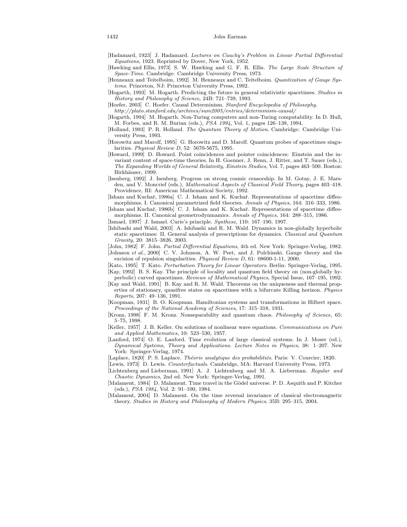- [Hadamard, 1923] J. Hadamard. Lectures on Cauchy's Problem in Linear Partial Differential Equations, 1923. Reprinted by Dover, New York, 1952.
- [Hawking and Ellis, 1973] S. W. Hawking and G. F. R. Ellis. The Large Scale Structure of Space-Time. Cambridge: Cambridge University Press, 1973.
- [Henneaux and Teitelboim, 1992] M. Henneaux and C. Teitelboim. Quantization of Gauge Systems. Princeton, NJ: Princeton University Press, 1992.
- [Hogarth, 1993] M. Hogarth. Predicting the future in general relativistic spacetimes. Studies in History and Philosophy of Science, 24B: 721–739, 1993.
- [Hoefer, 2003] C. Hoefer. Causal Determinism. Stanford Encyclopedia of Philosophy.

http://plato.stanford.edu/archives/sum2005/entries/determinism-causal/

- [Hogarth, 1994] M. Hogarth. Non-Turing computers and non-Turing computability. In D. Hull, M. Forbes, and R. M. Burian (eds.), PSA 1994, Vol. 1, pages 126–138, 1994.
- [Holland, 1993] P. R. Holland. The Quantum Theory of Motion. Cambridge: Cambridge University Press, 1993.
- [Horowitz and Marolf, 1995] G. Horowitz and D. Marolf. Quantum probes of spacetimes singularities. Physical Review D, 52: 5670-5675, 1995.
- [Howard, 1999] D. Howard. Point coincidences and pointer coincidences: Einstein and the invariant content of space-time theories. In H. Goenner, J. Renn, J. Ritter, and T. Sauer (eds.), The Expanding Worlds of General Relativity, Einstein Studies, Vol. 7, pages 463–500. Boston: Birkhäuser, 1999.
- [Isenberg, 1992] J. Isenberg. Progress on strong cosmic censorship. In M. Gotay, J. E. Marsden, and V. Moncrief (eds.), Mathematical Aspects of Classical Field Theory, pages 403–418. Providence, RI: American Mathematical Society, 1992.
- [Isham and Kuchař, 1986a] C. J. Isham and K. Kuchař. Representations of spacetime diffeomorphisms. I. Canonical parametrized field theories. Annals of Physics, 164: 316–333, 1986.
- [Isham and Kuchař, 1986b] C. J. Isham and K. Kuchař. Representations of spacetime diffeomorphisms. II. Canonical geometrodynmamics. Annals of Physics, 164: 288–315, 1986.
- [Ismael, 1997] J. Ismael. Curie's principle. Synthese, 110: 167–190, 1997.
- [Ishibashi and Wald, 2003] A. Ishibashi and R. M. Wald. Dynamics in non-globally hyperbolic static spacetimes: II. General analysis of prescriptions for dynamics. Classical and Quantum Gravity, 20: 3815–3826, 2003.

[John, 1982] F. John. Partial Differential Equations, 4th ed. New York: Springer-Verlag, 1982. [Johnson et al., 2000] C. V. Johnson, A. W. Peet, and J. Polchinski. Gauge theory and the

excision of repulsion singularities. Physical Review D, 61: 08600-1-11, 2000.

[Kato, 1995] T. Kato. Perturbation Theory for Linear Operators. Berlin: Springer-Verlag, 1995. [Kay, 1992] B. S. Kay. The principle of locality and quantum field theory on (non-globally hyperbolic) curved spacetimes. Reviews of Mathematical Physics, Special Issue, 167–195, 1992.

[Kay and Wald, 1991] B. Kay and R. M. Wald. Theorems on the uniqueness and thermal properties of stationary, quasifree states on spacetimes with a bifurcate Killing horizon. Physics

Reports, 207: 49–136, 1991.

- [Koopman, 1931] B. O. Koopman. Hamiltonian systems and transformations in Hilbert space. Proceedings of the National Academy of Sciences, 17: 315–318, 1931.
- [Kronz, 1998] F. M. Kronz. Nonseparability and quantum chaos. Philosophy of Science, 65: 5–75, 1998.
- [Keller, 1957] J. B. Keller. On solutions of nonlinear wave equations. Communications on Pure and Applied Mathematics, 10: 523–530, 1957.
- [Lanford, 1974] O. E. Lanford. Time evolution of large classical systems. In J. Moser (ed.), Dynamical Systems, Theory and Applications. Lecture Notes in Physics, 38: 1–207. New York: Springer-Verlag, 1974.
- [Laplace, 1820] P. S. Laplace. Théorie analytique des probabilitiés. Paris: V. Courcier, 1820.

[Lewis, 1973] D. Lewis. Counterfactuals. Cambridge, MA: Harvard University Press, 1973.

- [Lichtenberg and Lieberman, 1991] A. J. Lichtenberg and M. A. Lieberman. Regular and Chaotic Dynamics, 2nd ed. New York: Springer-Verlag, 1991.
- [Malament, 1984] D. Malament. Time travel in the Gödel universe. P. D. Asquith and P. Kitcher (eds.), PSA 1984, Vol. 2: 91–100, 1984.
- [Malament, 2004] D. Malament. On the time reversal invariance of classical electromagnetic theory. Studies in History and Philosophy of Modern Physics, 35B: 295–315, 2004.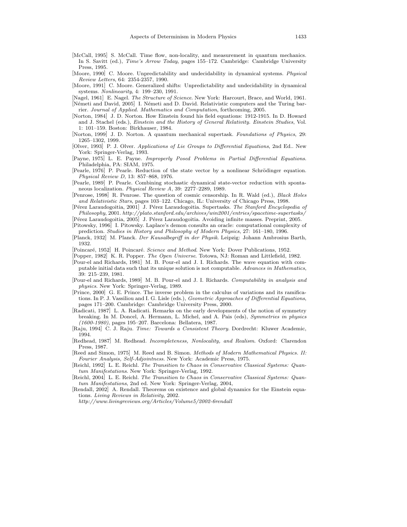- [McCall, 1995] S. McCall. Time flow, non-locality, and measurement in quantum mechanics. In S. Savitt (ed.), Time's Arrow Today, pages 155–172. Cambridge: Cambridge University Press, 1995.
- [Moore, 1990] C. Moore. Unpredictability and undecidability in dynamical systems. Physical Review Letters, 64: 2354-2357, 1990.
- [Moore, 1991] C. Moore. Generalized shifts: Unpredictability and undecidability in dynamical systems. Nonlinearity, 4: 199–230, 1991.
- [Nagel, 1961] E. Nagel. The Structure of Science. New York: Harcourt, Brace, and World, 1961. [Németi and David, 2005] I. Németi and D. David. Relativistic computers and the Turing barrier. Journal of Applied. Mathematics and Computation, forthcoming, 2005.
- [Norton, 1984] J. D. Norton. How Einstein found his field equations: 1912-1915. In D. Howard and J. Stachel (eds.), Einstein and the History of General Relativity. Einstein Studies, Vol. 1: 101–159. Boston: Birkhauser, 1984.
- [Norton, 1999] J. D. Norton. A quantum mechanical supertask. Foundations of Physics, 29: 1265–1302, 1999.
- [Olver, 1993] P. J. Olver. Applications of Lie Groups to Differential Equations, 2nd Ed.. New York: Springer-Verlag, 1993.
- [Payne, 1975] L. E. Payne. Improperly Posed Problems in Partial Differential Equations. Philadelphia, PA: SIAM, 1975.
- [Pearle, 1976] P. Pearle. Reduction of the state vector by a nonlinear Schrödinger equation. Physical Review D, 13: 857–868, 1976.
- [Pearle, 1989] P. Pearle. Combining stochastic dynamical state-vector reduction with spontaneous localization. Physical Review A, 39: 2277–2289, 1989.
- [Penrose, 1998] R. Penrose. The question of cosmic censorship. In R. Wald (ed.), Black Holes and Relativistic Stars, pages 103–122. Chicago, IL: University of Chicago Press, 1998.
- [Pérez Laraudogoitia, 2001] J. Pérez Laraudogoitia. Supertasks. The Stanford Encyclopedia of Philosophy, 2001. http://plato.stanford.edu/archives/win2001/entries/spacetime-supertasks/
- [Pérez Laraudogoitia, 2005] J. Pérez Laraudogoitia. Avoiding infinite masses. Preprint, 2005. [Pitowsky, 1996] I. Pitowsky. Laplace's demon consults an oracle: computational complexity of
- prediction. Studies in History and Philosophy of Modern Physics, 27: 161–180, 1996.
- [Planck, 1932] M. Planck. Der Kausalbegriff in der Physik. Leipzig: Johann Ambrosius Barth, 1932.
- [Poincaré, 1952] H. Poincaré. Science and Method. New York: Dover Publications, 1952.
- [Popper, 1982] K. R. Popper. The Open Universe. Totowa, NJ: Roman and Littlefield, 1982.
- [Pour-el and Richards, 1981] M. B. Pour-el and J. I. Richards. The wave equation with computable initial data such that its unique solution is not computable. Advances in Mathematics, 39: 215–239, 1981.
- [Pour-el and Richards, 1989] M. B. Pour-el and J. I. Richards. Computability in analysis and physics. New York: Springer-Verlag, 1989.
- [Prince, 2000] G. E. Prince. The inverse problem in the calculus of variations and its ramifications. In P. J. Vassiliou and I. G. Lisle (eds.), Geometric Approaches of Differential Equations, pages 171–200. Cambridge: Cambridge University Press, 2000.
- [Radicati, 1987] L. A. Radicati. Remarks on the early developments of the notion of symmetry breaking. In M. Doncel, A. Hermann, L. Michel, and A. Pais (eds), Symmetries in physics (1600-1980), pages 195–207. Barcelona: Bellatera, 1987.
- [Raju, 1994] C. J. Raju. Time: Towards a Consistent Theory. Dordrecht: Kluwer Academic, 1994.
- [Redhead, 1987] M. Redhead. Incompleteness, Nonlocality, and Realism. Oxford: Clarendon Press, 1987.
- [Reed and Simon, 1975] M. Reed and B. Simon. Methods of Modern Mathematical Physics. II: Fourier Analysis, Self-Adjointness. New York: Academic Press, 1975.
- [Reichl, 1992] L. E. Reichl. The Transition to Chaos in Conservative Classical Systems: Quantum Manifestations. New York: Springer-Verlag, 1992.
- [Reichl, 2004] L. E. Reichl. The Transition to Chaos in Conservative Classical Systems: Quantum Manifestations, 2nd ed. New York: Springer-Verlag, 2004,
- [Rendall, 2002] A. Rendall. Theorems on existence and global dynamics for the Einstein equations. Living Reviews in Relativity, 2002.
	- http://www.livingreviews.org/Articles/Volume5/2002-6rendall